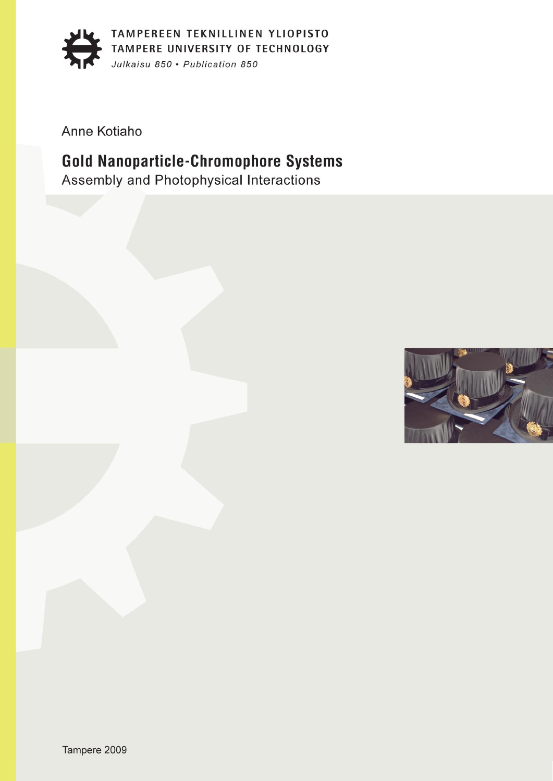

Anne Kotiaho

# **Gold Nanoparticle-Chromophore Systems**

Assembly and Photophysical Interactions

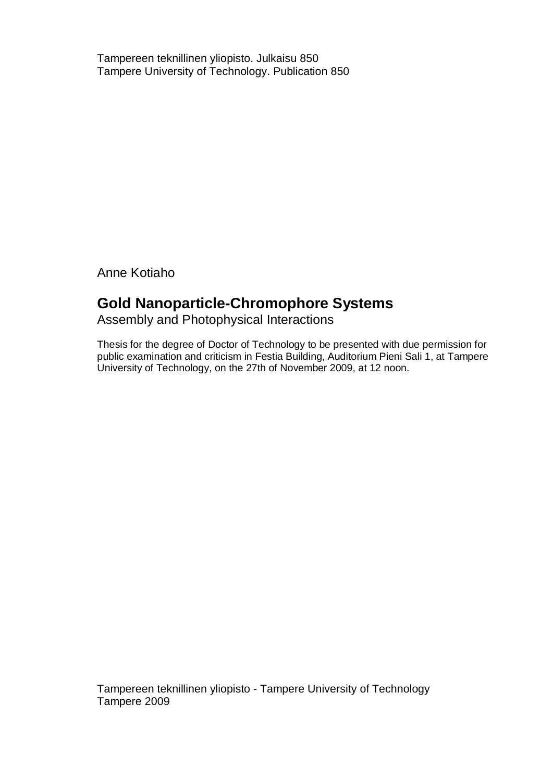Tampereen teknillinen yliopisto. Julkaisu 850 Tampere University of Technology. Publication 850

Anne Kotiaho

## **Gold Nanoparticle-Chromophore Systems**

Assembly and Photophysical Interactions

Thesis for the degree of Doctor of Technology to be presented with due permission for public examination and criticism in Festia Building, Auditorium Pieni Sali 1, at Tampere University of Technology, on the 27th of November 2009, at 12 noon.

Tampereen teknillinen yliopisto - Tampere University of Technology Tampere 2009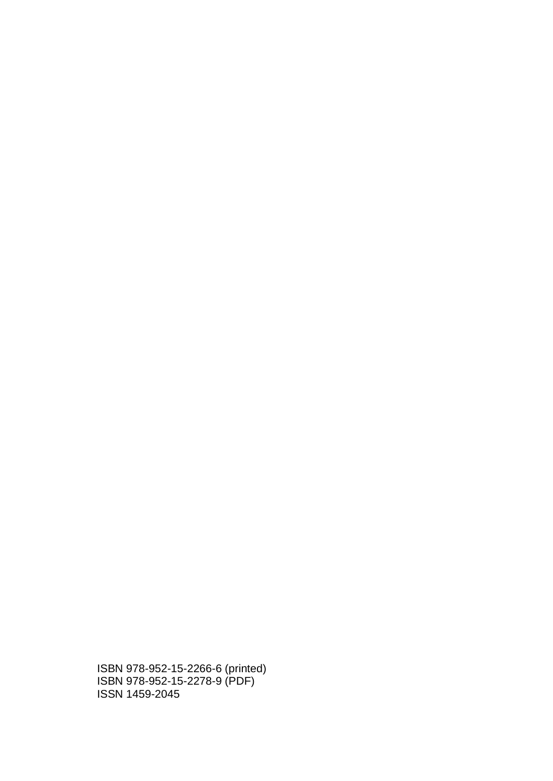ISBN 978-952-15-2266-6 (printed) ISBN 978-952-15-2278-9 (PDF) ISSN 1459-2045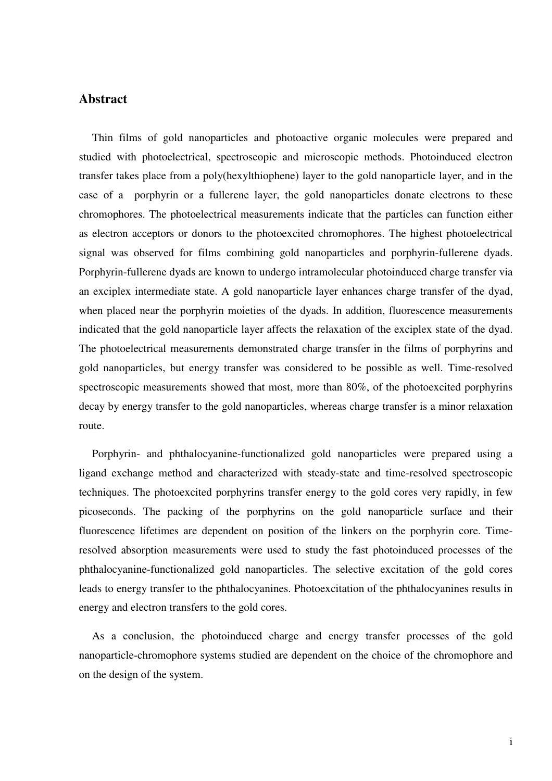## **Abstract**

Thin films of gold nanoparticles and photoactive organic molecules were prepared and studied with photoelectrical, spectroscopic and microscopic methods. Photoinduced electron transfer takes place from a poly(hexylthiophene) layer to the gold nanoparticle layer, and in the case of a porphyrin or a fullerene layer, the gold nanoparticles donate electrons to these chromophores. The photoelectrical measurements indicate that the particles can function either as electron acceptors or donors to the photoexcited chromophores. The highest photoelectrical signal was observed for films combining gold nanoparticles and porphyrin-fullerene dyads. Porphyrin-fullerene dyads are known to undergo intramolecular photoinduced charge transfer via an exciplex intermediate state. A gold nanoparticle layer enhances charge transfer of the dyad, when placed near the porphyrin moieties of the dyads. In addition, fluorescence measurements indicated that the gold nanoparticle layer affects the relaxation of the exciplex state of the dyad. The photoelectrical measurements demonstrated charge transfer in the films of porphyrins and gold nanoparticles, but energy transfer was considered to be possible as well. Time-resolved spectroscopic measurements showed that most, more than 80%, of the photoexcited porphyrins decay by energy transfer to the gold nanoparticles, whereas charge transfer is a minor relaxation route.

Porphyrin- and phthalocyanine-functionalized gold nanoparticles were prepared using a ligand exchange method and characterized with steady-state and time-resolved spectroscopic techniques. The photoexcited porphyrins transfer energy to the gold cores very rapidly, in few picoseconds. The packing of the porphyrins on the gold nanoparticle surface and their fluorescence lifetimes are dependent on position of the linkers on the porphyrin core. Timeresolved absorption measurements were used to study the fast photoinduced processes of the phthalocyanine-functionalized gold nanoparticles. The selective excitation of the gold cores leads to energy transfer to the phthalocyanines. Photoexcitation of the phthalocyanines results in energy and electron transfers to the gold cores.

As a conclusion, the photoinduced charge and energy transfer processes of the gold nanoparticle-chromophore systems studied are dependent on the choice of the chromophore and on the design of the system.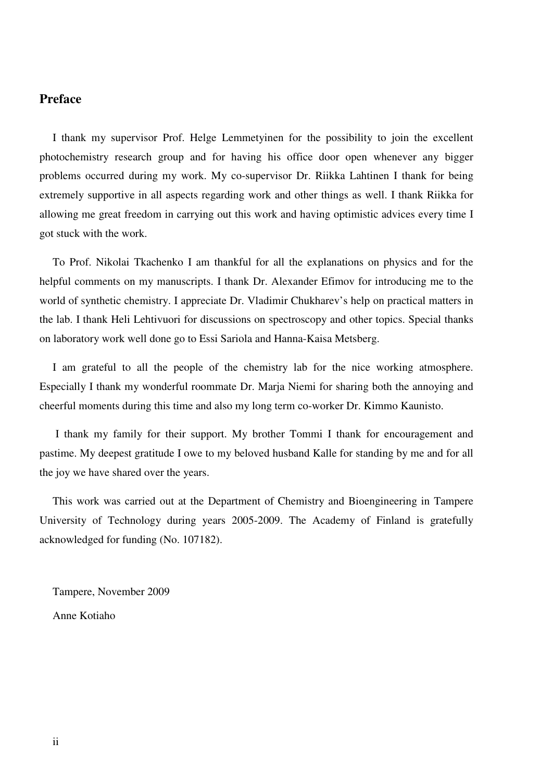## **Preface**

I thank my supervisor Prof. Helge Lemmetyinen for the possibility to join the excellent photochemistry research group and for having his office door open whenever any bigger problems occurred during my work. My co-supervisor Dr. Riikka Lahtinen I thank for being extremely supportive in all aspects regarding work and other things as well. I thank Riikka for allowing me great freedom in carrying out this work and having optimistic advices every time I got stuck with the work.

To Prof. Nikolai Tkachenko I am thankful for all the explanations on physics and for the helpful comments on my manuscripts. I thank Dr. Alexander Efimov for introducing me to the world of synthetic chemistry. I appreciate Dr. Vladimir Chukharev's help on practical matters in the lab. I thank Heli Lehtivuori for discussions on spectroscopy and other topics. Special thanks on laboratory work well done go to Essi Sariola and Hanna-Kaisa Metsberg.

I am grateful to all the people of the chemistry lab for the nice working atmosphere. Especially I thank my wonderful roommate Dr. Marja Niemi for sharing both the annoying and cheerful moments during this time and also my long term co-worker Dr. Kimmo Kaunisto.

 I thank my family for their support. My brother Tommi I thank for encouragement and pastime. My deepest gratitude I owe to my beloved husband Kalle for standing by me and for all the joy we have shared over the years.

This work was carried out at the Department of Chemistry and Bioengineering in Tampere University of Technology during years 2005-2009. The Academy of Finland is gratefully acknowledged for funding (No. 107182).

Tampere, November 2009 Anne Kotiaho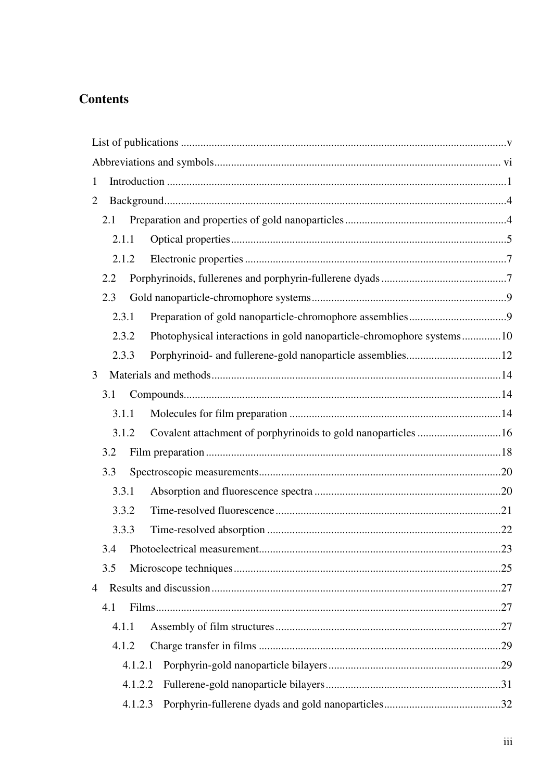## **Contents**

| $\mathbf{1}$   |         |                                                                       |     |  |
|----------------|---------|-----------------------------------------------------------------------|-----|--|
| $\overline{2}$ |         |                                                                       |     |  |
|                | 2.1     |                                                                       |     |  |
|                | 2.1.1   |                                                                       |     |  |
|                | 2.1.2   |                                                                       |     |  |
|                | 2.2     |                                                                       |     |  |
|                | 2.3     |                                                                       |     |  |
|                | 2.3.1   |                                                                       |     |  |
|                | 2.3.2   | Photophysical interactions in gold nanoparticle-chromophore systems10 |     |  |
|                | 2.3.3   | Porphyrinoid- and fullerene-gold nanoparticle assemblies12            |     |  |
| 3              |         |                                                                       |     |  |
|                | 3.1     |                                                                       |     |  |
|                | 3.1.1   |                                                                       |     |  |
|                | 3.1.2   | Covalent attachment of porphyrinoids to gold nanoparticles 16         |     |  |
|                | 3.2     |                                                                       |     |  |
|                | 3.3     |                                                                       |     |  |
|                | 3.3.1   |                                                                       |     |  |
|                | 3.3.2   |                                                                       |     |  |
|                | 3.3.3   |                                                                       |     |  |
|                |         |                                                                       | .23 |  |
|                | 3.5     |                                                                       |     |  |
| $\overline{4}$ |         |                                                                       |     |  |
|                | 4.1     |                                                                       |     |  |
|                | 4.1.1   |                                                                       |     |  |
|                | 4.1.2   |                                                                       |     |  |
|                | 4.1.2.1 |                                                                       |     |  |
|                | 4.1.2.2 |                                                                       |     |  |
|                | 4.1.2.3 |                                                                       |     |  |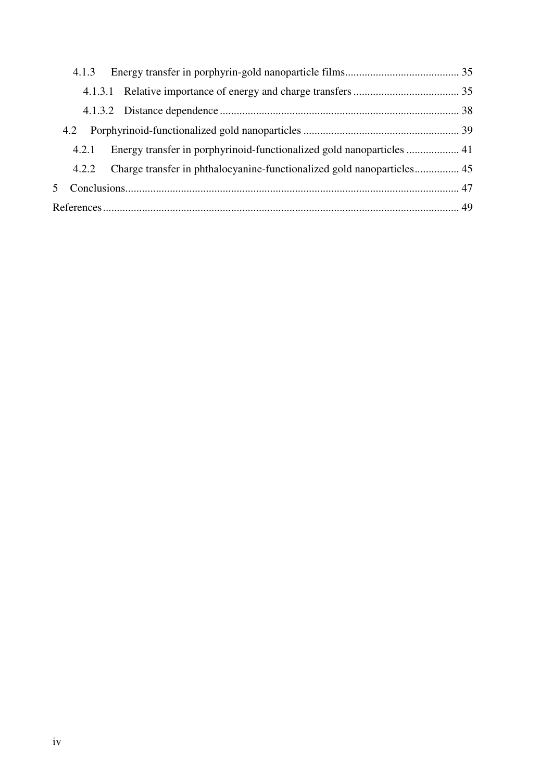|     | 4.1.3 |  |  |
|-----|-------|--|--|
|     |       |  |  |
|     |       |  |  |
| 4.2 |       |  |  |
|     | 4.2.1 |  |  |
|     | 4.2.2 |  |  |
|     |       |  |  |
|     |       |  |  |
|     |       |  |  |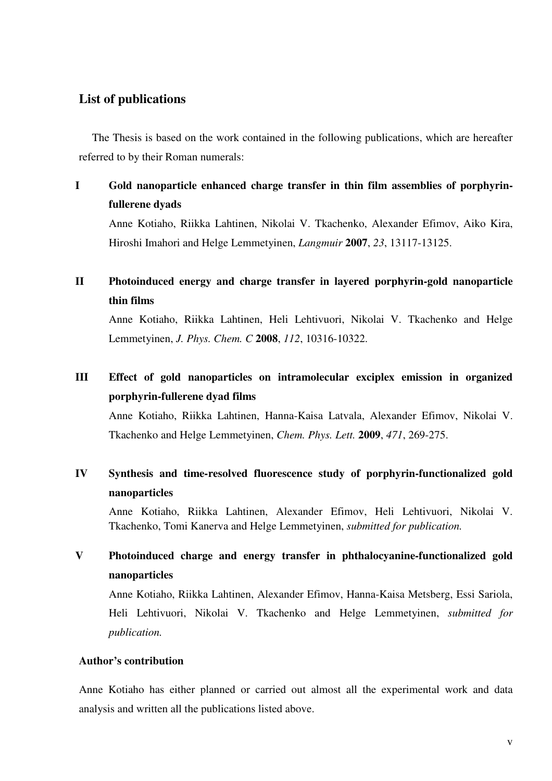## **List of publications**

The Thesis is based on the work contained in the following publications, which are hereafter referred to by their Roman numerals:

**I Gold nanoparticle enhanced charge transfer in thin film assemblies of porphyrinfullerene dyads** 

Anne Kotiaho, Riikka Lahtinen, Nikolai V. Tkachenko, Alexander Efimov, Aiko Kira, Hiroshi Imahori and Helge Lemmetyinen, *Langmuir* **2007**, *23*, 13117-13125.

**II Photoinduced energy and charge transfer in layered porphyrin-gold nanoparticle thin films** 

Anne Kotiaho, Riikka Lahtinen, Heli Lehtivuori, Nikolai V. Tkachenko and Helge Lemmetyinen, *J. Phys. Chem. C* **2008**, *112*, 10316-10322.

**III Effect of gold nanoparticles on intramolecular exciplex emission in organized porphyrin-fullerene dyad films** 

Anne Kotiaho, Riikka Lahtinen, Hanna-Kaisa Latvala, Alexander Efimov, Nikolai V. Tkachenko and Helge Lemmetyinen, *Chem. Phys. Lett.* **2009**, *471*, 269-275.

**IV Synthesis and time-resolved fluorescence study of porphyrin-functionalized gold nanoparticles** 

Anne Kotiaho, Riikka Lahtinen, Alexander Efimov, Heli Lehtivuori, Nikolai V. Tkachenko, Tomi Kanerva and Helge Lemmetyinen, *submitted for publication.*

**V Photoinduced charge and energy transfer in phthalocyanine-functionalized gold nanoparticles** 

Anne Kotiaho, Riikka Lahtinen, Alexander Efimov, Hanna-Kaisa Metsberg, Essi Sariola, Heli Lehtivuori, Nikolai V. Tkachenko and Helge Lemmetyinen, *submitted for publication.*

## **Author's contribution**

Anne Kotiaho has either planned or carried out almost all the experimental work and data analysis and written all the publications listed above.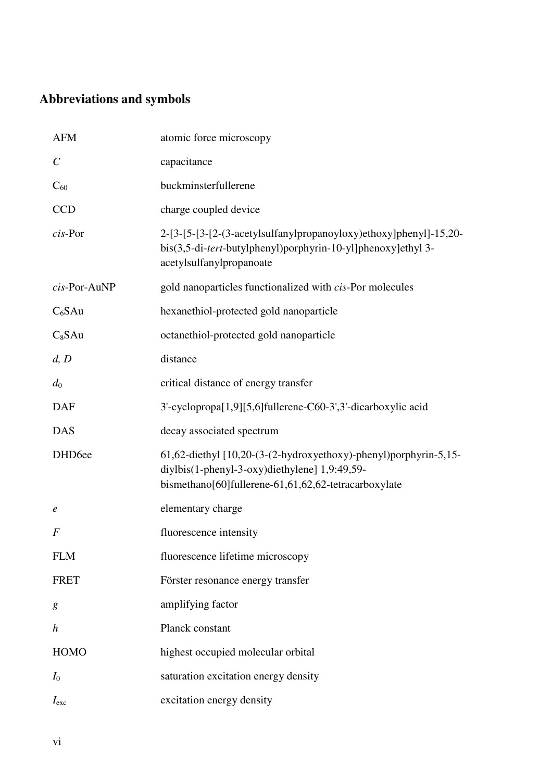# **Abbreviations and symbols**

| <b>AFM</b>            | atomic force microscopy                                                                                                                                                         |
|-----------------------|---------------------------------------------------------------------------------------------------------------------------------------------------------------------------------|
| $\mathcal{C}_{0}^{0}$ | capacitance                                                                                                                                                                     |
| $C_{60}$              | buckminsterfullerene                                                                                                                                                            |
| <b>CCD</b>            | charge coupled device                                                                                                                                                           |
| $cis$ -Por            | 2-[3-[3-[2-(3-acetylsulfanylpropanoyloxy)ethoxy]phenyl]-15,20-<br>bis(3,5-di-tert-butylphenyl)porphyrin-10-yl]phenoxy]ethyl 3-<br>acetylsulfanylpropanoate                      |
| cis-Por-AuNP          | gold nanoparticles functionalized with cis-Por molecules                                                                                                                        |
| $C_6$ SAu             | hexanethiol-protected gold nanoparticle                                                                                                                                         |
| $C_8$ SAu             | octanethiol-protected gold nanoparticle                                                                                                                                         |
| d, D                  | distance                                                                                                                                                                        |
| $d_0$                 | critical distance of energy transfer                                                                                                                                            |
| <b>DAF</b>            | 3'-cyclopropa[1,9][5,6]fullerene-C60-3',3'-dicarboxylic acid                                                                                                                    |
| <b>DAS</b>            | decay associated spectrum                                                                                                                                                       |
| DHD <sub>6ee</sub>    | $61,62$ -diethyl $[10,20-(3-(2-hydroxyethoxy)-phenyl)$ porphyrin-5,15-<br>diylbis(1-phenyl-3-oxy)diethylene] 1,9:49,59-<br>bismethano[60]fullerene-61,61,62,62-tetracarboxylate |
| $\epsilon$            | elementary charge                                                                                                                                                               |
| $\boldsymbol{F}$      | fluorescence intensity                                                                                                                                                          |
| <b>FLM</b>            | fluorescence lifetime microscopy                                                                                                                                                |
| <b>FRET</b>           | Förster resonance energy transfer                                                                                                                                               |
| g                     | amplifying factor                                                                                                                                                               |
| $\boldsymbol{h}$      | Planck constant                                                                                                                                                                 |
| <b>HOMO</b>           | highest occupied molecular orbital                                                                                                                                              |
| $I_0$                 | saturation excitation energy density                                                                                                                                            |
| $I_{\rm exc}$         | excitation energy density                                                                                                                                                       |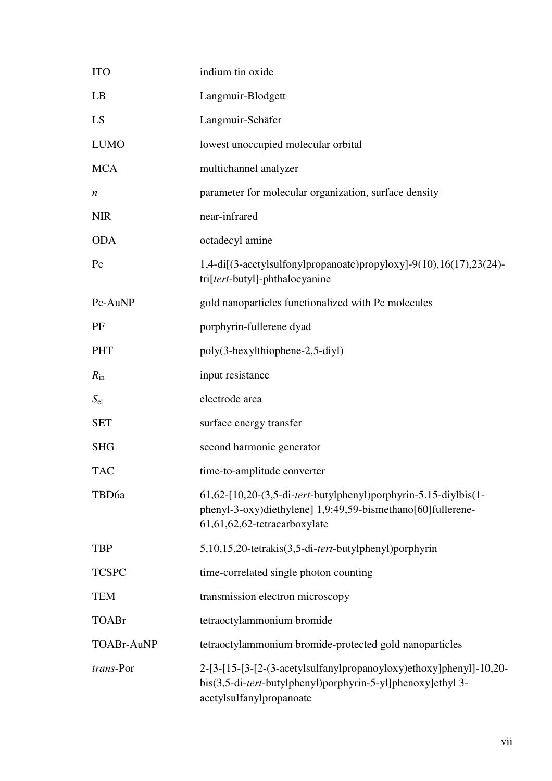| <b>ITO</b>   | indium tin oxide                                                                                                                                                  |
|--------------|-------------------------------------------------------------------------------------------------------------------------------------------------------------------|
| LB           | Langmuir-Blodgett                                                                                                                                                 |
| LS           | Langmuir-Schäfer                                                                                                                                                  |
| <b>LUMO</b>  | lowest unoccupied molecular orbital                                                                                                                               |
| <b>MCA</b>   | multichannel analyzer                                                                                                                                             |
| n            | parameter for molecular organization, surface density                                                                                                             |
| <b>NIR</b>   | near-infrared                                                                                                                                                     |
| <b>ODA</b>   | octadecyl amine                                                                                                                                                   |
| Pc           | 1,4-di[(3-acetylsulfonylpropanoate)propyloxy]-9(10),16(17),23(24)-<br>tri[tert-butyl]-phthalocyanine                                                              |
| Pc-AuNP      | gold nanoparticles functionalized with Pc molecules                                                                                                               |
| PF           | porphyrin-fullerene dyad                                                                                                                                          |
| <b>PHT</b>   | poly(3-hexylthiophene-2,5-diyl)                                                                                                                                   |
| $R_{\rm in}$ | input resistance                                                                                                                                                  |
| $S_{el}$     | electrode area                                                                                                                                                    |
| <b>SET</b>   | surface energy transfer                                                                                                                                           |
| <b>SHG</b>   | second harmonic generator                                                                                                                                         |
| <b>TAC</b>   | time-to-amplitude converter                                                                                                                                       |
| TBD6a        | $61,62$ -[10,20-(3,5-di-tert-butylphenyl)porphyrin-5.15-diylbis(1-<br>phenyl-3-oxy)diethylene] 1,9:49,59-bismethano[60]fullerene-<br>61,61,62,62-tetracarboxylate |
| <b>TBP</b>   | 5,10,15,20-tetrakis(3,5-di-tert-butylphenyl)porphyrin                                                                                                             |
| <b>TCSPC</b> | time-correlated single photon counting                                                                                                                            |
| <b>TEM</b>   | transmission electron microscopy                                                                                                                                  |
| TOABr        | tetraoctylammonium bromide                                                                                                                                        |
| TOABr-AuNP   | tetraoctylammonium bromide-protected gold nanoparticles                                                                                                           |
| trans-Por    | 2-[3-[15-[3-[2-(3-acetylsulfanylpropanoyloxy)ethoxy]phenyl]-10,20-<br>bis(3,5-di-tert-butylphenyl)porphyrin-5-yl]phenoxy]ethyl 3-<br>acetylsulfanylpropanoate     |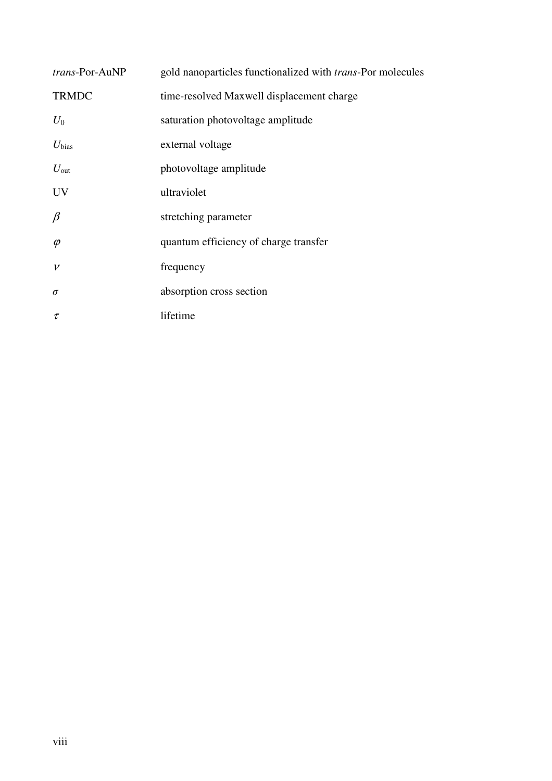| trans-Por-AuNP    | gold nanoparticles functionalized with <i>trans</i> -Por molecules |
|-------------------|--------------------------------------------------------------------|
| <b>TRMDC</b>      | time-resolved Maxwell displacement charge                          |
| $U_0$             | saturation photovoltage amplitude                                  |
| $U_{\text{bias}}$ | external voltage                                                   |
| $U_{\rm out}$     | photovoltage amplitude                                             |
| <b>UV</b>         | ultraviolet                                                        |
| $\beta$           | stretching parameter                                               |
| $\varphi$         | quantum efficiency of charge transfer                              |
| $\mathcal V$      | frequency                                                          |
| $\sigma$          | absorption cross section                                           |
| τ                 | lifetime                                                           |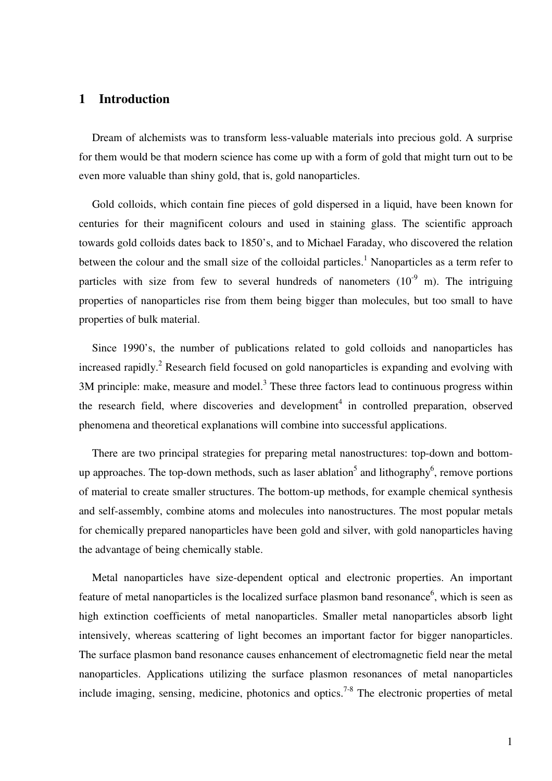## **1 Introduction**

Dream of alchemists was to transform less-valuable materials into precious gold. A surprise for them would be that modern science has come up with a form of gold that might turn out to be even more valuable than shiny gold, that is, gold nanoparticles.

Gold colloids, which contain fine pieces of gold dispersed in a liquid, have been known for centuries for their magnificent colours and used in staining glass. The scientific approach towards gold colloids dates back to 1850's, and to Michael Faraday, who discovered the relation between the colour and the small size of the colloidal particles.<sup>1</sup> Nanoparticles as a term refer to particles with size from few to several hundreds of nanometers  $(10^{-9}$  m). The intriguing properties of nanoparticles rise from them being bigger than molecules, but too small to have properties of bulk material.

Since 1990's, the number of publications related to gold colloids and nanoparticles has increased rapidly.<sup>2</sup> Research field focused on gold nanoparticles is expanding and evolving with 3M principle: make, measure and model.<sup>3</sup> These three factors lead to continuous progress within the research field, where discoveries and development<sup>4</sup> in controlled preparation, observed phenomena and theoretical explanations will combine into successful applications.

There are two principal strategies for preparing metal nanostructures: top-down and bottomup approaches. The top-down methods, such as laser ablation<sup>5</sup> and lithography<sup>6</sup>, remove portions of material to create smaller structures. The bottom-up methods, for example chemical synthesis and self-assembly, combine atoms and molecules into nanostructures. The most popular metals for chemically prepared nanoparticles have been gold and silver, with gold nanoparticles having the advantage of being chemically stable.

Metal nanoparticles have size-dependent optical and electronic properties. An important feature of metal nanoparticles is the localized surface plasmon band resonance<sup>6</sup>, which is seen as high extinction coefficients of metal nanoparticles. Smaller metal nanoparticles absorb light intensively, whereas scattering of light becomes an important factor for bigger nanoparticles. The surface plasmon band resonance causes enhancement of electromagnetic field near the metal nanoparticles. Applications utilizing the surface plasmon resonances of metal nanoparticles include imaging, sensing, medicine, photonics and optics.<sup>7-8</sup> The electronic properties of metal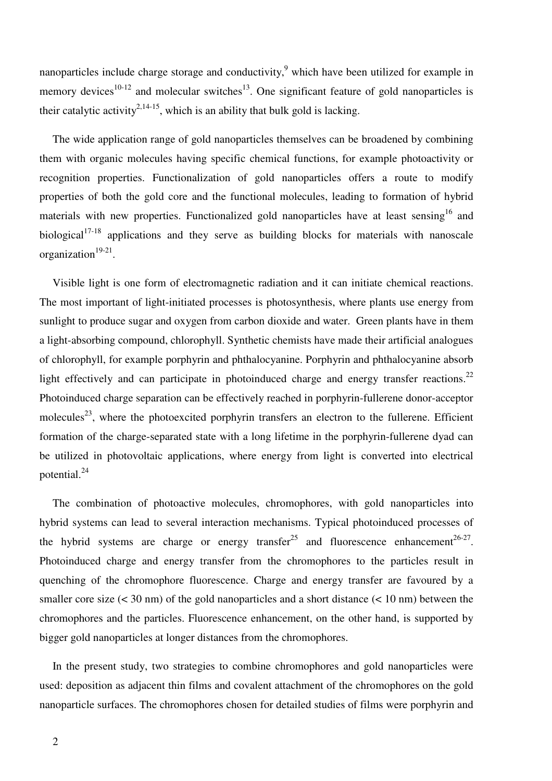nanoparticles include charge storage and conductivity,  $9$  which have been utilized for example in memory devices<sup>10-12</sup> and molecular switches<sup>13</sup>. One significant feature of gold nanoparticles is their catalytic activity<sup>2,14-15</sup>, which is an ability that bulk gold is lacking.

The wide application range of gold nanoparticles themselves can be broadened by combining them with organic molecules having specific chemical functions, for example photoactivity or recognition properties. Functionalization of gold nanoparticles offers a route to modify properties of both the gold core and the functional molecules, leading to formation of hybrid materials with new properties. Functionalized gold nanoparticles have at least sensing<sup>16</sup> and biological<sup>17-18</sup> applications and they serve as building blocks for materials with nanoscale organization<sup>19-21</sup>.

Visible light is one form of electromagnetic radiation and it can initiate chemical reactions. The most important of light-initiated processes is photosynthesis, where plants use energy from sunlight to produce sugar and oxygen from carbon dioxide and water. Green plants have in them a light-absorbing compound, chlorophyll. Synthetic chemists have made their artificial analogues of chlorophyll, for example porphyrin and phthalocyanine. Porphyrin and phthalocyanine absorb light effectively and can participate in photoinduced charge and energy transfer reactions.<sup>22</sup> Photoinduced charge separation can be effectively reached in porphyrin-fullerene donor-acceptor molecules<sup>23</sup>, where the photoexcited porphyrin transfers an electron to the fullerene. Efficient formation of the charge-separated state with a long lifetime in the porphyrin-fullerene dyad can be utilized in photovoltaic applications, where energy from light is converted into electrical potential.<sup>24</sup>

The combination of photoactive molecules, chromophores, with gold nanoparticles into hybrid systems can lead to several interaction mechanisms. Typical photoinduced processes of the hybrid systems are charge or energy transfer<sup>25</sup> and fluorescence enhancement<sup>26-27</sup>. Photoinduced charge and energy transfer from the chromophores to the particles result in quenching of the chromophore fluorescence. Charge and energy transfer are favoured by a smaller core size  $( $30 \text{ nm}$ )$  of the gold nanoparticles and a short distance  $( $10 \text{ nm}$ )$  between the chromophores and the particles. Fluorescence enhancement, on the other hand, is supported by bigger gold nanoparticles at longer distances from the chromophores.

In the present study, two strategies to combine chromophores and gold nanoparticles were used: deposition as adjacent thin films and covalent attachment of the chromophores on the gold nanoparticle surfaces. The chromophores chosen for detailed studies of films were porphyrin and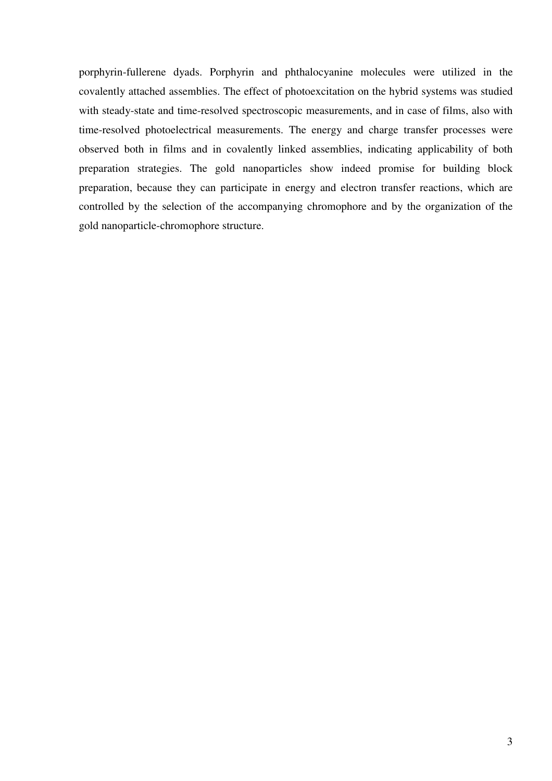porphyrin-fullerene dyads. Porphyrin and phthalocyanine molecules were utilized in the covalently attached assemblies. The effect of photoexcitation on the hybrid systems was studied with steady-state and time-resolved spectroscopic measurements, and in case of films, also with time-resolved photoelectrical measurements. The energy and charge transfer processes were observed both in films and in covalently linked assemblies, indicating applicability of both preparation strategies. The gold nanoparticles show indeed promise for building block preparation, because they can participate in energy and electron transfer reactions, which are controlled by the selection of the accompanying chromophore and by the organization of the gold nanoparticle-chromophore structure.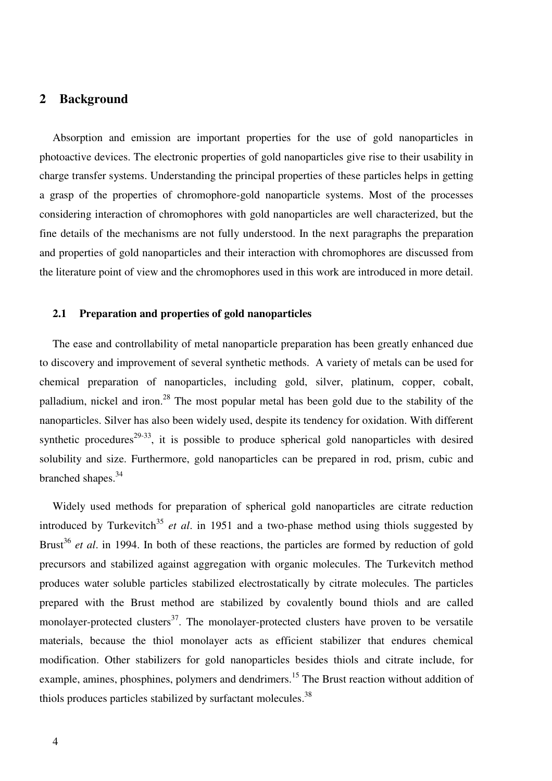## **2 Background**

Absorption and emission are important properties for the use of gold nanoparticles in photoactive devices. The electronic properties of gold nanoparticles give rise to their usability in charge transfer systems. Understanding the principal properties of these particles helps in getting a grasp of the properties of chromophore-gold nanoparticle systems. Most of the processes considering interaction of chromophores with gold nanoparticles are well characterized, but the fine details of the mechanisms are not fully understood. In the next paragraphs the preparation and properties of gold nanoparticles and their interaction with chromophores are discussed from the literature point of view and the chromophores used in this work are introduced in more detail.

## **2.1 Preparation and properties of gold nanoparticles**

The ease and controllability of metal nanoparticle preparation has been greatly enhanced due to discovery and improvement of several synthetic methods. A variety of metals can be used for chemical preparation of nanoparticles, including gold, silver, platinum, copper, cobalt, palladium, nickel and iron.<sup>28</sup> The most popular metal has been gold due to the stability of the nanoparticles. Silver has also been widely used, despite its tendency for oxidation. With different synthetic procedures<sup>29-33</sup>, it is possible to produce spherical gold nanoparticles with desired solubility and size. Furthermore, gold nanoparticles can be prepared in rod, prism, cubic and branched shapes.<sup>34</sup>

Widely used methods for preparation of spherical gold nanoparticles are citrate reduction introduced by Turkevitch<sup>35</sup> *et al.* in 1951 and a two-phase method using thiols suggested by Brust<sup>36</sup> *et al.* in 1994. In both of these reactions, the particles are formed by reduction of gold precursors and stabilized against aggregation with organic molecules. The Turkevitch method produces water soluble particles stabilized electrostatically by citrate molecules. The particles prepared with the Brust method are stabilized by covalently bound thiols and are called monolayer-protected clusters<sup>37</sup>. The monolayer-protected clusters have proven to be versatile materials, because the thiol monolayer acts as efficient stabilizer that endures chemical modification. Other stabilizers for gold nanoparticles besides thiols and citrate include, for example, amines, phosphines, polymers and dendrimers.<sup>15</sup> The Brust reaction without addition of thiols produces particles stabilized by surfactant molecules.<sup>38</sup>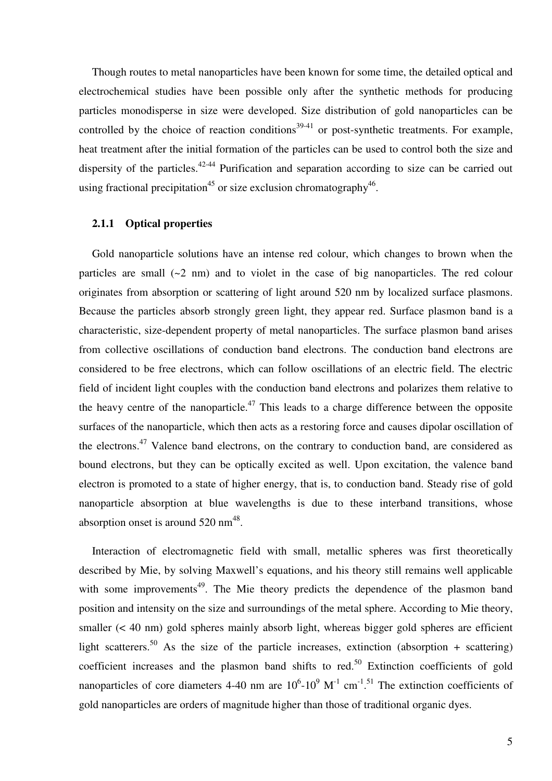Though routes to metal nanoparticles have been known for some time, the detailed optical and electrochemical studies have been possible only after the synthetic methods for producing particles monodisperse in size were developed. Size distribution of gold nanoparticles can be controlled by the choice of reaction conditions<sup>39-41</sup> or post-synthetic treatments. For example, heat treatment after the initial formation of the particles can be used to control both the size and dispersity of the particles.<sup>42-44</sup> Purification and separation according to size can be carried out using fractional precipitation<sup>45</sup> or size exclusion chromatography<sup>46</sup>.

#### **2.1.1 Optical properties**

Gold nanoparticle solutions have an intense red colour, which changes to brown when the particles are small  $(\sim 2 \text{ nm})$  and to violet in the case of big nanoparticles. The red colour originates from absorption or scattering of light around 520 nm by localized surface plasmons. Because the particles absorb strongly green light, they appear red. Surface plasmon band is a characteristic, size-dependent property of metal nanoparticles. The surface plasmon band arises from collective oscillations of conduction band electrons. The conduction band electrons are considered to be free electrons, which can follow oscillations of an electric field. The electric field of incident light couples with the conduction band electrons and polarizes them relative to the heavy centre of the nanoparticle.<sup>47</sup> This leads to a charge difference between the opposite surfaces of the nanoparticle, which then acts as a restoring force and causes dipolar oscillation of the electrons.<sup>47</sup> Valence band electrons, on the contrary to conduction band, are considered as bound electrons, but they can be optically excited as well. Upon excitation, the valence band electron is promoted to a state of higher energy, that is, to conduction band. Steady rise of gold nanoparticle absorption at blue wavelengths is due to these interband transitions, whose absorption onset is around  $520 \text{ nm}^{48}$ .

Interaction of electromagnetic field with small, metallic spheres was first theoretically described by Mie, by solving Maxwell's equations, and his theory still remains well applicable with some improvements<sup>49</sup>. The Mie theory predicts the dependence of the plasmon band position and intensity on the size and surroundings of the metal sphere. According to Mie theory, smaller (< 40 nm) gold spheres mainly absorb light, whereas bigger gold spheres are efficient light scatterers.<sup>50</sup> As the size of the particle increases, extinction (absorption + scattering) coefficient increases and the plasmon band shifts to red.<sup>50</sup> Extinction coefficients of gold nanoparticles of core diameters 4-40 nm are  $10^6$ - $10^9$  M<sup>-1</sup> cm<sup>-1</sup>.<sup>51</sup> The extinction coefficients of gold nanoparticles are orders of magnitude higher than those of traditional organic dyes.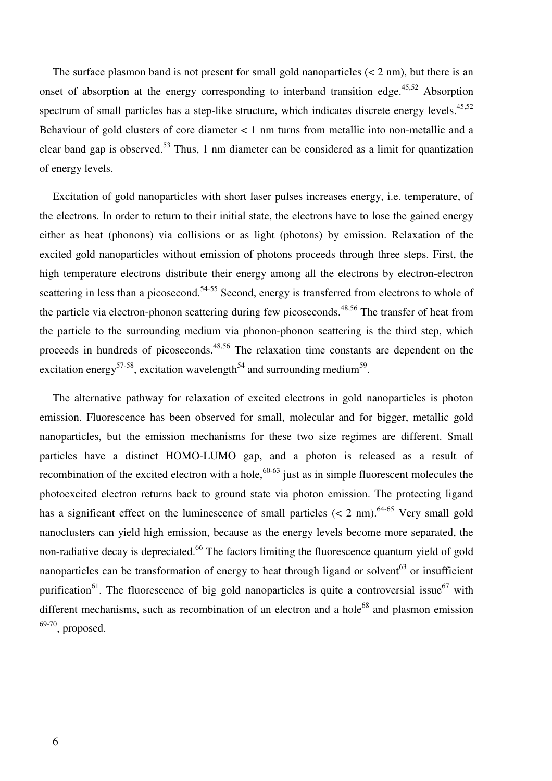The surface plasmon band is not present for small gold nanoparticles  $(< 2$  nm), but there is an onset of absorption at the energy corresponding to interband transition edge.<sup>45,52</sup> Absorption spectrum of small particles has a step-like structure, which indicates discrete energy levels.<sup>45,52</sup> Behaviour of gold clusters of core diameter < 1 nm turns from metallic into non-metallic and a clear band gap is observed.<sup>53</sup> Thus, 1 nm diameter can be considered as a limit for quantization of energy levels.

Excitation of gold nanoparticles with short laser pulses increases energy, i.e. temperature, of the electrons. In order to return to their initial state, the electrons have to lose the gained energy either as heat (phonons) via collisions or as light (photons) by emission. Relaxation of the excited gold nanoparticles without emission of photons proceeds through three steps. First, the high temperature electrons distribute their energy among all the electrons by electron-electron scattering in less than a picosecond.<sup>54-55</sup> Second, energy is transferred from electrons to whole of the particle via electron-phonon scattering during few picoseconds.<sup>48,56</sup> The transfer of heat from the particle to the surrounding medium via phonon-phonon scattering is the third step, which proceeds in hundreds of picoseconds.<sup>48,56</sup> The relaxation time constants are dependent on the excitation energy<sup>57-58</sup>, excitation wavelength<sup>54</sup> and surrounding medium<sup>59</sup>.

The alternative pathway for relaxation of excited electrons in gold nanoparticles is photon emission. Fluorescence has been observed for small, molecular and for bigger, metallic gold nanoparticles, but the emission mechanisms for these two size regimes are different. Small particles have a distinct HOMO-LUMO gap, and a photon is released as a result of recombination of the excited electron with a hole,  $60-63$  just as in simple fluorescent molecules the photoexcited electron returns back to ground state via photon emission. The protecting ligand has a significant effect on the luminescence of small particles  $(< 2 \text{ nm})$ .<sup>64-65</sup> Very small gold nanoclusters can yield high emission, because as the energy levels become more separated, the non-radiative decay is depreciated.<sup>66</sup> The factors limiting the fluorescence quantum yield of gold nanoparticles can be transformation of energy to heat through ligand or solvent<sup>63</sup> or insufficient purification<sup>61</sup>. The fluorescence of big gold nanoparticles is quite a controversial issue<sup>67</sup> with different mechanisms, such as recombination of an electron and a hole<sup>68</sup> and plasmon emission  $69-70$ , proposed.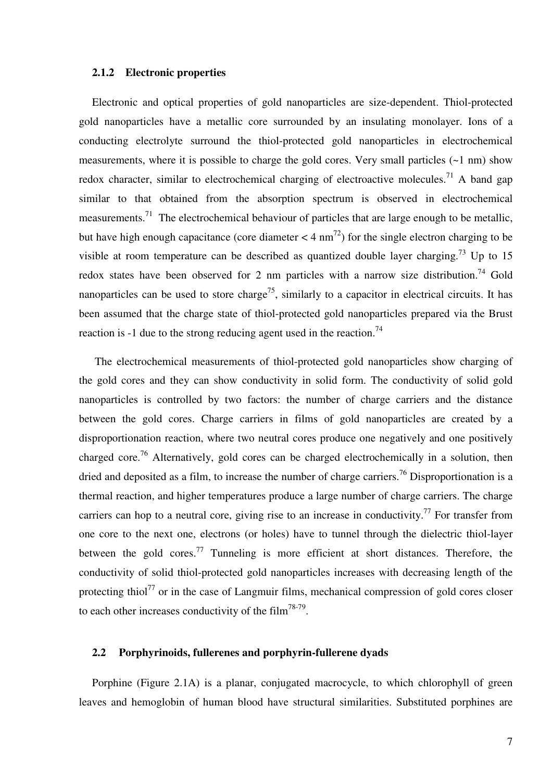#### **2.1.2 Electronic properties**

Electronic and optical properties of gold nanoparticles are size-dependent. Thiol-protected gold nanoparticles have a metallic core surrounded by an insulating monolayer. Ions of a conducting electrolyte surround the thiol-protected gold nanoparticles in electrochemical measurements, where it is possible to charge the gold cores. Very small particles (~1 nm) show redox character, similar to electrochemical charging of electroactive molecules.<sup>71</sup> A band gap similar to that obtained from the absorption spectrum is observed in electrochemical measurements.<sup>71</sup> The electrochemical behaviour of particles that are large enough to be metallic, but have high enough capacitance (core diameter  $<$  4 nm<sup>72</sup>) for the single electron charging to be visible at room temperature can be described as quantized double layer charging.<sup>73</sup> Up to 15 redox states have been observed for 2 nm particles with a narrow size distribution.<sup>74</sup> Gold nanoparticles can be used to store charge<sup>75</sup>, similarly to a capacitor in electrical circuits. It has been assumed that the charge state of thiol-protected gold nanoparticles prepared via the Brust reaction is  $-1$  due to the strong reducing agent used in the reaction.<sup>74</sup>

 The electrochemical measurements of thiol-protected gold nanoparticles show charging of the gold cores and they can show conductivity in solid form. The conductivity of solid gold nanoparticles is controlled by two factors: the number of charge carriers and the distance between the gold cores. Charge carriers in films of gold nanoparticles are created by a disproportionation reaction, where two neutral cores produce one negatively and one positively charged core.<sup>76</sup> Alternatively, gold cores can be charged electrochemically in a solution, then dried and deposited as a film, to increase the number of charge carriers.<sup>76</sup> Disproportionation is a thermal reaction, and higher temperatures produce a large number of charge carriers. The charge carriers can hop to a neutral core, giving rise to an increase in conductivity.<sup>77</sup> For transfer from one core to the next one, electrons (or holes) have to tunnel through the dielectric thiol-layer between the gold cores.<sup>77</sup> Tunneling is more efficient at short distances. Therefore, the conductivity of solid thiol-protected gold nanoparticles increases with decreasing length of the protecting thiol<sup>77</sup> or in the case of Langmuir films, mechanical compression of gold cores closer to each other increases conductivity of the film<sup>78-79</sup>.

#### **2.2 Porphyrinoids, fullerenes and porphyrin-fullerene dyads**

Porphine (Figure 2.1A) is a planar, conjugated macrocycle, to which chlorophyll of green leaves and hemoglobin of human blood have structural similarities. Substituted porphines are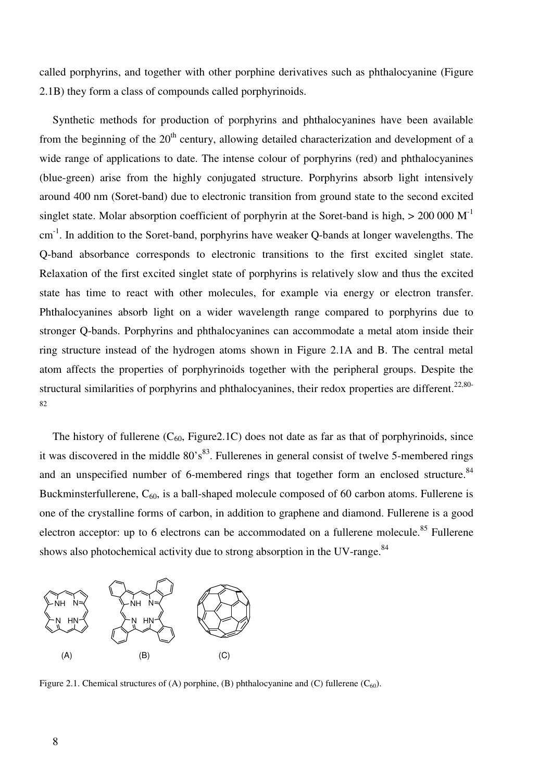called porphyrins, and together with other porphine derivatives such as phthalocyanine (Figure 2.1B) they form a class of compounds called porphyrinoids.

Synthetic methods for production of porphyrins and phthalocyanines have been available from the beginning of the  $20<sup>th</sup>$  century, allowing detailed characterization and development of a wide range of applications to date. The intense colour of porphyrins (red) and phthalocyanines (blue-green) arise from the highly conjugated structure. Porphyrins absorb light intensively around 400 nm (Soret-band) due to electronic transition from ground state to the second excited singlet state. Molar absorption coefficient of porphyrin at the Soret-band is high,  $> 200 000 M^{-1}$ cm<sup>-1</sup>. In addition to the Soret-band, porphyrins have weaker Q-bands at longer wavelengths. The Q-band absorbance corresponds to electronic transitions to the first excited singlet state. Relaxation of the first excited singlet state of porphyrins is relatively slow and thus the excited state has time to react with other molecules, for example via energy or electron transfer. Phthalocyanines absorb light on a wider wavelength range compared to porphyrins due to stronger Q-bands. Porphyrins and phthalocyanines can accommodate a metal atom inside their ring structure instead of the hydrogen atoms shown in Figure 2.1A and B. The central metal atom affects the properties of porphyrinoids together with the peripheral groups. Despite the structural similarities of porphyrins and phthalocyanines, their redox properties are different.<sup>22,80-</sup> 82

The history of fullerene  $(C_{60}$ , Figure2.1C) does not date as far as that of porphyrinoids, since it was discovered in the middle  $80^\circ s^{83}$ . Fullerenes in general consist of twelve 5-membered rings and an unspecified number of 6-membered rings that together form an enclosed structure.<sup>84</sup> Buckminsterfullerene,  $C_{60}$ , is a ball-shaped molecule composed of 60 carbon atoms. Fullerene is one of the crystalline forms of carbon, in addition to graphene and diamond. Fullerene is a good electron acceptor: up to 6 electrons can be accommodated on a fullerene molecule.<sup>85</sup> Fullerene shows also photochemical activity due to strong absorption in the UV-range.<sup>84</sup>



Figure 2.1. Chemical structures of (A) porphine, (B) phthalocyanine and (C) fullerene  $(C_{60})$ .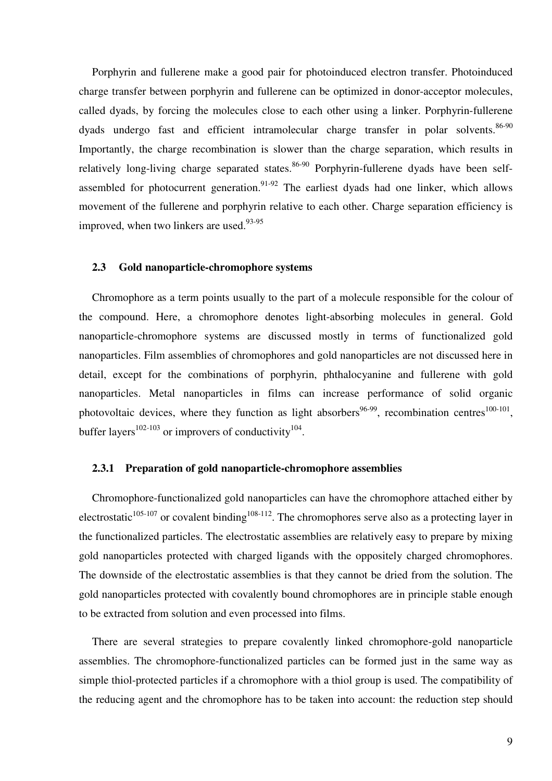Porphyrin and fullerene make a good pair for photoinduced electron transfer. Photoinduced charge transfer between porphyrin and fullerene can be optimized in donor-acceptor molecules, called dyads, by forcing the molecules close to each other using a linker. Porphyrin-fullerene dyads undergo fast and efficient intramolecular charge transfer in polar solvents.<sup>86-90</sup> Importantly, the charge recombination is slower than the charge separation, which results in relatively long-living charge separated states. $86-90$  Porphyrin-fullerene dyads have been selfassembled for photocurrent generation.<sup>91-92</sup> The earliest dyads had one linker, which allows movement of the fullerene and porphyrin relative to each other. Charge separation efficiency is improved, when two linkers are used. $93-95$ 

#### **2.3 Gold nanoparticle-chromophore systems**

Chromophore as a term points usually to the part of a molecule responsible for the colour of the compound. Here, a chromophore denotes light-absorbing molecules in general. Gold nanoparticle-chromophore systems are discussed mostly in terms of functionalized gold nanoparticles. Film assemblies of chromophores and gold nanoparticles are not discussed here in detail, except for the combinations of porphyrin, phthalocyanine and fullerene with gold nanoparticles. Metal nanoparticles in films can increase performance of solid organic photovoltaic devices, where they function as light absorbers<sup>96-99</sup>, recombination centres<sup>100-101</sup>, buffer layers<sup>102-103</sup> or improvers of conductivity<sup>104</sup>.

#### **2.3.1 Preparation of gold nanoparticle-chromophore assemblies**

Chromophore-functionalized gold nanoparticles can have the chromophore attached either by electrostatic<sup>105-107</sup> or covalent binding<sup>108-112</sup>. The chromophores serve also as a protecting layer in the functionalized particles. The electrostatic assemblies are relatively easy to prepare by mixing gold nanoparticles protected with charged ligands with the oppositely charged chromophores. The downside of the electrostatic assemblies is that they cannot be dried from the solution. The gold nanoparticles protected with covalently bound chromophores are in principle stable enough to be extracted from solution and even processed into films.

There are several strategies to prepare covalently linked chromophore-gold nanoparticle assemblies. The chromophore-functionalized particles can be formed just in the same way as simple thiol-protected particles if a chromophore with a thiol group is used. The compatibility of the reducing agent and the chromophore has to be taken into account: the reduction step should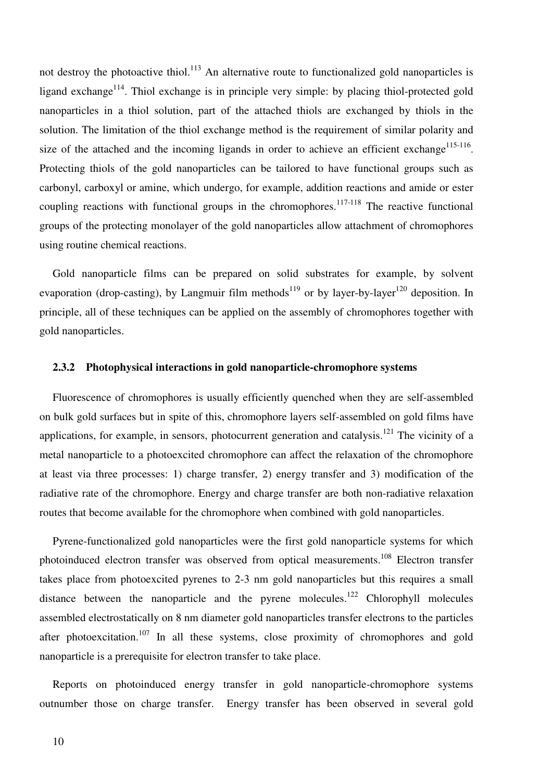not destroy the photoactive thiol.<sup>113</sup> An alternative route to functionalized gold nanoparticles is ligand exchange<sup>114</sup>. Thiol exchange is in principle very simple: by placing thiol-protected gold nanoparticles in a thiol solution, part of the attached thiols are exchanged by thiols in the solution. The limitation of the thiol exchange method is the requirement of similar polarity and size of the attached and the incoming ligands in order to achieve an efficient exchange<sup>115-116</sup>. Protecting thiols of the gold nanoparticles can be tailored to have functional groups such as carbonyl, carboxyl or amine, which undergo, for example, addition reactions and amide or ester coupling reactions with functional groups in the chromophores.<sup>117-118</sup> The reactive functional groups of the protecting monolayer of the gold nanoparticles allow attachment of chromophores using routine chemical reactions.

Gold nanoparticle films can be prepared on solid substrates for example, by solvent evaporation (drop-casting), by Langmuir film methods<sup>119</sup> or by layer-by-layer<sup>120</sup> deposition. In principle, all of these techniques can be applied on the assembly of chromophores together with gold nanoparticles.

#### **2.3.2 Photophysical interactions in gold nanoparticle-chromophore systems**

Fluorescence of chromophores is usually efficiently quenched when they are self-assembled on bulk gold surfaces but in spite of this, chromophore layers self-assembled on gold films have applications, for example, in sensors, photocurrent generation and catalysis.<sup>121</sup> The vicinity of a metal nanoparticle to a photoexcited chromophore can affect the relaxation of the chromophore at least via three processes: 1) charge transfer, 2) energy transfer and 3) modification of the radiative rate of the chromophore. Energy and charge transfer are both non-radiative relaxation routes that become available for the chromophore when combined with gold nanoparticles.

Pyrene-functionalized gold nanoparticles were the first gold nanoparticle systems for which photoinduced electron transfer was observed from optical measurements.<sup>108</sup> Electron transfer takes place from photoexcited pyrenes to 2-3 nm gold nanoparticles but this requires a small distance between the nanoparticle and the pyrene molecules.<sup>122</sup> Chlorophyll molecules assembled electrostatically on 8 nm diameter gold nanoparticles transfer electrons to the particles after photoexcitation.<sup>107</sup> In all these systems, close proximity of chromophores and gold nanoparticle is a prerequisite for electron transfer to take place.

Reports on photoinduced energy transfer in gold nanoparticle-chromophore systems outnumber those on charge transfer. Energy transfer has been observed in several gold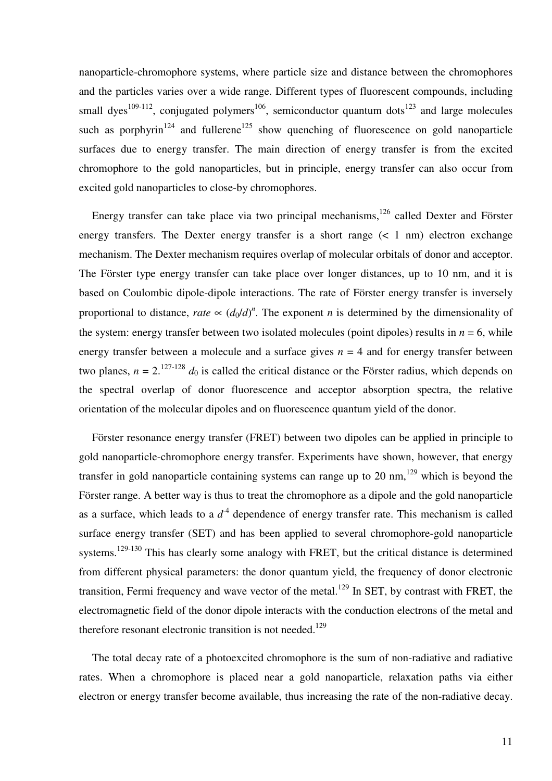nanoparticle-chromophore systems, where particle size and distance between the chromophores and the particles varies over a wide range. Different types of fluorescent compounds, including small dyes<sup>109-112</sup>, conjugated polymers<sup>106</sup>, semiconductor quantum dots<sup>123</sup> and large molecules such as porphyrin<sup>124</sup> and fullerene<sup>125</sup> show quenching of fluorescence on gold nanoparticle surfaces due to energy transfer. The main direction of energy transfer is from the excited chromophore to the gold nanoparticles, but in principle, energy transfer can also occur from excited gold nanoparticles to close-by chromophores.

Energy transfer can take place via two principal mechanisms,  $126$  called Dexter and Förster energy transfers. The Dexter energy transfer is a short range  $(< 1 \text{ nm})$  electron exchange mechanism. The Dexter mechanism requires overlap of molecular orbitals of donor and acceptor. The Förster type energy transfer can take place over longer distances, up to 10 nm, and it is based on Coulombic dipole-dipole interactions. The rate of Förster energy transfer is inversely proportional to distance, *rate*  $\propto (d_0/d)^n$ . The exponent *n* is determined by the dimensionality of the system: energy transfer between two isolated molecules (point dipoles) results in  $n = 6$ , while energy transfer between a molecule and a surface gives  $n = 4$  and for energy transfer between two planes,  $n = 2^{127-128}$  *d*<sub>0</sub> is called the critical distance or the Förster radius, which depends on the spectral overlap of donor fluorescence and acceptor absorption spectra, the relative orientation of the molecular dipoles and on fluorescence quantum yield of the donor.

Förster resonance energy transfer (FRET) between two dipoles can be applied in principle to gold nanoparticle-chromophore energy transfer. Experiments have shown, however, that energy transfer in gold nanoparticle containing systems can range up to  $20 \text{ nm}$ ,  $^{129}$  which is beyond the Förster range. A better way is thus to treat the chromophore as a dipole and the gold nanoparticle as a surface, which leads to a  $d<sup>4</sup>$  dependence of energy transfer rate. This mechanism is called surface energy transfer (SET) and has been applied to several chromophore-gold nanoparticle systems.<sup>129-130</sup> This has clearly some analogy with FRET, but the critical distance is determined from different physical parameters: the donor quantum yield, the frequency of donor electronic transition, Fermi frequency and wave vector of the metal.<sup>129</sup> In SET, by contrast with FRET, the electromagnetic field of the donor dipole interacts with the conduction electrons of the metal and therefore resonant electronic transition is not needed.<sup>129</sup>

The total decay rate of a photoexcited chromophore is the sum of non-radiative and radiative rates. When a chromophore is placed near a gold nanoparticle, relaxation paths via either electron or energy transfer become available, thus increasing the rate of the non-radiative decay.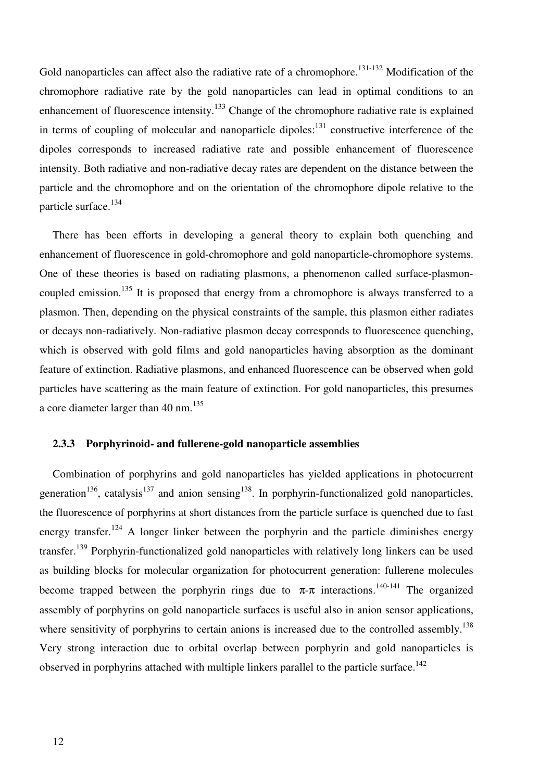Gold nanoparticles can affect also the radiative rate of a chromophore.<sup>131-132</sup> Modification of the chromophore radiative rate by the gold nanoparticles can lead in optimal conditions to an enhancement of fluorescence intensity.<sup>133</sup> Change of the chromophore radiative rate is explained in terms of coupling of molecular and nanoparticle dipoles: $131$  constructive interference of the dipoles corresponds to increased radiative rate and possible enhancement of fluorescence intensity. Both radiative and non-radiative decay rates are dependent on the distance between the particle and the chromophore and on the orientation of the chromophore dipole relative to the particle surface.<sup>134</sup>

There has been efforts in developing a general theory to explain both quenching and enhancement of fluorescence in gold-chromophore and gold nanoparticle-chromophore systems. One of these theories is based on radiating plasmons, a phenomenon called surface-plasmoncoupled emission.<sup>135</sup> It is proposed that energy from a chromophore is always transferred to a plasmon. Then, depending on the physical constraints of the sample, this plasmon either radiates or decays non-radiatively. Non-radiative plasmon decay corresponds to fluorescence quenching, which is observed with gold films and gold nanoparticles having absorption as the dominant feature of extinction. Radiative plasmons, and enhanced fluorescence can be observed when gold particles have scattering as the main feature of extinction. For gold nanoparticles, this presumes a core diameter larger than 40 nm.<sup>135</sup>

## **2.3.3 Porphyrinoid- and fullerene-gold nanoparticle assemblies**

Combination of porphyrins and gold nanoparticles has yielded applications in photocurrent generation<sup>136</sup>, catalysis<sup>137</sup> and anion sensing<sup>138</sup>. In porphyrin-functionalized gold nanoparticles, the fluorescence of porphyrins at short distances from the particle surface is quenched due to fast energy transfer.<sup>124</sup> A longer linker between the porphyrin and the particle diminishes energy transfer.<sup>139</sup> Porphyrin-functionalized gold nanoparticles with relatively long linkers can be used as building blocks for molecular organization for photocurrent generation: fullerene molecules become trapped between the porphyrin rings due to  $\pi$ - $\pi$  interactions.<sup>140-141</sup> The organized assembly of porphyrins on gold nanoparticle surfaces is useful also in anion sensor applications, where sensitivity of porphyrins to certain anions is increased due to the controlled assembly.<sup>138</sup> Very strong interaction due to orbital overlap between porphyrin and gold nanoparticles is observed in porphyrins attached with multiple linkers parallel to the particle surface.<sup>142</sup>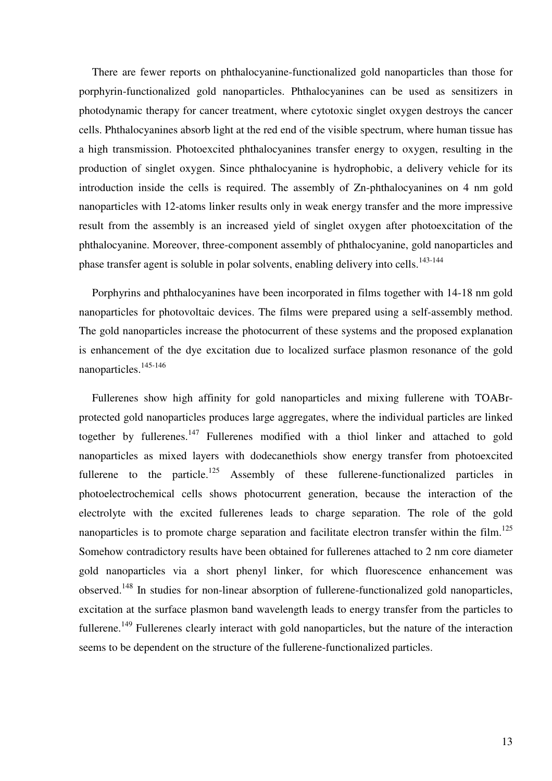There are fewer reports on phthalocyanine-functionalized gold nanoparticles than those for porphyrin-functionalized gold nanoparticles. Phthalocyanines can be used as sensitizers in photodynamic therapy for cancer treatment, where cytotoxic singlet oxygen destroys the cancer cells. Phthalocyanines absorb light at the red end of the visible spectrum, where human tissue has a high transmission. Photoexcited phthalocyanines transfer energy to oxygen, resulting in the production of singlet oxygen. Since phthalocyanine is hydrophobic, a delivery vehicle for its introduction inside the cells is required. The assembly of Zn-phthalocyanines on 4 nm gold nanoparticles with 12-atoms linker results only in weak energy transfer and the more impressive result from the assembly is an increased yield of singlet oxygen after photoexcitation of the phthalocyanine. Moreover, three-component assembly of phthalocyanine, gold nanoparticles and phase transfer agent is soluble in polar solvents, enabling delivery into cells.<sup>143-144</sup>

Porphyrins and phthalocyanines have been incorporated in films together with 14-18 nm gold nanoparticles for photovoltaic devices. The films were prepared using a self-assembly method. The gold nanoparticles increase the photocurrent of these systems and the proposed explanation is enhancement of the dye excitation due to localized surface plasmon resonance of the gold nanoparticles.<sup>145-146</sup>

Fullerenes show high affinity for gold nanoparticles and mixing fullerene with TOABrprotected gold nanoparticles produces large aggregates, where the individual particles are linked together by fullerenes.<sup>147</sup> Fullerenes modified with a thiol linker and attached to gold nanoparticles as mixed layers with dodecanethiols show energy transfer from photoexcited fullerene to the particle.<sup>125</sup> Assembly of these fullerene-functionalized particles in photoelectrochemical cells shows photocurrent generation, because the interaction of the electrolyte with the excited fullerenes leads to charge separation. The role of the gold nanoparticles is to promote charge separation and facilitate electron transfer within the film.<sup>125</sup> Somehow contradictory results have been obtained for fullerenes attached to 2 nm core diameter gold nanoparticles via a short phenyl linker, for which fluorescence enhancement was observed.<sup>148</sup> In studies for non-linear absorption of fullerene-functionalized gold nanoparticles, excitation at the surface plasmon band wavelength leads to energy transfer from the particles to fullerene.<sup>149</sup> Fullerenes clearly interact with gold nanoparticles, but the nature of the interaction seems to be dependent on the structure of the fullerene-functionalized particles.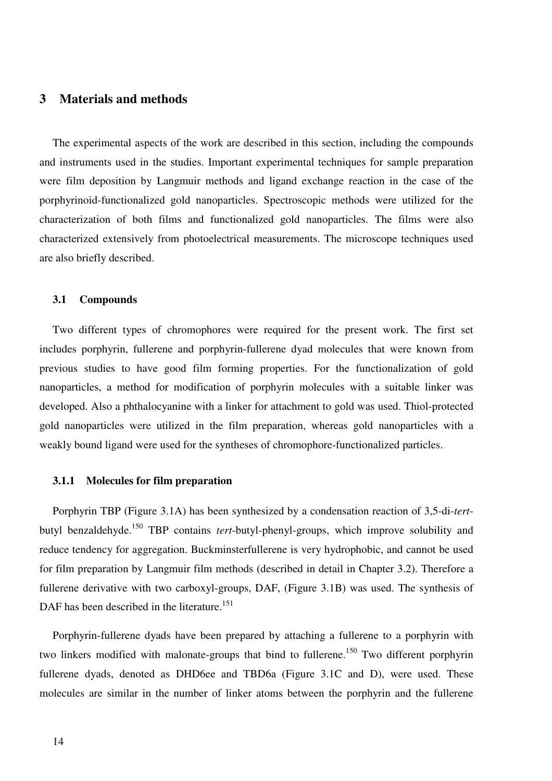## **3 Materials and methods**

The experimental aspects of the work are described in this section, including the compounds and instruments used in the studies. Important experimental techniques for sample preparation were film deposition by Langmuir methods and ligand exchange reaction in the case of the porphyrinoid-functionalized gold nanoparticles. Spectroscopic methods were utilized for the characterization of both films and functionalized gold nanoparticles. The films were also characterized extensively from photoelectrical measurements. The microscope techniques used are also briefly described.

#### **3.1 Compounds**

Two different types of chromophores were required for the present work. The first set includes porphyrin, fullerene and porphyrin-fullerene dyad molecules that were known from previous studies to have good film forming properties. For the functionalization of gold nanoparticles, a method for modification of porphyrin molecules with a suitable linker was developed. Also a phthalocyanine with a linker for attachment to gold was used. Thiol-protected gold nanoparticles were utilized in the film preparation, whereas gold nanoparticles with a weakly bound ligand were used for the syntheses of chromophore-functionalized particles.

#### **3.1.1 Molecules for film preparation**

Porphyrin TBP (Figure 3.1A) has been synthesized by a condensation reaction of 3,5-di-*tert*butyl benzaldehyde.<sup>150</sup> TBP contains *tert*-butyl-phenyl-groups, which improve solubility and reduce tendency for aggregation. Buckminsterfullerene is very hydrophobic, and cannot be used for film preparation by Langmuir film methods (described in detail in Chapter 3.2). Therefore a fullerene derivative with two carboxyl-groups, DAF, (Figure 3.1B) was used. The synthesis of DAF has been described in the literature.<sup>151</sup>

Porphyrin-fullerene dyads have been prepared by attaching a fullerene to a porphyrin with two linkers modified with malonate-groups that bind to fullerene.<sup>150</sup> Two different porphyrin fullerene dyads, denoted as DHD6ee and TBD6a (Figure 3.1C and D), were used. These molecules are similar in the number of linker atoms between the porphyrin and the fullerene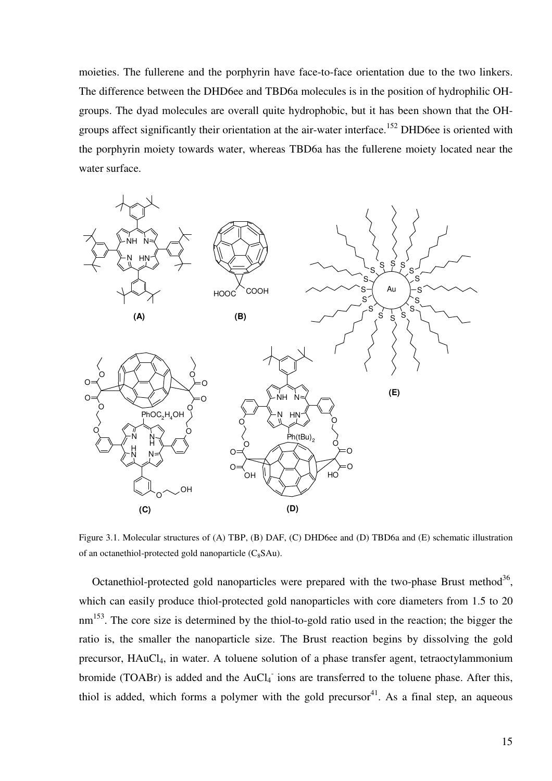moieties. The fullerene and the porphyrin have face-to-face orientation due to the two linkers. The difference between the DHD6ee and TBD6a molecules is in the position of hydrophilic OHgroups. The dyad molecules are overall quite hydrophobic, but it has been shown that the OHgroups affect significantly their orientation at the air-water interface.<sup>152</sup> DHD6ee is oriented with the porphyrin moiety towards water, whereas TBD6a has the fullerene moiety located near the water surface.



Figure 3.1. Molecular structures of (A) TBP, (B) DAF, (C) DHD6ee and (D) TBD6a and (E) schematic illustration of an octanethiol-protected gold nanoparticle  $(C_8SAu)$ .

Octanethiol-protected gold nanoparticles were prepared with the two-phase Brust method<sup>36</sup>, which can easily produce thiol-protected gold nanoparticles with core diameters from 1.5 to 20 nm<sup>153</sup>. The core size is determined by the thiol-to-gold ratio used in the reaction; the bigger the ratio is, the smaller the nanoparticle size. The Brust reaction begins by dissolving the gold precursor, HAuCl4, in water. A toluene solution of a phase transfer agent, tetraoctylammonium bromide (TOABr) is added and the  $AuCl<sub>4</sub>$  ions are transferred to the toluene phase. After this, thiol is added, which forms a polymer with the gold precursor<sup>41</sup>. As a final step, an aqueous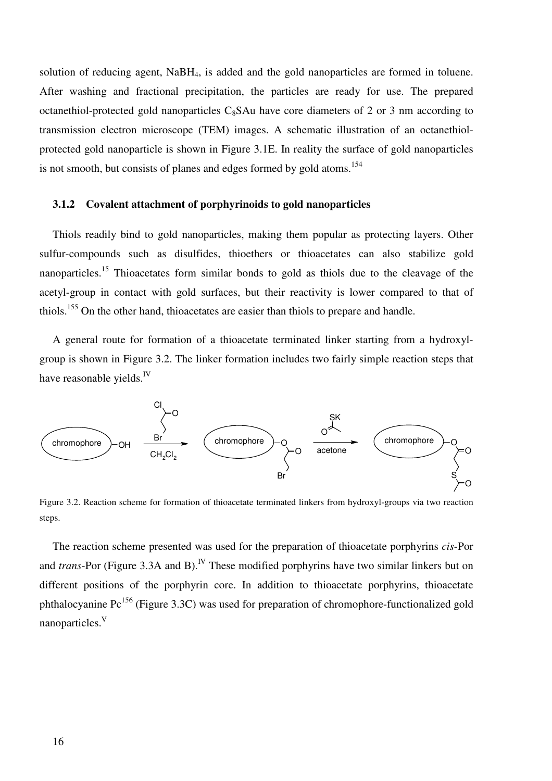solution of reducing agent, NaBH<sub>4</sub>, is added and the gold nanoparticles are formed in toluene. After washing and fractional precipitation, the particles are ready for use. The prepared octanethiol-protected gold nanoparticles  $C_8$ SAu have core diameters of 2 or 3 nm according to transmission electron microscope (TEM) images. A schematic illustration of an octanethiolprotected gold nanoparticle is shown in Figure 3.1E. In reality the surface of gold nanoparticles is not smooth, but consists of planes and edges formed by gold atoms.<sup>154</sup>

#### **3.1.2 Covalent attachment of porphyrinoids to gold nanoparticles**

Thiols readily bind to gold nanoparticles, making them popular as protecting layers. Other sulfur-compounds such as disulfides, thioethers or thioacetates can also stabilize gold nanoparticles.<sup>15</sup> Thioacetates form similar bonds to gold as thiols due to the cleavage of the acetyl-group in contact with gold surfaces, but their reactivity is lower compared to that of thiols.<sup>155</sup> On the other hand, thioacetates are easier than thiols to prepare and handle.

A general route for formation of a thioacetate terminated linker starting from a hydroxylgroup is shown in Figure 3.2. The linker formation includes two fairly simple reaction steps that have reasonable yields. $^{IV}$ 



Figure 3.2. Reaction scheme for formation of thioacetate terminated linkers from hydroxyl-groups via two reaction steps.

The reaction scheme presented was used for the preparation of thioacetate porphyrins *cis*-Por and *trans*-Por (Figure 3.3A and B).<sup>IV</sup> These modified porphyrins have two similar linkers but on different positions of the porphyrin core. In addition to thioacetate porphyrins, thioacetate phthalocyanine  $Pe^{156}$  (Figure 3.3C) was used for preparation of chromophore-functionalized gold nanoparticles.<sup>V</sup>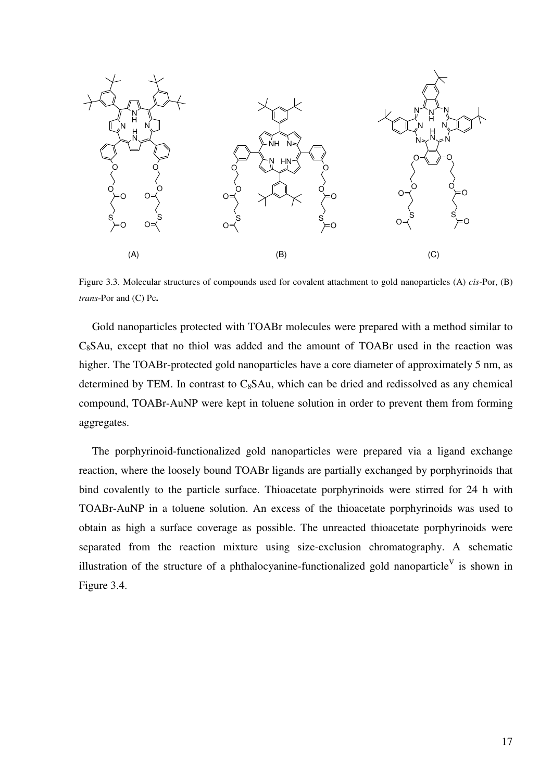

Figure 3.3. Molecular structures of compounds used for covalent attachment to gold nanoparticles (A) *cis*-Por, (B) *trans*-Por and (C) Pc**.** 

Gold nanoparticles protected with TOABr molecules were prepared with a method similar to  $C_8$ SAu, except that no thiol was added and the amount of TOABr used in the reaction was higher. The TOABr-protected gold nanoparticles have a core diameter of approximately 5 nm, as determined by TEM. In contrast to  $C_8SAu$ , which can be dried and redissolved as any chemical compound, TOABr-AuNP were kept in toluene solution in order to prevent them from forming aggregates.

The porphyrinoid-functionalized gold nanoparticles were prepared via a ligand exchange reaction, where the loosely bound TOABr ligands are partially exchanged by porphyrinoids that bind covalently to the particle surface. Thioacetate porphyrinoids were stirred for 24 h with TOABr-AuNP in a toluene solution. An excess of the thioacetate porphyrinoids was used to obtain as high a surface coverage as possible. The unreacted thioacetate porphyrinoids were separated from the reaction mixture using size-exclusion chromatography. A schematic illustration of the structure of a phthalocyanine-functionalized gold nanoparticle<sup>V</sup> is shown in Figure 3.4.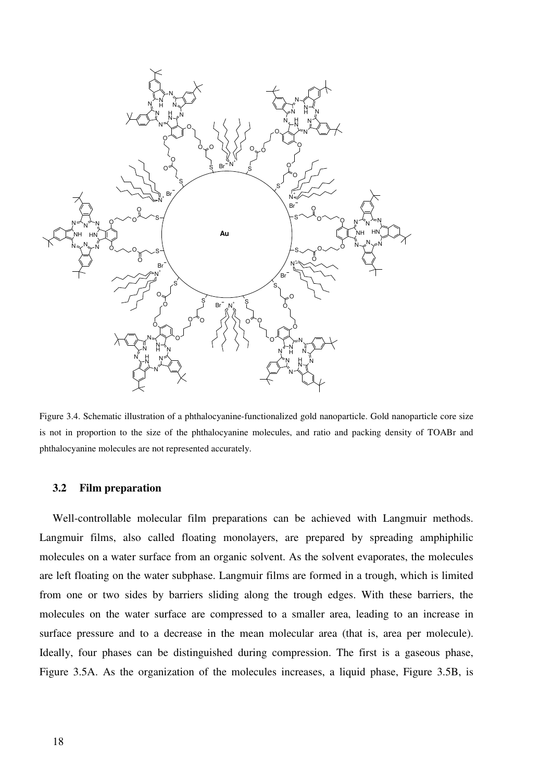

Figure 3.4. Schematic illustration of a phthalocyanine-functionalized gold nanoparticle. Gold nanoparticle core size is not in proportion to the size of the phthalocyanine molecules, and ratio and packing density of TOABr and phthalocyanine molecules are not represented accurately.

#### **3.2 Film preparation**

Well-controllable molecular film preparations can be achieved with Langmuir methods. Langmuir films, also called floating monolayers, are prepared by spreading amphiphilic molecules on a water surface from an organic solvent. As the solvent evaporates, the molecules are left floating on the water subphase. Langmuir films are formed in a trough, which is limited from one or two sides by barriers sliding along the trough edges. With these barriers, the molecules on the water surface are compressed to a smaller area, leading to an increase in surface pressure and to a decrease in the mean molecular area (that is, area per molecule). Ideally, four phases can be distinguished during compression. The first is a gaseous phase, Figure 3.5A. As the organization of the molecules increases, a liquid phase, Figure 3.5B, is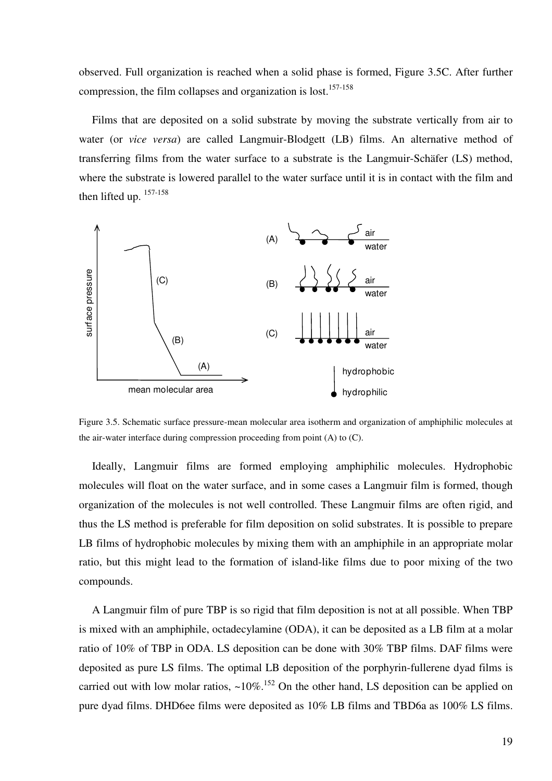observed. Full organization is reached when a solid phase is formed, Figure 3.5C. After further compression, the film collapses and organization is lost.<sup>157-158</sup>

Films that are deposited on a solid substrate by moving the substrate vertically from air to water (or *vice versa*) are called Langmuir-Blodgett (LB) films. An alternative method of transferring films from the water surface to a substrate is the Langmuir-Schäfer (LS) method, where the substrate is lowered parallel to the water surface until it is in contact with the film and then lifted up.  $157-158$ 



Figure 3.5. Schematic surface pressure-mean molecular area isotherm and organization of amphiphilic molecules at the air-water interface during compression proceeding from point (A) to (C).

Ideally, Langmuir films are formed employing amphiphilic molecules. Hydrophobic molecules will float on the water surface, and in some cases a Langmuir film is formed, though organization of the molecules is not well controlled. These Langmuir films are often rigid, and thus the LS method is preferable for film deposition on solid substrates. It is possible to prepare LB films of hydrophobic molecules by mixing them with an amphiphile in an appropriate molar ratio, but this might lead to the formation of island-like films due to poor mixing of the two compounds.

A Langmuir film of pure TBP is so rigid that film deposition is not at all possible. When TBP is mixed with an amphiphile, octadecylamine (ODA), it can be deposited as a LB film at a molar ratio of 10% of TBP in ODA. LS deposition can be done with 30% TBP films. DAF films were deposited as pure LS films. The optimal LB deposition of the porphyrin-fullerene dyad films is carried out with low molar ratios,  $\sim 10\%$ .<sup>152</sup> On the other hand, LS deposition can be applied on pure dyad films. DHD6ee films were deposited as 10% LB films and TBD6a as 100% LS films.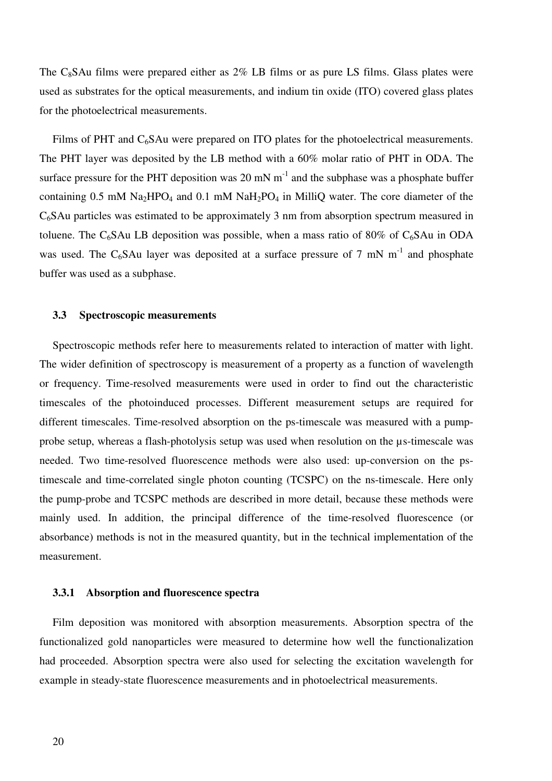The  $C_8$ SAu films were prepared either as  $2\%$  LB films or as pure LS films. Glass plates were used as substrates for the optical measurements, and indium tin oxide (ITO) covered glass plates for the photoelectrical measurements.

Films of PHT and  $C_6$ SAu were prepared on ITO plates for the photoelectrical measurements. The PHT layer was deposited by the LB method with a 60% molar ratio of PHT in ODA. The surface pressure for the PHT deposition was 20 mN  $m^{-1}$  and the subphase was a phosphate buffer containing  $0.5$  mM Na<sub>2</sub>HPO<sub>4</sub> and  $0.1$  mM NaH<sub>2</sub>PO<sub>4</sub> in MilliQ water. The core diameter of the C6SAu particles was estimated to be approximately 3 nm from absorption spectrum measured in toluene. The C<sub>6</sub>SAu LB deposition was possible, when a mass ratio of 80% of C<sub>6</sub>SAu in ODA was used. The C<sub>6</sub>SAu layer was deposited at a surface pressure of 7 mN  $m^{-1}$  and phosphate buffer was used as a subphase.

#### **3.3 Spectroscopic measurements**

Spectroscopic methods refer here to measurements related to interaction of matter with light. The wider definition of spectroscopy is measurement of a property as a function of wavelength or frequency. Time-resolved measurements were used in order to find out the characteristic timescales of the photoinduced processes. Different measurement setups are required for different timescales. Time-resolved absorption on the ps-timescale was measured with a pumpprobe setup, whereas a flash-photolysis setup was used when resolution on the µs-timescale was needed. Two time-resolved fluorescence methods were also used: up-conversion on the pstimescale and time-correlated single photon counting (TCSPC) on the ns-timescale. Here only the pump-probe and TCSPC methods are described in more detail, because these methods were mainly used. In addition, the principal difference of the time-resolved fluorescence (or absorbance) methods is not in the measured quantity, but in the technical implementation of the measurement.

#### **3.3.1 Absorption and fluorescence spectra**

Film deposition was monitored with absorption measurements. Absorption spectra of the functionalized gold nanoparticles were measured to determine how well the functionalization had proceeded. Absorption spectra were also used for selecting the excitation wavelength for example in steady-state fluorescence measurements and in photoelectrical measurements.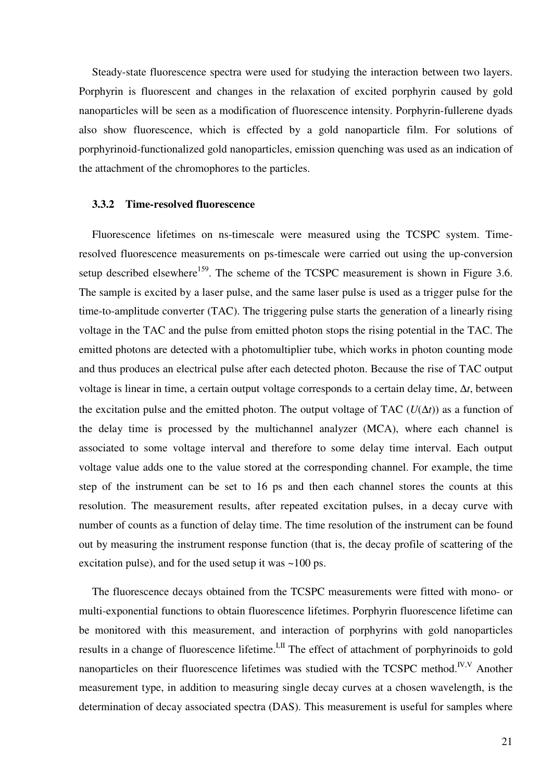Steady-state fluorescence spectra were used for studying the interaction between two layers. Porphyrin is fluorescent and changes in the relaxation of excited porphyrin caused by gold nanoparticles will be seen as a modification of fluorescence intensity. Porphyrin-fullerene dyads also show fluorescence, which is effected by a gold nanoparticle film. For solutions of porphyrinoid-functionalized gold nanoparticles, emission quenching was used as an indication of the attachment of the chromophores to the particles.

#### **3.3.2 Time-resolved fluorescence**

Fluorescence lifetimes on ns-timescale were measured using the TCSPC system. Timeresolved fluorescence measurements on ps-timescale were carried out using the up-conversion setup described elsewhere<sup>159</sup>. The scheme of the TCSPC measurement is shown in Figure 3.6. The sample is excited by a laser pulse, and the same laser pulse is used as a trigger pulse for the time-to-amplitude converter (TAC). The triggering pulse starts the generation of a linearly rising voltage in the TAC and the pulse from emitted photon stops the rising potential in the TAC. The emitted photons are detected with a photomultiplier tube, which works in photon counting mode and thus produces an electrical pulse after each detected photon. Because the rise of TAC output voltage is linear in time, a certain output voltage corresponds to a certain delay time, ∆*t*, between the excitation pulse and the emitted photon. The output voltage of TAC ( $U(\Delta t)$ ) as a function of the delay time is processed by the multichannel analyzer (MCA), where each channel is associated to some voltage interval and therefore to some delay time interval. Each output voltage value adds one to the value stored at the corresponding channel. For example, the time step of the instrument can be set to 16 ps and then each channel stores the counts at this resolution. The measurement results, after repeated excitation pulses, in a decay curve with number of counts as a function of delay time. The time resolution of the instrument can be found out by measuring the instrument response function (that is, the decay profile of scattering of the excitation pulse), and for the used setup it was ~100 ps.

The fluorescence decays obtained from the TCSPC measurements were fitted with mono- or multi-exponential functions to obtain fluorescence lifetimes. Porphyrin fluorescence lifetime can be monitored with this measurement, and interaction of porphyrins with gold nanoparticles results in a change of fluorescence lifetime.<sup>I,II</sup> The effect of attachment of porphyrinoids to gold nanoparticles on their fluorescence lifetimes was studied with the TCSPC method.<sup>IV,V</sup> Another measurement type, in addition to measuring single decay curves at a chosen wavelength, is the determination of decay associated spectra (DAS). This measurement is useful for samples where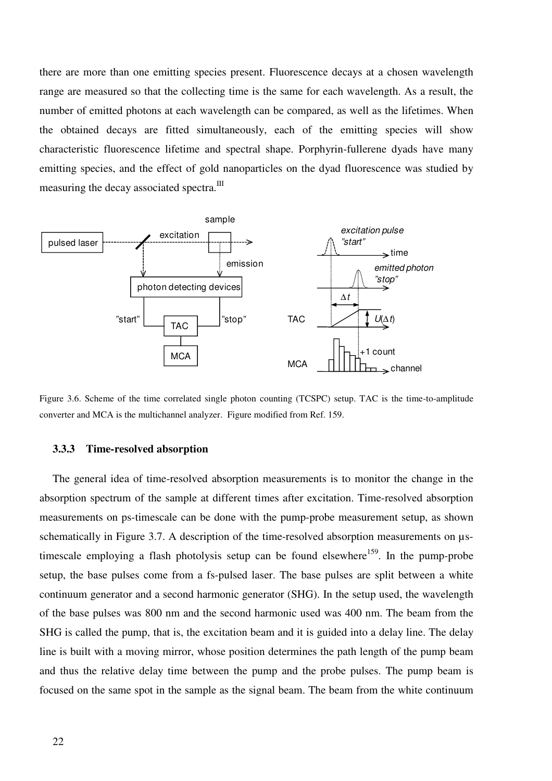there are more than one emitting species present. Fluorescence decays at a chosen wavelength range are measured so that the collecting time is the same for each wavelength. As a result, the number of emitted photons at each wavelength can be compared, as well as the lifetimes. When the obtained decays are fitted simultaneously, each of the emitting species will show characteristic fluorescence lifetime and spectral shape. Porphyrin-fullerene dyads have many emitting species, and the effect of gold nanoparticles on the dyad fluorescence was studied by measuring the decay associated spectra.<sup>III</sup>



Figure 3.6. Scheme of the time correlated single photon counting (TCSPC) setup. TAC is the time-to-amplitude converter and MCA is the multichannel analyzer. Figure modified from Ref. 159.

#### **3.3.3 Time-resolved absorption**

The general idea of time-resolved absorption measurements is to monitor the change in the absorption spectrum of the sample at different times after excitation. Time-resolved absorption measurements on ps-timescale can be done with the pump-probe measurement setup, as shown schematically in Figure 3.7. A description of the time-resolved absorption measurements on  $\mu$ stimescale employing a flash photolysis setup can be found elsewhere<sup>159</sup>. In the pump-probe setup, the base pulses come from a fs-pulsed laser. The base pulses are split between a white continuum generator and a second harmonic generator (SHG). In the setup used, the wavelength of the base pulses was 800 nm and the second harmonic used was 400 nm. The beam from the SHG is called the pump, that is, the excitation beam and it is guided into a delay line. The delay line is built with a moving mirror, whose position determines the path length of the pump beam and thus the relative delay time between the pump and the probe pulses. The pump beam is focused on the same spot in the sample as the signal beam. The beam from the white continuum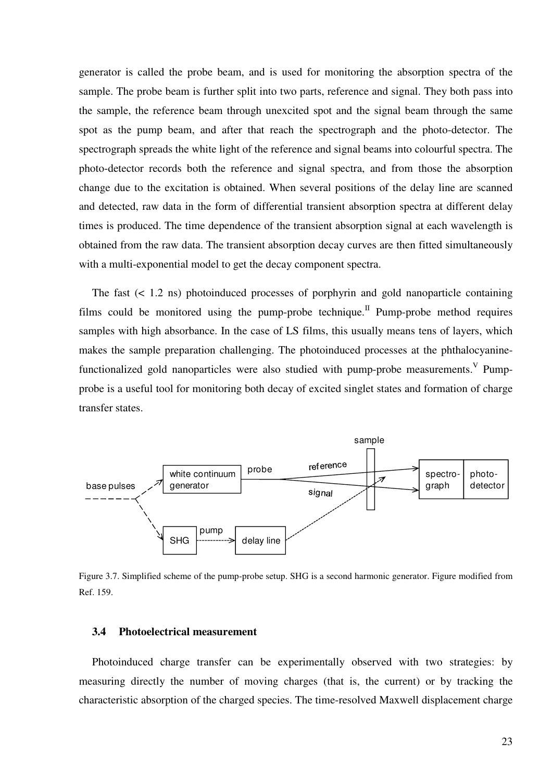generator is called the probe beam, and is used for monitoring the absorption spectra of the sample. The probe beam is further split into two parts, reference and signal. They both pass into the sample, the reference beam through unexcited spot and the signal beam through the same spot as the pump beam, and after that reach the spectrograph and the photo-detector. The spectrograph spreads the white light of the reference and signal beams into colourful spectra. The photo-detector records both the reference and signal spectra, and from those the absorption change due to the excitation is obtained. When several positions of the delay line are scanned and detected, raw data in the form of differential transient absorption spectra at different delay times is produced. The time dependence of the transient absorption signal at each wavelength is obtained from the raw data. The transient absorption decay curves are then fitted simultaneously with a multi-exponential model to get the decay component spectra.

The fast  $(< 1.2 \text{ ns})$  photoinduced processes of porphyrin and gold nanoparticle containing films could be monitored using the pump-probe technique.<sup>II</sup> Pump-probe method requires samples with high absorbance. In the case of LS films, this usually means tens of layers, which makes the sample preparation challenging. The photoinduced processes at the phthalocyaninefunctionalized gold nanoparticles were also studied with pump-probe measurements.  $V$  Pumpprobe is a useful tool for monitoring both decay of excited singlet states and formation of charge transfer states.



Figure 3.7. Simplified scheme of the pump-probe setup. SHG is a second harmonic generator. Figure modified from Ref. 159.

#### **3.4 Photoelectrical measurement**

Photoinduced charge transfer can be experimentally observed with two strategies: by measuring directly the number of moving charges (that is, the current) or by tracking the characteristic absorption of the charged species. The time-resolved Maxwell displacement charge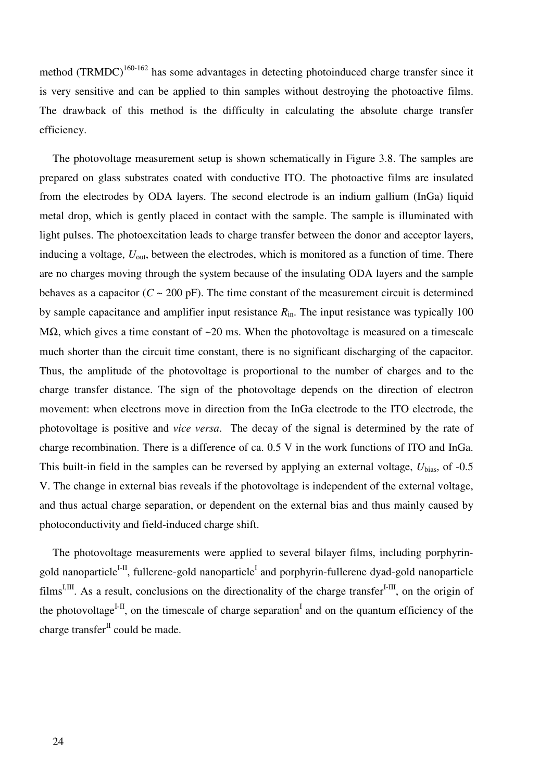method  $(TRMDC)^{160-162}$  has some advantages in detecting photoinduced charge transfer since it is very sensitive and can be applied to thin samples without destroying the photoactive films. The drawback of this method is the difficulty in calculating the absolute charge transfer efficiency.

The photovoltage measurement setup is shown schematically in Figure 3.8. The samples are prepared on glass substrates coated with conductive ITO. The photoactive films are insulated from the electrodes by ODA layers. The second electrode is an indium gallium (InGa) liquid metal drop, which is gently placed in contact with the sample. The sample is illuminated with light pulses. The photoexcitation leads to charge transfer between the donor and acceptor layers, inducing a voltage,  $U_{\text{out}}$ , between the electrodes, which is monitored as a function of time. There are no charges moving through the system because of the insulating ODA layers and the sample behaves as a capacitor  $(C \sim 200 \text{ pF})$ . The time constant of the measurement circuit is determined by sample capacitance and amplifier input resistance  $R_{\text{in}}$ . The input resistance was typically 100 MΩ, which gives a time constant of  $\sim$ 20 ms. When the photovoltage is measured on a timescale much shorter than the circuit time constant, there is no significant discharging of the capacitor. Thus, the amplitude of the photovoltage is proportional to the number of charges and to the charge transfer distance. The sign of the photovoltage depends on the direction of electron movement: when electrons move in direction from the InGa electrode to the ITO electrode, the photovoltage is positive and *vice versa*. The decay of the signal is determined by the rate of charge recombination. There is a difference of ca. 0.5 V in the work functions of ITO and InGa. This built-in field in the samples can be reversed by applying an external voltage,  $U_{\text{bias}}$ , of  $-0.5$ V. The change in external bias reveals if the photovoltage is independent of the external voltage, and thus actual charge separation, or dependent on the external bias and thus mainly caused by photoconductivity and field-induced charge shift.

The photovoltage measurements were applied to several bilayer films, including porphyringold nanoparticle<sup>I-II</sup>, fullerene-gold nanoparticle<sup>I</sup> and porphyrin-fullerene dyad-gold nanoparticle  $films<sup>I,III</sup>$ . As a result, conclusions on the directionality of the charge transfer<sup>I-III</sup>, on the origin of the photovoltage<sup>I-II</sup>, on the timescale of charge separation<sup>I</sup> and on the quantum efficiency of the charge transfer $I<sup>II</sup>$  could be made.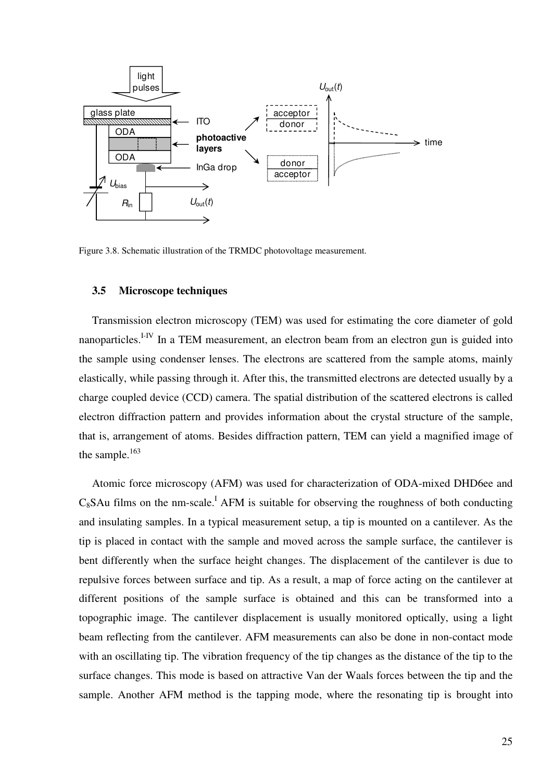

Figure 3.8. Schematic illustration of the TRMDC photovoltage measurement.

#### **3.5 Microscope techniques**

Transmission electron microscopy (TEM) was used for estimating the core diameter of gold nanoparticles.<sup>I-IV</sup> In a TEM measurement, an electron beam from an electron gun is guided into the sample using condenser lenses. The electrons are scattered from the sample atoms, mainly elastically, while passing through it. After this, the transmitted electrons are detected usually by a charge coupled device (CCD) camera. The spatial distribution of the scattered electrons is called electron diffraction pattern and provides information about the crystal structure of the sample, that is, arrangement of atoms. Besides diffraction pattern, TEM can yield a magnified image of the sample. $163$ 

Atomic force microscopy (AFM) was used for characterization of ODA-mixed DHD6ee and  $C_8$ SAu films on the nm-scale.<sup>I</sup> AFM is suitable for observing the roughness of both conducting and insulating samples. In a typical measurement setup, a tip is mounted on a cantilever. As the tip is placed in contact with the sample and moved across the sample surface, the cantilever is bent differently when the surface height changes. The displacement of the cantilever is due to repulsive forces between surface and tip. As a result, a map of force acting on the cantilever at different positions of the sample surface is obtained and this can be transformed into a topographic image. The cantilever displacement is usually monitored optically, using a light beam reflecting from the cantilever. AFM measurements can also be done in non-contact mode with an oscillating tip. The vibration frequency of the tip changes as the distance of the tip to the surface changes. This mode is based on attractive Van der Waals forces between the tip and the sample. Another AFM method is the tapping mode, where the resonating tip is brought into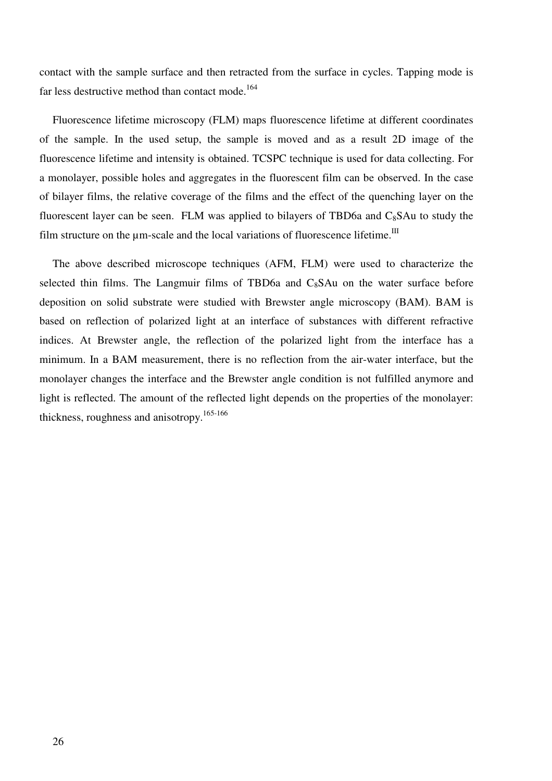contact with the sample surface and then retracted from the surface in cycles. Tapping mode is far less destructive method than contact mode.<sup>164</sup>

Fluorescence lifetime microscopy (FLM) maps fluorescence lifetime at different coordinates of the sample. In the used setup, the sample is moved and as a result 2D image of the fluorescence lifetime and intensity is obtained. TCSPC technique is used for data collecting. For a monolayer, possible holes and aggregates in the fluorescent film can be observed. In the case of bilayer films, the relative coverage of the films and the effect of the quenching layer on the fluorescent layer can be seen. FLM was applied to bilayers of TBD6a and  $C_8$ SAu to study the film structure on the  $\mu$ m-scale and the local variations of fluorescence lifetime.<sup>III</sup>

The above described microscope techniques (AFM, FLM) were used to characterize the selected thin films. The Langmuir films of TBD6a and  $C_8$ SAu on the water surface before deposition on solid substrate were studied with Brewster angle microscopy (BAM). BAM is based on reflection of polarized light at an interface of substances with different refractive indices. At Brewster angle, the reflection of the polarized light from the interface has a minimum. In a BAM measurement, there is no reflection from the air-water interface, but the monolayer changes the interface and the Brewster angle condition is not fulfilled anymore and light is reflected. The amount of the reflected light depends on the properties of the monolayer: thickness, roughness and anisotropy.<sup>165-166</sup>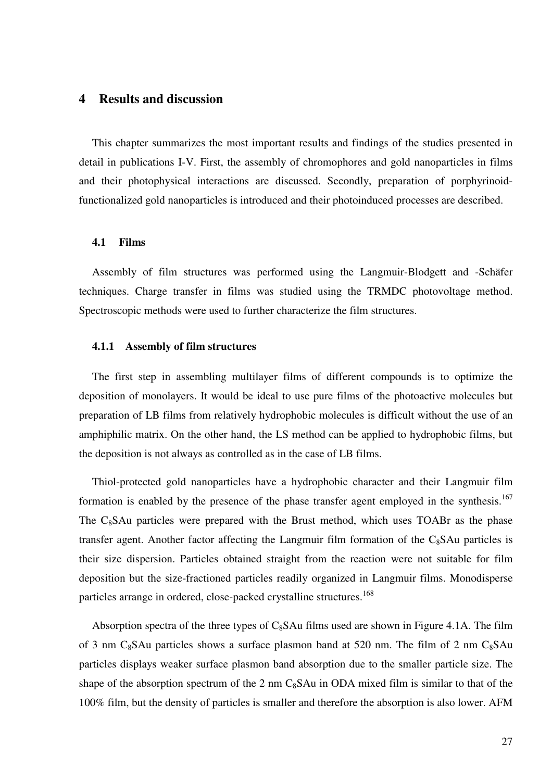## **4 Results and discussion**

This chapter summarizes the most important results and findings of the studies presented in detail in publications I-V. First, the assembly of chromophores and gold nanoparticles in films and their photophysical interactions are discussed. Secondly, preparation of porphyrinoidfunctionalized gold nanoparticles is introduced and their photoinduced processes are described.

#### **4.1 Films**

Assembly of film structures was performed using the Langmuir-Blodgett and -Schäfer techniques. Charge transfer in films was studied using the TRMDC photovoltage method. Spectroscopic methods were used to further characterize the film structures.

#### **4.1.1 Assembly of film structures**

The first step in assembling multilayer films of different compounds is to optimize the deposition of monolayers. It would be ideal to use pure films of the photoactive molecules but preparation of LB films from relatively hydrophobic molecules is difficult without the use of an amphiphilic matrix. On the other hand, the LS method can be applied to hydrophobic films, but the deposition is not always as controlled as in the case of LB films.

Thiol-protected gold nanoparticles have a hydrophobic character and their Langmuir film formation is enabled by the presence of the phase transfer agent employed in the synthesis.<sup>167</sup> The  $C_8$ SAu particles were prepared with the Brust method, which uses TOABr as the phase transfer agent. Another factor affecting the Langmuir film formation of the  $C_8$ SAu particles is their size dispersion. Particles obtained straight from the reaction were not suitable for film deposition but the size-fractioned particles readily organized in Langmuir films. Monodisperse particles arrange in ordered, close-packed crystalline structures.<sup>168</sup>

Absorption spectra of the three types of  $C_8$ SAu films used are shown in Figure 4.1A. The film of 3 nm  $C_8$ SAu particles shows a surface plasmon band at 520 nm. The film of 2 nm  $C_8$ SAu particles displays weaker surface plasmon band absorption due to the smaller particle size. The shape of the absorption spectrum of the  $2 \text{ nm C}_8$ SAu in ODA mixed film is similar to that of the 100% film, but the density of particles is smaller and therefore the absorption is also lower. AFM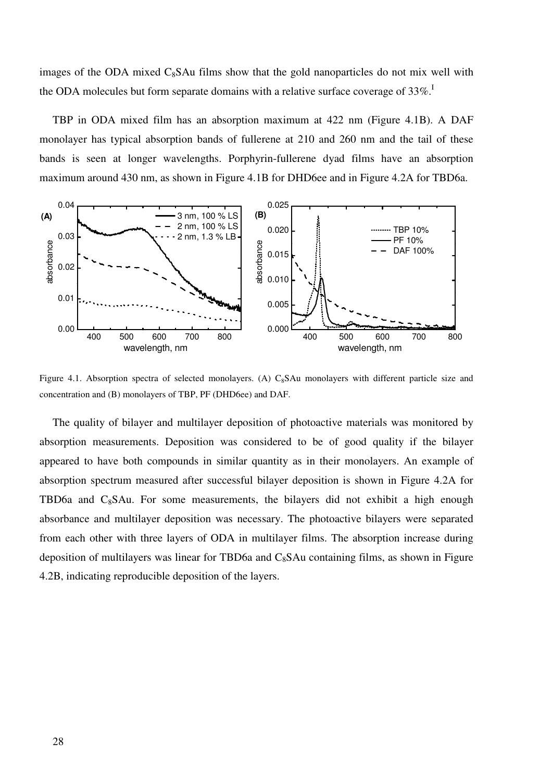images of the ODA mixed  $C_8$ SAu films show that the gold nanoparticles do not mix well with the ODA molecules but form separate domains with a relative surface coverage of  $33\%$ .<sup>I</sup>

TBP in ODA mixed film has an absorption maximum at 422 nm (Figure 4.1B). A DAF monolayer has typical absorption bands of fullerene at 210 and 260 nm and the tail of these bands is seen at longer wavelengths. Porphyrin-fullerene dyad films have an absorption maximum around 430 nm, as shown in Figure 4.1B for DHD6ee and in Figure 4.2A for TBD6a.



Figure 4.1. Absorption spectra of selected monolayers. (A)  $C_8$ SAu monolayers with different particle size and concentration and (B) monolayers of TBP, PF (DHD6ee) and DAF.

The quality of bilayer and multilayer deposition of photoactive materials was monitored by absorption measurements. Deposition was considered to be of good quality if the bilayer appeared to have both compounds in similar quantity as in their monolayers. An example of absorption spectrum measured after successful bilayer deposition is shown in Figure 4.2A for TBD6a and  $C_8$ SAu. For some measurements, the bilayers did not exhibit a high enough absorbance and multilayer deposition was necessary. The photoactive bilayers were separated from each other with three layers of ODA in multilayer films. The absorption increase during deposition of multilayers was linear for TBD6a and  $C_8$ SAu containing films, as shown in Figure 4.2B, indicating reproducible deposition of the layers.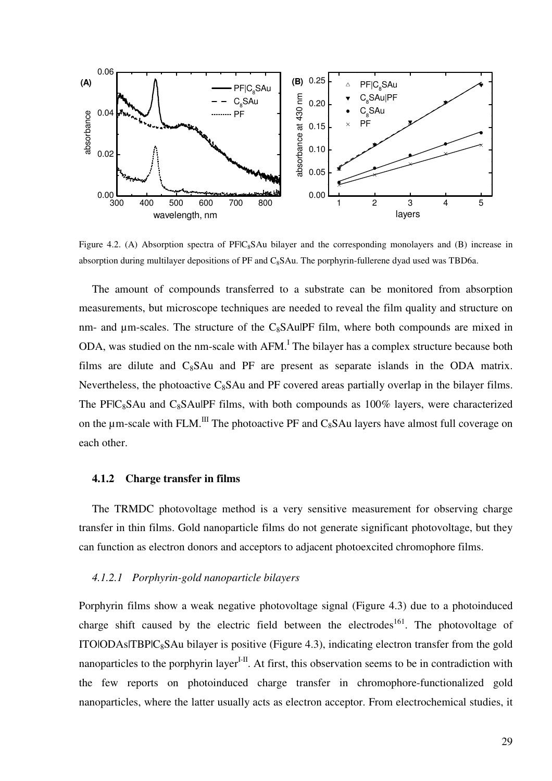

Figure 4.2. (A) Absorption spectra of PFIC<sub>8</sub>SAu bilayer and the corresponding monolayers and (B) increase in absorption during multilayer depositions of PF and  $C_8$ SAu. The porphyrin-fullerene dyad used was TBD6a.

The amount of compounds transferred to a substrate can be monitored from absorption measurements, but microscope techniques are needed to reveal the film quality and structure on nm- and  $\mu$ m-scales. The structure of the C<sub>8</sub>SAu|PF film, where both compounds are mixed in ODA, was studied on the nm-scale with  $AFM$ .<sup>I</sup> The bilayer has a complex structure because both films are dilute and  $C_8$ SAu and PF are present as separate islands in the ODA matrix. Nevertheless, the photoactive  $C_8$ SAu and PF covered areas partially overlap in the bilayer films. The PF|C<sub>8</sub>SAu and C<sub>8</sub>SAu|PF films, with both compounds as  $100\%$  layers, were characterized on the  $\mu$ m-scale with FLM.<sup>III</sup> The photoactive PF and C<sub>8</sub>SAu layers have almost full coverage on each other.

#### **4.1.2 Charge transfer in films**

The TRMDC photovoltage method is a very sensitive measurement for observing charge transfer in thin films. Gold nanoparticle films do not generate significant photovoltage, but they can function as electron donors and acceptors to adjacent photoexcited chromophore films.

#### *4.1.2.1 Porphyrin-gold nanoparticle bilayers*

Porphyrin films show a weak negative photovoltage signal (Figure 4.3) due to a photoinduced charge shift caused by the electric field between the electrodes<sup>161</sup>. The photovoltage of ITO|ODAs|TBP|C<sub>8</sub>SAu bilayer is positive (Figure 4.3), indicating electron transfer from the gold nanoparticles to the porphyrin layer<sup>I-II</sup>. At first, this observation seems to be in contradiction with the few reports on photoinduced charge transfer in chromophore-functionalized gold nanoparticles, where the latter usually acts as electron acceptor. From electrochemical studies, it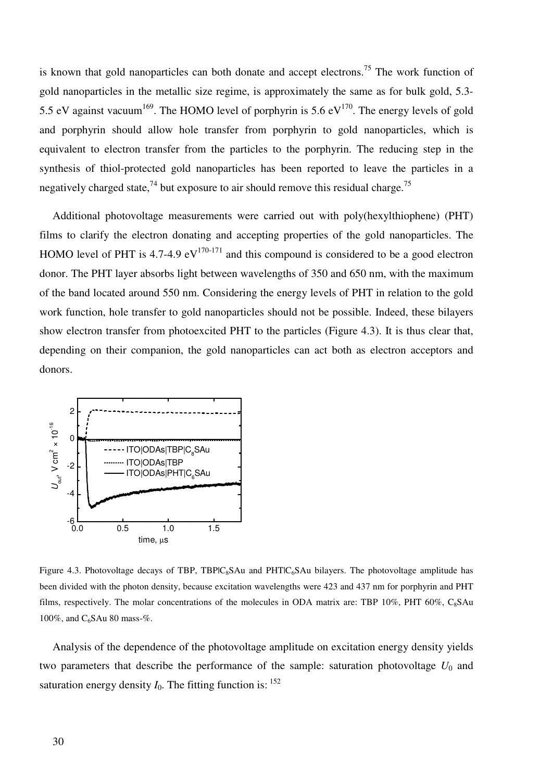is known that gold nanoparticles can both donate and accept electrons.<sup>75</sup> The work function of gold nanoparticles in the metallic size regime, is approximately the same as for bulk gold, 5.3- 5.5 eV against vacuum<sup>169</sup>. The HOMO level of porphyrin is 5.6 eV<sup>170</sup>. The energy levels of gold and porphyrin should allow hole transfer from porphyrin to gold nanoparticles, which is equivalent to electron transfer from the particles to the porphyrin. The reducing step in the synthesis of thiol-protected gold nanoparticles has been reported to leave the particles in a negatively charged state,<sup>74</sup> but exposure to air should remove this residual charge.<sup>75</sup>

Additional photovoltage measurements were carried out with poly(hexylthiophene) (PHT) films to clarify the electron donating and accepting properties of the gold nanoparticles. The HOMO level of PHT is 4.7-4.9  $eV^{170-171}$  and this compound is considered to be a good electron donor. The PHT layer absorbs light between wavelengths of 350 and 650 nm, with the maximum of the band located around 550 nm. Considering the energy levels of PHT in relation to the gold work function, hole transfer to gold nanoparticles should not be possible. Indeed, these bilayers show electron transfer from photoexcited PHT to the particles (Figure 4.3). It is thus clear that, depending on their companion, the gold nanoparticles can act both as electron acceptors and donors.



Figure 4.3. Photovoltage decays of TBP, TBP $|C_8SAu|$  and PHT $|C_6SAu|$  bilayers. The photovoltage amplitude has been divided with the photon density, because excitation wavelengths were 423 and 437 nm for porphyrin and PHT films, respectively. The molar concentrations of the molecules in ODA matrix are: TBP 10%, PHT 60%,  $C_8$ SAu 100%, and  $C_6$ SAu 80 mass-%.

Analysis of the dependence of the photovoltage amplitude on excitation energy density yields two parameters that describe the performance of the sample: saturation photovoltage  $U_0$  and saturation energy density  $I_0$ . The fitting function is:  $152$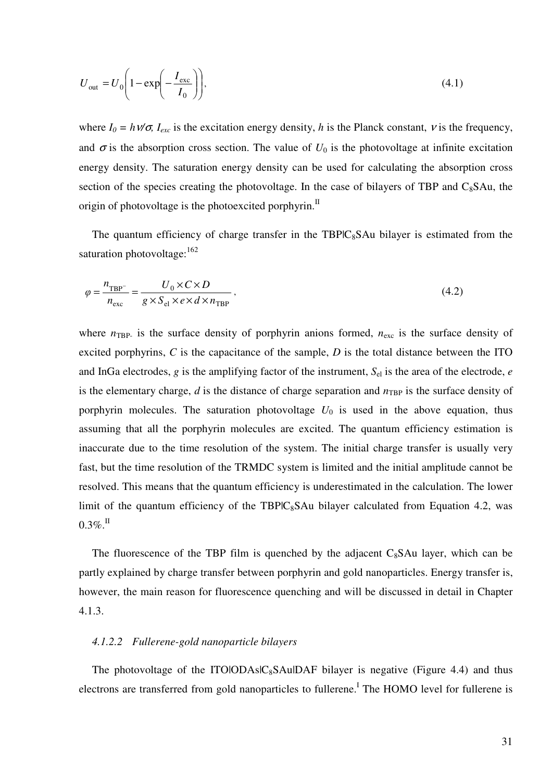$$
U_{\text{out}} = U_0 \left( 1 - \exp\left( -\frac{I_{\text{exc}}}{I_0} \right) \right),\tag{4.1}
$$

where  $I_0 = h \nu / \sigma$ ,  $I_{\text{exc}}$  is the excitation energy density, *h* is the Planck constant, *v* is the frequency, and  $\sigma$  is the absorption cross section. The value of  $U_0$  is the photovoltage at infinite excitation energy density. The saturation energy density can be used for calculating the absorption cross section of the species creating the photovoltage. In the case of bilayers of TBP and  $C_8SAu$ , the origin of photovoltage is the photoexcited porphyrin.<sup>II</sup>

The quantum efficiency of charge transfer in the  $TBPIC_8SAu$  bilayer is estimated from the saturation photovoltage: $162$ 

$$
\varphi = \frac{n_{\text{TBP}^-}}{n_{\text{exc}}} = \frac{U_0 \times C \times D}{g \times S_{\text{el}} \times e \times d \times n_{\text{TBP}}},\tag{4.2}
$$

where  $n_{\text{TBP}}$  is the surface density of porphyrin anions formed,  $n_{\text{exc}}$  is the surface density of excited porphyrins, *C* is the capacitance of the sample, *D* is the total distance between the ITO and InGa electrodes,  $g$  is the amplifying factor of the instrument,  $S_{el}$  is the area of the electrode,  $e$ is the elementary charge,  $d$  is the distance of charge separation and  $n_{\text{TBP}}$  is the surface density of porphyrin molecules. The saturation photovoltage  $U_0$  is used in the above equation, thus assuming that all the porphyrin molecules are excited. The quantum efficiency estimation is inaccurate due to the time resolution of the system. The initial charge transfer is usually very fast, but the time resolution of the TRMDC system is limited and the initial amplitude cannot be resolved. This means that the quantum efficiency is underestimated in the calculation. The lower limit of the quantum efficiency of the TBP $|C_8SAu$  bilayer calculated from Equation 4.2, was  $0.3\%$ . $^{\mathrm{II}}$ 

The fluorescence of the TBP film is quenched by the adjacent  $C_8SAu$  layer, which can be partly explained by charge transfer between porphyrin and gold nanoparticles. Energy transfer is, however, the main reason for fluorescence quenching and will be discussed in detail in Chapter 4.1.3.

#### *4.1.2.2 Fullerene-gold nanoparticle bilayers*

The photovoltage of the ITO|ODAs|C<sub>8</sub>SAu|DAF bilayer is negative (Figure 4.4) and thus electrons are transferred from gold nanoparticles to fullerene.<sup>I</sup> The HOMO level for fullerene is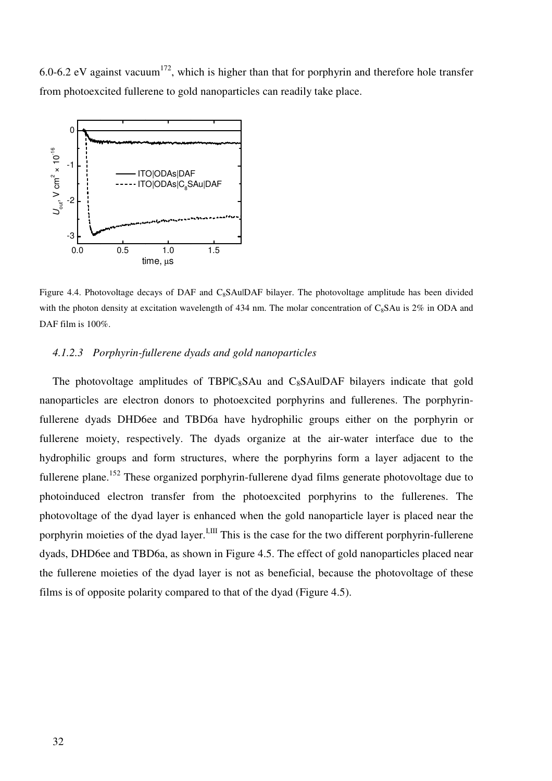6.0-6.2 eV against vacuum<sup>172</sup>, which is higher than that for porphyrin and therefore hole transfer from photoexcited fullerene to gold nanoparticles can readily take place.



Figure 4.4. Photovoltage decays of DAF and C<sub>8</sub>SAu|DAF bilayer. The photovoltage amplitude has been divided with the photon density at excitation wavelength of 434 nm. The molar concentration of  $C_8$ SAu is 2% in ODA and DAF film is 100%.

## *4.1.2.3 Porphyrin-fullerene dyads and gold nanoparticles*

The photovoltage amplitudes of TBP $|C_8SAu|$  and  $C_8SAu|DAF$  bilayers indicate that gold nanoparticles are electron donors to photoexcited porphyrins and fullerenes. The porphyrinfullerene dyads DHD6ee and TBD6a have hydrophilic groups either on the porphyrin or fullerene moiety, respectively. The dyads organize at the air-water interface due to the hydrophilic groups and form structures, where the porphyrins form a layer adjacent to the fullerene plane.<sup>152</sup> These organized porphyrin-fullerene dyad films generate photovoltage due to photoinduced electron transfer from the photoexcited porphyrins to the fullerenes. The photovoltage of the dyad layer is enhanced when the gold nanoparticle layer is placed near the porphyrin moieties of the dyad layer.<sup>I,III</sup> This is the case for the two different porphyrin-fullerene dyads, DHD6ee and TBD6a, as shown in Figure 4.5. The effect of gold nanoparticles placed near the fullerene moieties of the dyad layer is not as beneficial, because the photovoltage of these films is of opposite polarity compared to that of the dyad (Figure 4.5).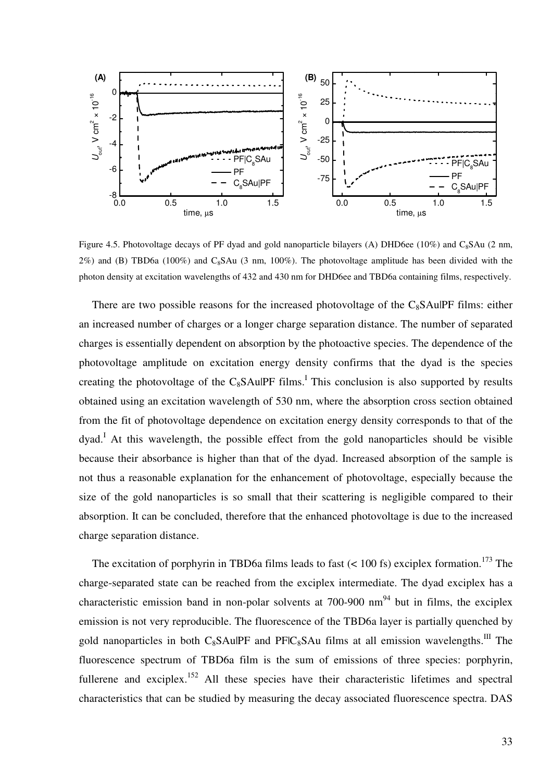

Figure 4.5. Photovoltage decays of PF dyad and gold nanoparticle bilayers (A) DHD6ee (10%) and  $C_8$ SAu (2 nm,  $2\%$ ) and (B) TBD6a (100%) and C<sub>8</sub>SAu (3 nm, 100%). The photovoltage amplitude has been divided with the photon density at excitation wavelengths of 432 and 430 nm for DHD6ee and TBD6a containing films, respectively.

There are two possible reasons for the increased photovoltage of the  $C_8$ SAu|PF films: either an increased number of charges or a longer charge separation distance. The number of separated charges is essentially dependent on absorption by the photoactive species. The dependence of the photovoltage amplitude on excitation energy density confirms that the dyad is the species creating the photovoltage of the  $C_8$ SAulPF films.<sup>I</sup> This conclusion is also supported by results obtained using an excitation wavelength of 530 nm, where the absorption cross section obtained from the fit of photovoltage dependence on excitation energy density corresponds to that of the dyad.<sup>I</sup> At this wavelength, the possible effect from the gold nanoparticles should be visible because their absorbance is higher than that of the dyad. Increased absorption of the sample is not thus a reasonable explanation for the enhancement of photovoltage, especially because the size of the gold nanoparticles is so small that their scattering is negligible compared to their absorption. It can be concluded, therefore that the enhanced photovoltage is due to the increased charge separation distance.

The excitation of porphyrin in TBD6a films leads to fast  $(< 100 \text{ fs})$  exciplex formation.<sup>173</sup> The charge-separated state can be reached from the exciplex intermediate. The dyad exciplex has a characteristic emission band in non-polar solvents at  $700-900$  nm<sup>94</sup> but in films, the exciplex emission is not very reproducible. The fluorescence of the TBD6a layer is partially quenched by gold nanoparticles in both  $C_8$ SAu|PF and PF|C<sub>8</sub>SAu films at all emission wavelengths.<sup>III</sup> The fluorescence spectrum of TBD6a film is the sum of emissions of three species: porphyrin, fullerene and exciplex.<sup>152</sup> All these species have their characteristic lifetimes and spectral characteristics that can be studied by measuring the decay associated fluorescence spectra. DAS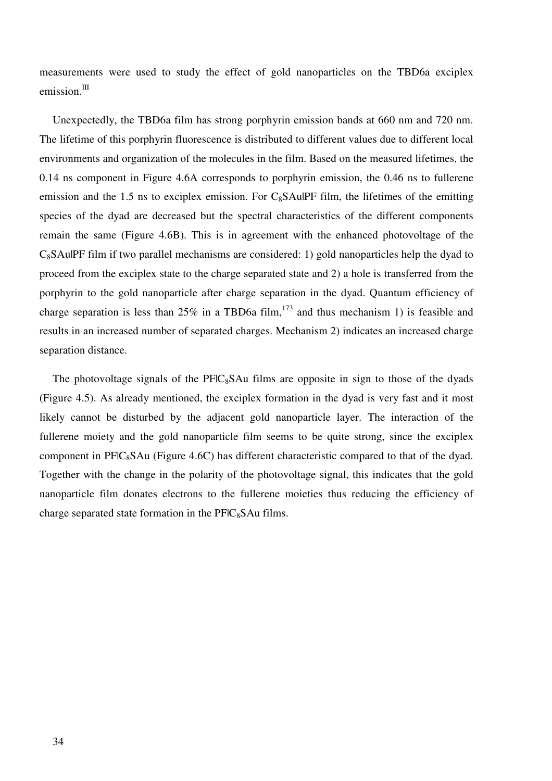measurements were used to study the effect of gold nanoparticles on the TBD6a exciplex emission.<sup>III</sup>

Unexpectedly, the TBD6a film has strong porphyrin emission bands at 660 nm and 720 nm. The lifetime of this porphyrin fluorescence is distributed to different values due to different local environments and organization of the molecules in the film. Based on the measured lifetimes, the 0.14 ns component in Figure 4.6A corresponds to porphyrin emission, the 0.46 ns to fullerene emission and the 1.5 ns to exciplex emission. For  $C_8$ SAulPF film, the lifetimes of the emitting species of the dyad are decreased but the spectral characteristics of the different components remain the same (Figure 4.6B). This is in agreement with the enhanced photovoltage of the  $C_8$ SAu|PF film if two parallel mechanisms are considered: 1) gold nanoparticles help the dyad to proceed from the exciplex state to the charge separated state and 2) a hole is transferred from the porphyrin to the gold nanoparticle after charge separation in the dyad. Quantum efficiency of charge separation is less than 25% in a TBD6a film,  $173$  and thus mechanism 1) is feasible and results in an increased number of separated charges. Mechanism 2) indicates an increased charge separation distance.

The photovoltage signals of the  $PFC_8SAu$  films are opposite in sign to those of the dyads (Figure 4.5). As already mentioned, the exciplex formation in the dyad is very fast and it most likely cannot be disturbed by the adjacent gold nanoparticle layer. The interaction of the fullerene moiety and the gold nanoparticle film seems to be quite strong, since the exciplex component in  $PFC_8SAu$  (Figure 4.6C) has different characteristic compared to that of the dyad. Together with the change in the polarity of the photovoltage signal, this indicates that the gold nanoparticle film donates electrons to the fullerene moieties thus reducing the efficiency of charge separated state formation in the  $PFIC_8SAu$  films.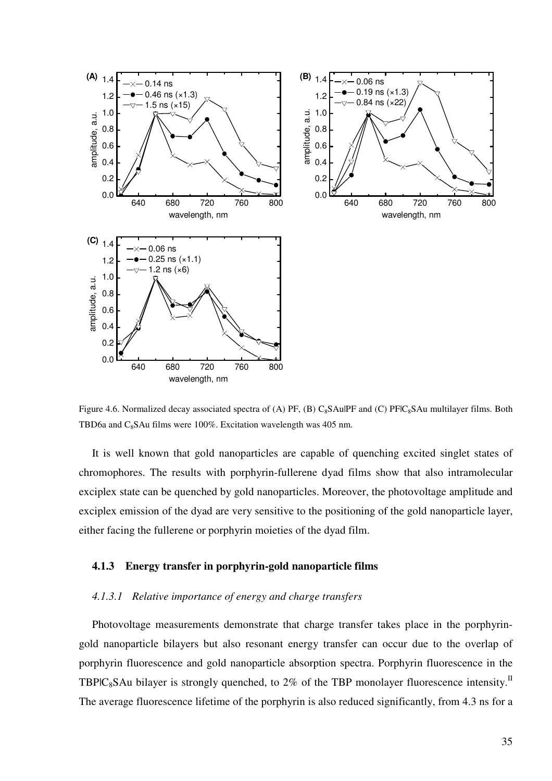

Figure 4.6. Normalized decay associated spectra of (A) PF, (B)  $C_8$ SAulPF and (C) PFIC<sub>8</sub>SAu multilayer films. Both TBD6a and  $C_8$ SAu films were 100%. Excitation wavelength was 405 nm.

It is well known that gold nanoparticles are capable of quenching excited singlet states of chromophores. The results with porphyrin-fullerene dyad films show that also intramolecular exciplex state can be quenched by gold nanoparticles. Moreover, the photovoltage amplitude and exciplex emission of the dyad are very sensitive to the positioning of the gold nanoparticle layer, either facing the fullerene or porphyrin moieties of the dyad film.

## **4.1.3 Energy transfer in porphyrin-gold nanoparticle films**

#### *4.1.3.1 Relative importance of energy and charge transfers*

Photovoltage measurements demonstrate that charge transfer takes place in the porphyringold nanoparticle bilayers but also resonant energy transfer can occur due to the overlap of porphyrin fluorescence and gold nanoparticle absorption spectra. Porphyrin fluorescence in the TBPIC<sub>8</sub>SAu bilayer is strongly quenched, to 2% of the TBP monolayer fluorescence intensity.<sup>II</sup> The average fluorescence lifetime of the porphyrin is also reduced significantly, from 4.3 ns for a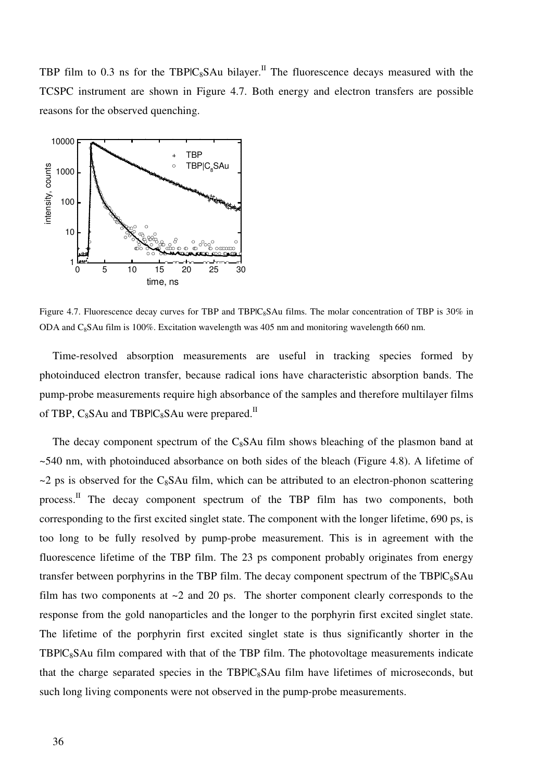TBP film to 0.3 ns for the TBPIC<sub>8</sub>SAu bilayer.<sup>II</sup> The fluorescence decays measured with the TCSPC instrument are shown in Figure 4.7. Both energy and electron transfers are possible reasons for the observed quenching.



Figure 4.7. Fluorescence decay curves for TBP and TBPIC<sub>8</sub>SAu films. The molar concentration of TBP is 30% in ODA and  $C_8$ SAu film is 100%. Excitation wavelength was 405 nm and monitoring wavelength 660 nm.

Time-resolved absorption measurements are useful in tracking species formed by photoinduced electron transfer, because radical ions have characteristic absorption bands. The pump-probe measurements require high absorbance of the samples and therefore multilayer films of TBP,  $C_8$ SAu and TBPl $C_8$ SAu were prepared.<sup>II</sup>

The decay component spectrum of the  $C_8$ SAu film shows bleaching of the plasmon band at ~540 nm, with photoinduced absorbance on both sides of the bleach (Figure 4.8). A lifetime of  $\sim$ 2 ps is observed for the C<sub>8</sub>SAu film, which can be attributed to an electron-phonon scattering process.<sup>II</sup> The decay component spectrum of the TBP film has two components, both corresponding to the first excited singlet state. The component with the longer lifetime, 690 ps, is too long to be fully resolved by pump-probe measurement. This is in agreement with the fluorescence lifetime of the TBP film. The 23 ps component probably originates from energy transfer between porphyrins in the TBP film. The decay component spectrum of the  $TBP|C_8SAu$ film has two components at  $\sim$ 2 and 20 ps. The shorter component clearly corresponds to the response from the gold nanoparticles and the longer to the porphyrin first excited singlet state. The lifetime of the porphyrin first excited singlet state is thus significantly shorter in the  $TBP|C_8SAu$  film compared with that of the TBP film. The photovoltage measurements indicate that the charge separated species in the  $TBPIC<sub>8</sub>SAu$  film have lifetimes of microseconds, but such long living components were not observed in the pump-probe measurements.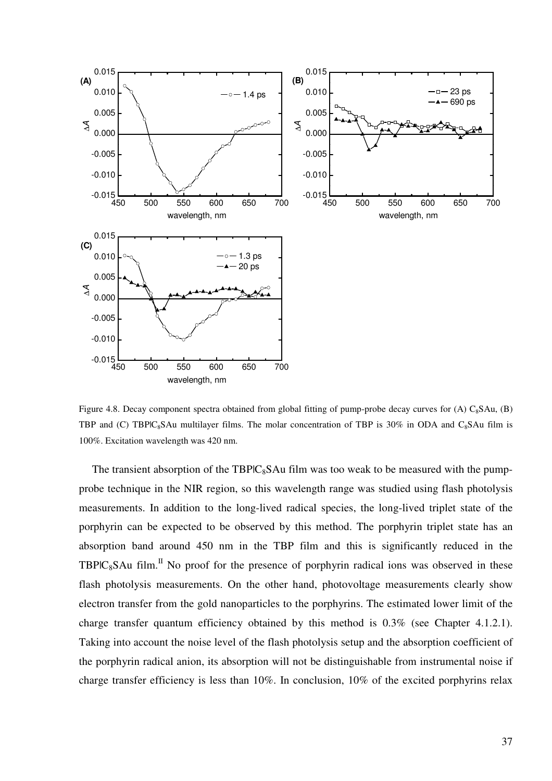

Figure 4.8. Decay component spectra obtained from global fitting of pump-probe decay curves for (A)  $C_8$ SAu, (B) TBP and (C) TBP|C $s$ SAu multilayer films. The molar concentration of TBP is 30% in ODA and C $s$ SAu film is 100%. Excitation wavelength was 420 nm.

The transient absorption of the  $TBPIC_8SAu$  film was too weak to be measured with the pumpprobe technique in the NIR region, so this wavelength range was studied using flash photolysis measurements. In addition to the long-lived radical species, the long-lived triplet state of the porphyrin can be expected to be observed by this method. The porphyrin triplet state has an absorption band around 450 nm in the TBP film and this is significantly reduced in the  $TBP|C_8SAu$  film.<sup>II</sup> No proof for the presence of porphyrin radical ions was observed in these flash photolysis measurements. On the other hand, photovoltage measurements clearly show electron transfer from the gold nanoparticles to the porphyrins. The estimated lower limit of the charge transfer quantum efficiency obtained by this method is 0.3% (see Chapter 4.1.2.1). Taking into account the noise level of the flash photolysis setup and the absorption coefficient of the porphyrin radical anion, its absorption will not be distinguishable from instrumental noise if charge transfer efficiency is less than 10%. In conclusion, 10% of the excited porphyrins relax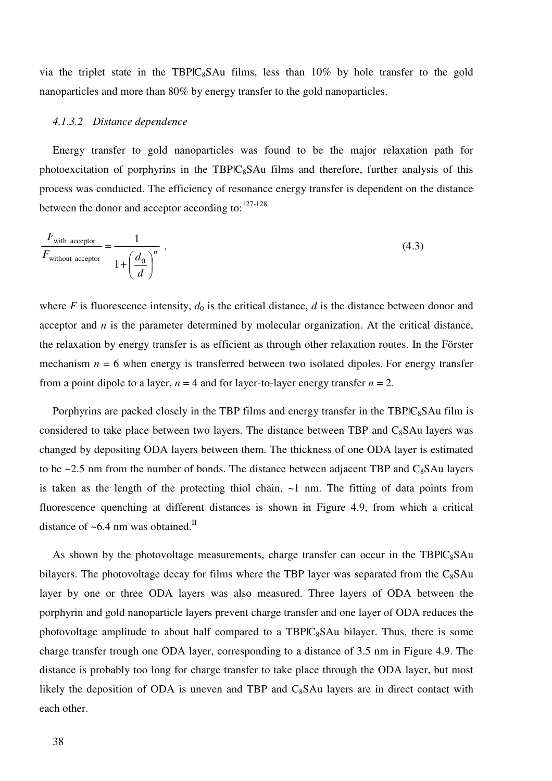via the triplet state in the TBPIC<sub>8</sub>SAu films, less than  $10\%$  by hole transfer to the gold nanoparticles and more than 80% by energy transfer to the gold nanoparticles.

#### *4.1.3.2 Distance dependence*

Energy transfer to gold nanoparticles was found to be the major relaxation path for photoexcitation of porphyrins in the TBP $IC_8SAu$  films and therefore, further analysis of this process was conducted. The efficiency of resonance energy transfer is dependent on the distance between the donor and acceptor according to: $127-128$ 

$$
\frac{F_{\text{with acceptor}}}{F_{\text{without acceptor}}} = \frac{1}{1 + \left(\frac{d_0}{d}\right)^n},
$$
\n(4.3)

where  $F$  is fluorescence intensity,  $d_0$  is the critical distance,  $d$  is the distance between donor and acceptor and *n* is the parameter determined by molecular organization. At the critical distance, the relaxation by energy transfer is as efficient as through other relaxation routes. In the Förster mechanism  $n = 6$  when energy is transferred between two isolated dipoles. For energy transfer from a point dipole to a layer,  $n = 4$  and for layer-to-layer energy transfer  $n = 2$ .

Porphyrins are packed closely in the TBP films and energy transfer in the  $TBPLC_8SAu$  film is considered to take place between two layers. The distance between TBP and  $C_8$ SAu layers was changed by depositing ODA layers between them. The thickness of one ODA layer is estimated to be  $\sim$  2.5 nm from the number of bonds. The distance between adjacent TBP and C<sub>8</sub>SAu layers is taken as the length of the protecting thiol chain, ~1 nm. The fitting of data points from fluorescence quenching at different distances is shown in Figure 4.9, from which a critical distance of  $~6.4$  nm was obtained.<sup>II</sup>

As shown by the photovoltage measurements, charge transfer can occur in the  $TBPIC_8SAu$ bilayers. The photovoltage decay for films where the TBP layer was separated from the  $C_8SAu$ layer by one or three ODA layers was also measured. Three layers of ODA between the porphyrin and gold nanoparticle layers prevent charge transfer and one layer of ODA reduces the photovoltage amplitude to about half compared to a  $TBPIC_8SAu$  bilayer. Thus, there is some charge transfer trough one ODA layer, corresponding to a distance of 3.5 nm in Figure 4.9. The distance is probably too long for charge transfer to take place through the ODA layer, but most likely the deposition of ODA is uneven and TBP and  $C_8$ SAu layers are in direct contact with each other.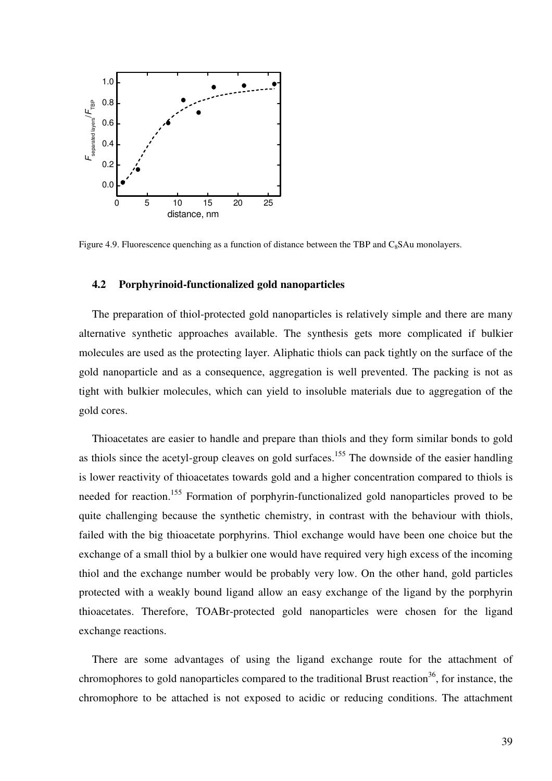

Figure 4.9. Fluorescence quenching as a function of distance between the TBP and C<sub>8</sub>SAu monolayers.

#### **4.2 Porphyrinoid-functionalized gold nanoparticles**

The preparation of thiol-protected gold nanoparticles is relatively simple and there are many alternative synthetic approaches available. The synthesis gets more complicated if bulkier molecules are used as the protecting layer. Aliphatic thiols can pack tightly on the surface of the gold nanoparticle and as a consequence, aggregation is well prevented. The packing is not as tight with bulkier molecules, which can yield to insoluble materials due to aggregation of the gold cores.

Thioacetates are easier to handle and prepare than thiols and they form similar bonds to gold as thiols since the acetyl-group cleaves on gold surfaces.<sup>155</sup> The downside of the easier handling is lower reactivity of thioacetates towards gold and a higher concentration compared to thiols is needed for reaction.<sup>155</sup> Formation of porphyrin-functionalized gold nanoparticles proved to be quite challenging because the synthetic chemistry, in contrast with the behaviour with thiols, failed with the big thioacetate porphyrins. Thiol exchange would have been one choice but the exchange of a small thiol by a bulkier one would have required very high excess of the incoming thiol and the exchange number would be probably very low. On the other hand, gold particles protected with a weakly bound ligand allow an easy exchange of the ligand by the porphyrin thioacetates. Therefore, TOABr-protected gold nanoparticles were chosen for the ligand exchange reactions.

There are some advantages of using the ligand exchange route for the attachment of chromophores to gold nanoparticles compared to the traditional Brust reaction<sup>36</sup>, for instance, the chromophore to be attached is not exposed to acidic or reducing conditions. The attachment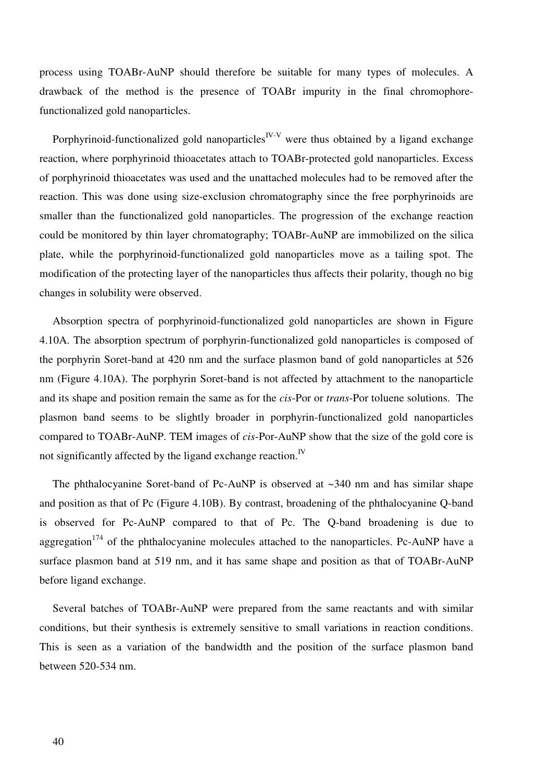process using TOABr-AuNP should therefore be suitable for many types of molecules. A drawback of the method is the presence of TOABr impurity in the final chromophorefunctionalized gold nanoparticles.

Porphyrinoid-functionalized gold nanoparticles<sup> $IV-V$ </sup> were thus obtained by a ligand exchange reaction, where porphyrinoid thioacetates attach to TOABr-protected gold nanoparticles. Excess of porphyrinoid thioacetates was used and the unattached molecules had to be removed after the reaction. This was done using size-exclusion chromatography since the free porphyrinoids are smaller than the functionalized gold nanoparticles. The progression of the exchange reaction could be monitored by thin layer chromatography; TOABr-AuNP are immobilized on the silica plate, while the porphyrinoid-functionalized gold nanoparticles move as a tailing spot. The modification of the protecting layer of the nanoparticles thus affects their polarity, though no big changes in solubility were observed.

Absorption spectra of porphyrinoid-functionalized gold nanoparticles are shown in Figure 4.10A. The absorption spectrum of porphyrin-functionalized gold nanoparticles is composed of the porphyrin Soret-band at 420 nm and the surface plasmon band of gold nanoparticles at 526 nm (Figure 4.10A). The porphyrin Soret-band is not affected by attachment to the nanoparticle and its shape and position remain the same as for the *cis*-Por or *trans*-Por toluene solutions. The plasmon band seems to be slightly broader in porphyrin-functionalized gold nanoparticles compared to TOABr-AuNP. TEM images of *cis*-Por-AuNP show that the size of the gold core is not significantly affected by the ligand exchange reaction.<sup>IV</sup>

The phthalocyanine Soret-band of Pc-AuNP is observed at ~340 nm and has similar shape and position as that of Pc (Figure 4.10B). By contrast, broadening of the phthalocyanine Q-band is observed for Pc-AuNP compared to that of Pc. The Q-band broadening is due to aggregation<sup>174</sup> of the phthalocyanine molecules attached to the nanoparticles. Pc-AuNP have a surface plasmon band at 519 nm, and it has same shape and position as that of TOABr-AuNP before ligand exchange.

Several batches of TOABr-AuNP were prepared from the same reactants and with similar conditions, but their synthesis is extremely sensitive to small variations in reaction conditions. This is seen as a variation of the bandwidth and the position of the surface plasmon band between 520-534 nm.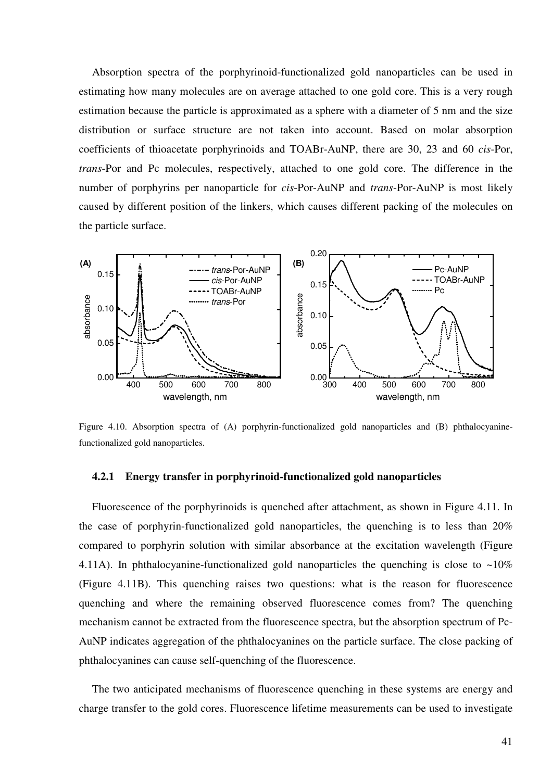Absorption spectra of the porphyrinoid-functionalized gold nanoparticles can be used in estimating how many molecules are on average attached to one gold core. This is a very rough estimation because the particle is approximated as a sphere with a diameter of 5 nm and the size distribution or surface structure are not taken into account. Based on molar absorption coefficients of thioacetate porphyrinoids and TOABr-AuNP, there are 30, 23 and 60 *cis*-Por, *trans*-Por and Pc molecules, respectively, attached to one gold core. The difference in the number of porphyrins per nanoparticle for *cis*-Por-AuNP and *trans*-Por-AuNP is most likely caused by different position of the linkers, which causes different packing of the molecules on the particle surface.



Figure 4.10. Absorption spectra of (A) porphyrin-functionalized gold nanoparticles and (B) phthalocyaninefunctionalized gold nanoparticles.

#### **4.2.1 Energy transfer in porphyrinoid-functionalized gold nanoparticles**

Fluorescence of the porphyrinoids is quenched after attachment, as shown in Figure 4.11. In the case of porphyrin-functionalized gold nanoparticles, the quenching is to less than 20% compared to porphyrin solution with similar absorbance at the excitation wavelength (Figure 4.11A). In phthalocyanine-functionalized gold nanoparticles the quenching is close to  $\sim 10\%$ (Figure 4.11B). This quenching raises two questions: what is the reason for fluorescence quenching and where the remaining observed fluorescence comes from? The quenching mechanism cannot be extracted from the fluorescence spectra, but the absorption spectrum of Pc-AuNP indicates aggregation of the phthalocyanines on the particle surface. The close packing of phthalocyanines can cause self-quenching of the fluorescence.

The two anticipated mechanisms of fluorescence quenching in these systems are energy and charge transfer to the gold cores. Fluorescence lifetime measurements can be used to investigate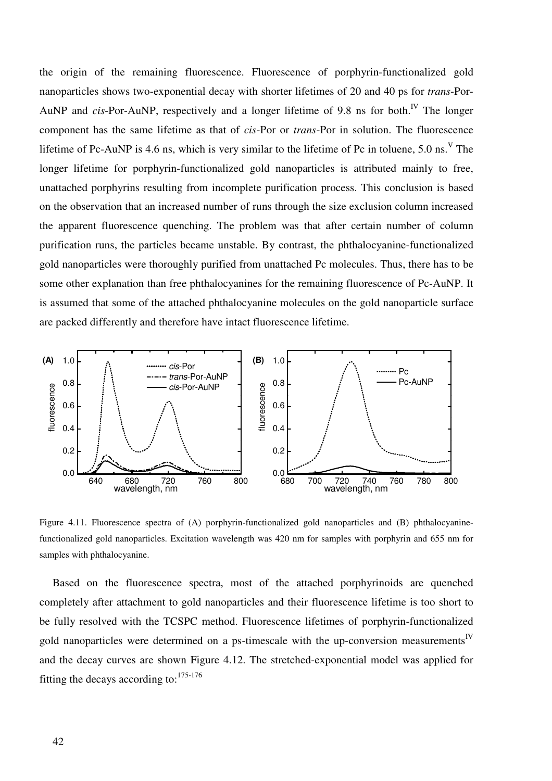the origin of the remaining fluorescence. Fluorescence of porphyrin-functionalized gold nanoparticles shows two-exponential decay with shorter lifetimes of 20 and 40 ps for *trans*-Por-AuNP and *cis*-Por-AuNP, respectively and a longer lifetime of 9.8 ns for both.<sup>IV</sup> The longer component has the same lifetime as that of *cis*-Por or *trans*-Por in solution. The fluorescence lifetime of Pc-AuNP is 4.6 ns, which is very similar to the lifetime of Pc in toluene,  $5.0 \text{ ns.}^{\text{V}}$  The longer lifetime for porphyrin-functionalized gold nanoparticles is attributed mainly to free, unattached porphyrins resulting from incomplete purification process. This conclusion is based on the observation that an increased number of runs through the size exclusion column increased the apparent fluorescence quenching. The problem was that after certain number of column purification runs, the particles became unstable. By contrast, the phthalocyanine-functionalized gold nanoparticles were thoroughly purified from unattached Pc molecules. Thus, there has to be some other explanation than free phthalocyanines for the remaining fluorescence of Pc-AuNP. It is assumed that some of the attached phthalocyanine molecules on the gold nanoparticle surface are packed differently and therefore have intact fluorescence lifetime.



Figure 4.11. Fluorescence spectra of (A) porphyrin-functionalized gold nanoparticles and (B) phthalocyaninefunctionalized gold nanoparticles. Excitation wavelength was 420 nm for samples with porphyrin and 655 nm for samples with phthalocyanine.

Based on the fluorescence spectra, most of the attached porphyrinoids are quenched completely after attachment to gold nanoparticles and their fluorescence lifetime is too short to be fully resolved with the TCSPC method. Fluorescence lifetimes of porphyrin-functionalized gold nanoparticles were determined on a ps-timescale with the up-conversion measurements<sup>IV</sup> and the decay curves are shown Figure 4.12. The stretched-exponential model was applied for fitting the decays according to:175-176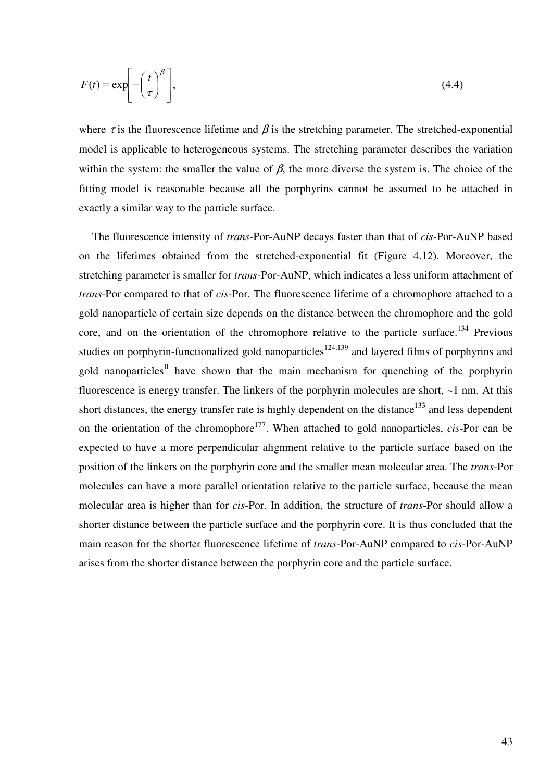$$
F(t) = \exp\left[-\left(\frac{t}{\tau}\right)^{\beta}\right],\tag{4.4}
$$

where  $\tau$  is the fluorescence lifetime and  $\beta$  is the stretching parameter. The stretched-exponential model is applicable to heterogeneous systems. The stretching parameter describes the variation within the system: the smaller the value of  $\beta$ , the more diverse the system is. The choice of the fitting model is reasonable because all the porphyrins cannot be assumed to be attached in exactly a similar way to the particle surface.

The fluorescence intensity of *trans*-Por-AuNP decays faster than that of *cis*-Por-AuNP based on the lifetimes obtained from the stretched-exponential fit (Figure 4.12). Moreover, the stretching parameter is smaller for *trans*-Por-AuNP, which indicates a less uniform attachment of *trans*-Por compared to that of *cis*-Por. The fluorescence lifetime of a chromophore attached to a gold nanoparticle of certain size depends on the distance between the chromophore and the gold core, and on the orientation of the chromophore relative to the particle surface.<sup>134</sup> Previous studies on porphyrin-functionalized gold nanoparticles<sup>124,139</sup> and layered films of porphyrins and gold nanoparticles<sup>II</sup> have shown that the main mechanism for quenching of the porphyrin fluorescence is energy transfer. The linkers of the porphyrin molecules are short,  $\sim$ 1 nm. At this short distances, the energy transfer rate is highly dependent on the distance<sup>133</sup> and less dependent on the orientation of the chromophore<sup>177</sup>. When attached to gold nanoparticles, *cis*-Por can be expected to have a more perpendicular alignment relative to the particle surface based on the position of the linkers on the porphyrin core and the smaller mean molecular area. The *trans*-Por molecules can have a more parallel orientation relative to the particle surface, because the mean molecular area is higher than for *cis*-Por. In addition, the structure of *trans*-Por should allow a shorter distance between the particle surface and the porphyrin core. It is thus concluded that the main reason for the shorter fluorescence lifetime of *trans*-Por-AuNP compared to *cis*-Por-AuNP arises from the shorter distance between the porphyrin core and the particle surface.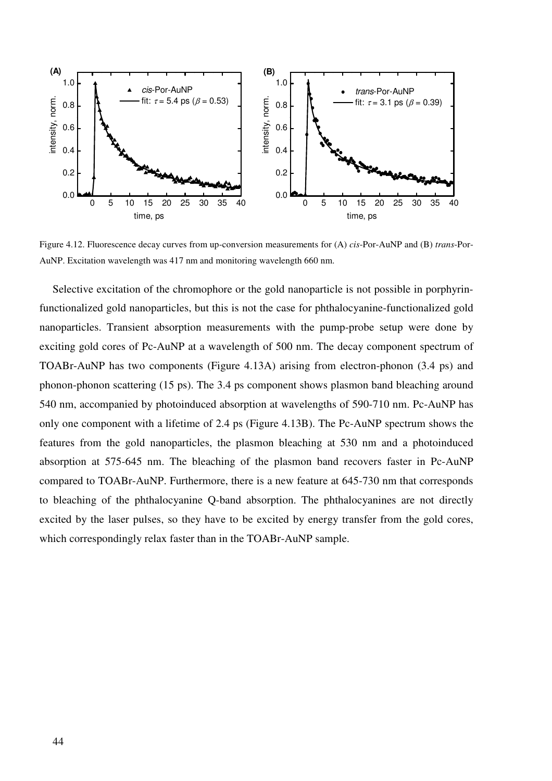

Figure 4.12. Fluorescence decay curves from up-conversion measurements for (A) *cis*-Por-AuNP and (B) *trans*-Por-AuNP. Excitation wavelength was 417 nm and monitoring wavelength 660 nm.

Selective excitation of the chromophore or the gold nanoparticle is not possible in porphyrinfunctionalized gold nanoparticles, but this is not the case for phthalocyanine-functionalized gold nanoparticles. Transient absorption measurements with the pump-probe setup were done by exciting gold cores of Pc-AuNP at a wavelength of 500 nm. The decay component spectrum of TOABr-AuNP has two components (Figure 4.13A) arising from electron-phonon (3.4 ps) and phonon-phonon scattering (15 ps). The 3.4 ps component shows plasmon band bleaching around 540 nm, accompanied by photoinduced absorption at wavelengths of 590-710 nm. Pc-AuNP has only one component with a lifetime of 2.4 ps (Figure 4.13B). The Pc-AuNP spectrum shows the features from the gold nanoparticles, the plasmon bleaching at 530 nm and a photoinduced absorption at 575-645 nm. The bleaching of the plasmon band recovers faster in Pc-AuNP compared to TOABr-AuNP. Furthermore, there is a new feature at 645-730 nm that corresponds to bleaching of the phthalocyanine Q-band absorption. The phthalocyanines are not directly excited by the laser pulses, so they have to be excited by energy transfer from the gold cores, which correspondingly relax faster than in the TOABr-AuNP sample.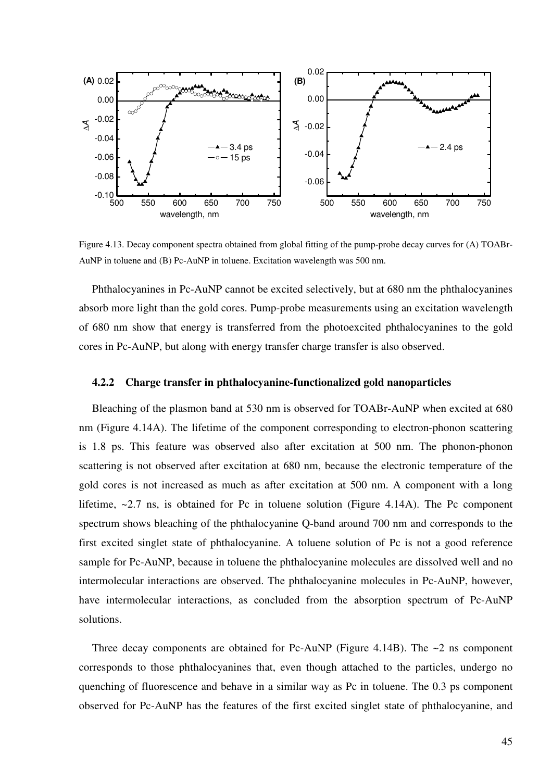

Figure 4.13. Decay component spectra obtained from global fitting of the pump-probe decay curves for (A) TOABr-AuNP in toluene and (B) Pc-AuNP in toluene. Excitation wavelength was 500 nm.

Phthalocyanines in Pc-AuNP cannot be excited selectively, but at 680 nm the phthalocyanines absorb more light than the gold cores. Pump-probe measurements using an excitation wavelength of 680 nm show that energy is transferred from the photoexcited phthalocyanines to the gold cores in Pc-AuNP, but along with energy transfer charge transfer is also observed.

#### **4.2.2 Charge transfer in phthalocyanine-functionalized gold nanoparticles**

Bleaching of the plasmon band at 530 nm is observed for TOABr-AuNP when excited at 680 nm (Figure 4.14A). The lifetime of the component corresponding to electron-phonon scattering is 1.8 ps. This feature was observed also after excitation at 500 nm. The phonon-phonon scattering is not observed after excitation at 680 nm, because the electronic temperature of the gold cores is not increased as much as after excitation at 500 nm. A component with a long lifetime,  $\sim$ 2.7 ns, is obtained for Pc in toluene solution (Figure 4.14A). The Pc component spectrum shows bleaching of the phthalocyanine Q-band around 700 nm and corresponds to the first excited singlet state of phthalocyanine. A toluene solution of Pc is not a good reference sample for Pc-AuNP, because in toluene the phthalocyanine molecules are dissolved well and no intermolecular interactions are observed. The phthalocyanine molecules in Pc-AuNP, however, have intermolecular interactions, as concluded from the absorption spectrum of Pc-AuNP solutions.

Three decay components are obtained for Pc-AuNP (Figure 4.14B). The  $\sim$ 2 ns component corresponds to those phthalocyanines that, even though attached to the particles, undergo no quenching of fluorescence and behave in a similar way as Pc in toluene. The 0.3 ps component observed for Pc-AuNP has the features of the first excited singlet state of phthalocyanine, and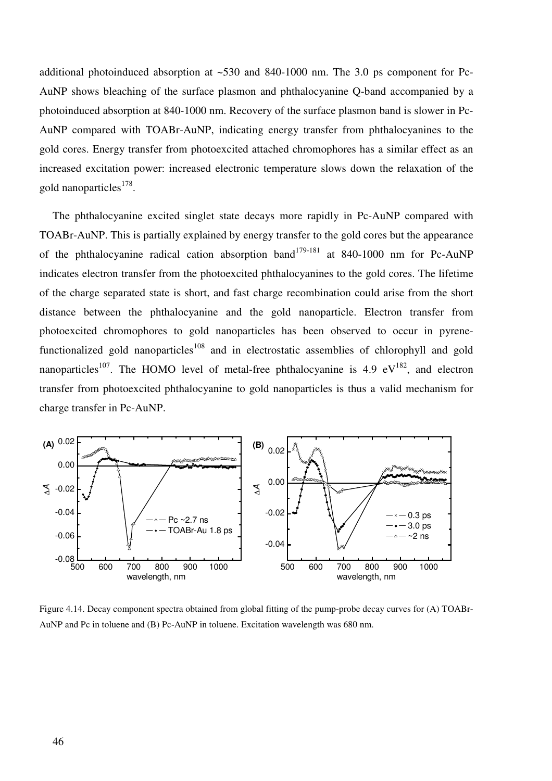additional photoinduced absorption at  $\sim$  530 and 840-1000 nm. The 3.0 ps component for Pc-AuNP shows bleaching of the surface plasmon and phthalocyanine Q-band accompanied by a photoinduced absorption at 840-1000 nm. Recovery of the surface plasmon band is slower in Pc-AuNP compared with TOABr-AuNP, indicating energy transfer from phthalocyanines to the gold cores. Energy transfer from photoexcited attached chromophores has a similar effect as an increased excitation power: increased electronic temperature slows down the relaxation of the gold nanoparticles<sup>178</sup>.

The phthalocyanine excited singlet state decays more rapidly in Pc-AuNP compared with TOABr-AuNP. This is partially explained by energy transfer to the gold cores but the appearance of the phthalocyanine radical cation absorption band<sup>179-181</sup> at 840-1000 nm for Pc-AuNP indicates electron transfer from the photoexcited phthalocyanines to the gold cores. The lifetime of the charge separated state is short, and fast charge recombination could arise from the short distance between the phthalocyanine and the gold nanoparticle. Electron transfer from photoexcited chromophores to gold nanoparticles has been observed to occur in pyrenefunctionalized gold nanoparticles<sup>108</sup> and in electrostatic assemblies of chlorophyll and gold nanoparticles<sup>107</sup>. The HOMO level of metal-free phthalocyanine is 4.9 eV<sup>182</sup>, and electron transfer from photoexcited phthalocyanine to gold nanoparticles is thus a valid mechanism for charge transfer in Pc-AuNP.



Figure 4.14. Decay component spectra obtained from global fitting of the pump-probe decay curves for (A) TOABr-AuNP and Pc in toluene and (B) Pc-AuNP in toluene. Excitation wavelength was 680 nm.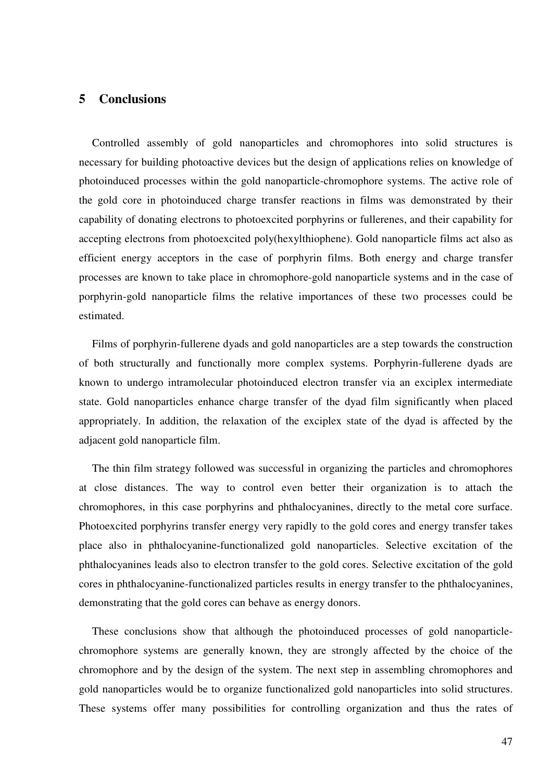## **5 Conclusions**

Controlled assembly of gold nanoparticles and chromophores into solid structures is necessary for building photoactive devices but the design of applications relies on knowledge of photoinduced processes within the gold nanoparticle-chromophore systems. The active role of the gold core in photoinduced charge transfer reactions in films was demonstrated by their capability of donating electrons to photoexcited porphyrins or fullerenes, and their capability for accepting electrons from photoexcited poly(hexylthiophene). Gold nanoparticle films act also as efficient energy acceptors in the case of porphyrin films. Both energy and charge transfer processes are known to take place in chromophore-gold nanoparticle systems and in the case of porphyrin-gold nanoparticle films the relative importances of these two processes could be estimated.

Films of porphyrin-fullerene dyads and gold nanoparticles are a step towards the construction of both structurally and functionally more complex systems. Porphyrin-fullerene dyads are known to undergo intramolecular photoinduced electron transfer via an exciplex intermediate state. Gold nanoparticles enhance charge transfer of the dyad film significantly when placed appropriately. In addition, the relaxation of the exciplex state of the dyad is affected by the adjacent gold nanoparticle film.

The thin film strategy followed was successful in organizing the particles and chromophores at close distances. The way to control even better their organization is to attach the chromophores, in this case porphyrins and phthalocyanines, directly to the metal core surface. Photoexcited porphyrins transfer energy very rapidly to the gold cores and energy transfer takes place also in phthalocyanine-functionalized gold nanoparticles. Selective excitation of the phthalocyanines leads also to electron transfer to the gold cores. Selective excitation of the gold cores in phthalocyanine-functionalized particles results in energy transfer to the phthalocyanines, demonstrating that the gold cores can behave as energy donors.

These conclusions show that although the photoinduced processes of gold nanoparticlechromophore systems are generally known, they are strongly affected by the choice of the chromophore and by the design of the system. The next step in assembling chromophores and gold nanoparticles would be to organize functionalized gold nanoparticles into solid structures. These systems offer many possibilities for controlling organization and thus the rates of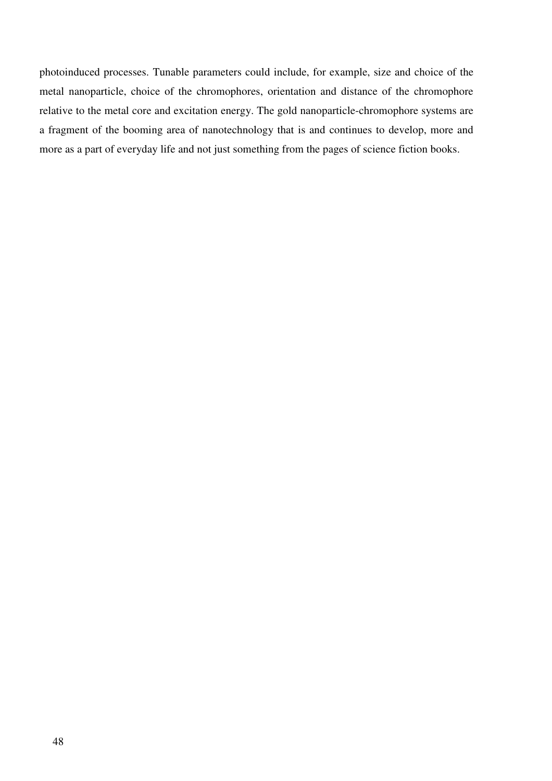photoinduced processes. Tunable parameters could include, for example, size and choice of the metal nanoparticle, choice of the chromophores, orientation and distance of the chromophore relative to the metal core and excitation energy. The gold nanoparticle-chromophore systems are a fragment of the booming area of nanotechnology that is and continues to develop, more and more as a part of everyday life and not just something from the pages of science fiction books.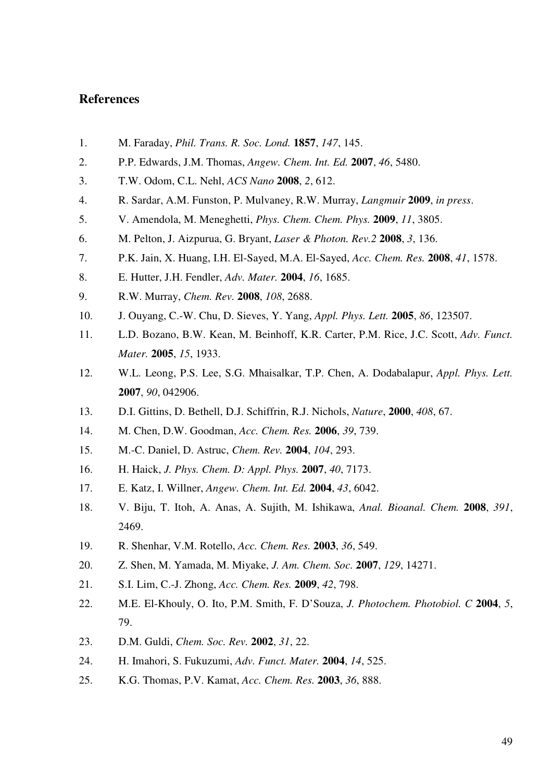## **References**

- 1. M. Faraday, *Phil. Trans. R. Soc. Lond.* **1857**, *147*, 145.
- 2. P.P. Edwards, J.M. Thomas, *Angew. Chem. Int. Ed.* **2007**, *46*, 5480.
- 3. T.W. Odom, C.L. Nehl, *ACS Nano* **2008**, *2*, 612.
- 4. R. Sardar, A.M. Funston, P. Mulvaney, R.W. Murray, *Langmuir* **2009**, *in press*.
- 5. V. Amendola, M. Meneghetti, *Phys. Chem. Chem. Phys.* **2009**, *11*, 3805.
- 6. M. Pelton, J. Aizpurua, G. Bryant, *Laser & Photon. Rev.2* **2008**, *3*, 136.
- 7. P.K. Jain, X. Huang, I.H. El-Sayed, M.A. El-Sayed, *Acc. Chem. Res.* **2008**, *41*, 1578.
- 8. E. Hutter, J.H. Fendler, *Adv. Mater.* **2004**, *16*, 1685.
- 9. R.W. Murray, *Chem. Rev.* **2008**, *108*, 2688.
- 10. J. Ouyang, C.-W. Chu, D. Sieves, Y. Yang, *Appl. Phys. Lett.* **2005**, *86*, 123507.
- 11. L.D. Bozano, B.W. Kean, M. Beinhoff, K.R. Carter, P.M. Rice, J.C. Scott, *Adv. Funct. Mater.* **2005**, *15*, 1933.
- 12. W.L. Leong, P.S. Lee, S.G. Mhaisalkar, T.P. Chen, A. Dodabalapur, *Appl. Phys. Lett.* **2007**, *90*, 042906.
- 13. D.I. Gittins, D. Bethell, D.J. Schiffrin, R.J. Nichols, *Nature*, **2000**, *408*, 67.
- 14. M. Chen, D.W. Goodman, *Acc. Chem. Res.* **2006**, *39*, 739.
- 15. M.-C. Daniel, D. Astruc, *Chem. Rev.* **2004**, *104*, 293.
- 16. H. Haick, *J. Phys. Chem. D: Appl. Phys.* **2007**, *40*, 7173.
- 17. E. Katz, I. Willner, *Angew. Chem. Int. Ed.* **2004**, *43*, 6042.
- 18. V. Biju, T. Itoh, A. Anas, A. Sujith, M. Ishikawa, *Anal. Bioanal. Chem.* **2008**, *391*, 2469.
- 19. R. Shenhar, V.M. Rotello, *Acc. Chem. Res.* **2003**, *36*, 549.
- 20. Z. Shen, M. Yamada, M. Miyake, *J. Am. Chem. Soc.* **2007**, *129*, 14271.
- 21. S.I. Lim, C.-J. Zhong, *Acc. Chem. Res.* **2009**, *42*, 798.
- 22. M.E. El-Khouly, O. Ito, P.M. Smith, F. D'Souza, *J. Photochem. Photobiol. C* **2004**, *5*, 79.
- 23. D.M. Guldi, *Chem. Soc. Rev.* **2002**, *31*, 22.
- 24. H. Imahori, S. Fukuzumi, *Adv. Funct. Mater.* **2004**, *14*, 525.
- 25. K.G. Thomas, P.V. Kamat, *Acc. Chem. Res.* **2003**, *36*, 888.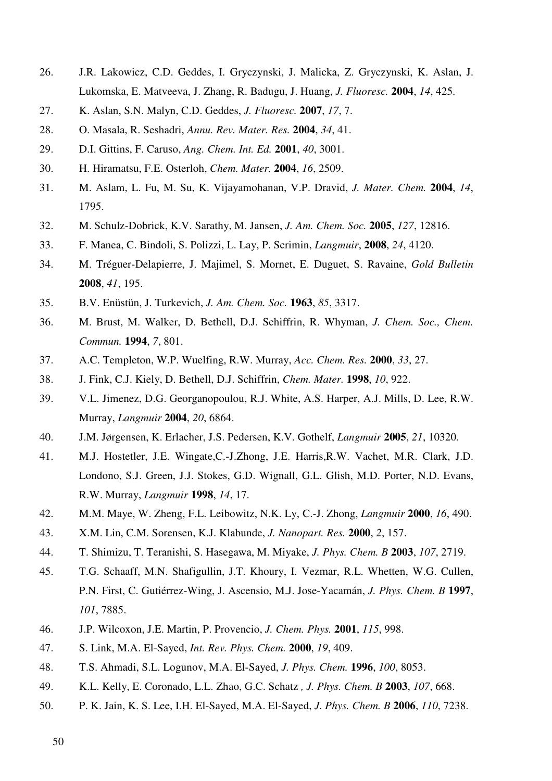- 26. J.R. Lakowicz, C.D. Geddes, I. Gryczynski, J. Malicka, Z. Gryczynski, K. Aslan, J. Lukomska, E. Matveeva, J. Zhang, R. Badugu, J. Huang, *J. Fluoresc.* **2004**, *14*, 425.
- 27. K. Aslan, S.N. Malyn, C.D. Geddes, *J. Fluoresc.* **2007**, *17*, 7.
- 28. O. Masala, R. Seshadri, *Annu. Rev. Mater. Res.* **2004**, *34*, 41.
- 29. D.I. Gittins, F. Caruso, *Ang. Chem. Int. Ed.* **2001**, *40*, 3001.
- 30. H. Hiramatsu, F.E. Osterloh, *Chem. Mater.* **2004**, *16*, 2509.
- 31. M. Aslam, L. Fu, M. Su, K. Vijayamohanan, V.P. Dravid, *J. Mater. Chem.* **2004**, *14*, 1795.
- 32. M. Schulz-Dobrick, K.V. Sarathy, M. Jansen, *J. Am. Chem. Soc.* **2005**, *127*, 12816.
- 33. F. Manea, C. Bindoli, S. Polizzi, L. Lay, P. Scrimin, *Langmuir*, **2008**, *24*, 4120.
- 34. M. Tréguer-Delapierre, J. Majimel, S. Mornet, E. Duguet, S. Ravaine, *Gold Bulletin* **2008**, *41*, 195.
- 35. B.V. Enüstün, J. Turkevich, *J. Am. Chem. Soc.* **1963**, *85*, 3317.
- 36. M. Brust, M. Walker, D. Bethell, D.J. Schiffrin, R. Whyman, *J. Chem. Soc., Chem. Commun.* **1994**, *7*, 801.
- 37. A.C. Templeton, W.P. Wuelfing, R.W. Murray, *Acc. Chem. Res.* **2000**, *33*, 27.
- 38. J. Fink, C.J. Kiely, D. Bethell, D.J. Schiffrin, *Chem. Mater.* **1998**, *10*, 922.
- 39. V.L. Jimenez, D.G. Georganopoulou, R.J. White, A.S. Harper, A.J. Mills, D. Lee, R.W. Murray, *Langmuir* **2004**, *20*, 6864.
- 40. J.M. Jørgensen, K. Erlacher, J.S. Pedersen, K.V. Gothelf, *Langmuir* **2005**, *21*, 10320.
- 41. M.J. Hostetler, J.E. Wingate,C.-J.Zhong, J.E. Harris,R.W. Vachet, M.R. Clark, J.D. Londono, S.J. Green, J.J. Stokes, G.D. Wignall, G.L. Glish, M.D. Porter, N.D. Evans, R.W. Murray, *Langmuir* **1998**, *14*, 17.
- 42. M.M. Maye, W. Zheng, F.L. Leibowitz, N.K. Ly, C.-J. Zhong, *Langmuir* **2000**, *16*, 490.
- 43. X.M. Lin, C.M. Sorensen, K.J. Klabunde, *J. Nanopart. Res.* **2000**, *2*, 157.
- 44. T. Shimizu, T. Teranishi, S. Hasegawa, M. Miyake, *J. Phys. Chem. B* **2003**, *107*, 2719.
- 45. T.G. Schaaff, M.N. Shafigullin, J.T. Khoury, I. Vezmar, R.L. Whetten, W.G. Cullen, P.N. First, C. Gutiérrez-Wing, J. Ascensio, M.J. Jose-Yacamán, *J. Phys. Chem. B* **1997**, *101*, 7885.
- 46. J.P. Wilcoxon, J.E. Martin, P. Provencio, *J. Chem. Phys.* **2001**, *115*, 998.
- 47. S. Link, M.A. El-Sayed, *Int. Rev. Phys. Chem.* **2000**, *19*, 409.
- 48. T.S. Ahmadi, S.L. Logunov, M.A. El-Sayed, *J. Phys. Chem.* **1996**, *100*, 8053.
- 49. K.L. Kelly, E. Coronado, L.L. Zhao, G.C. Schatz *, J. Phys. Chem. B* **2003**, *107*, 668.
- 50. P. K. Jain, K. S. Lee, I.H. El-Sayed, M.A. El-Sayed, *J. Phys. Chem. B* **2006**, *110*, 7238.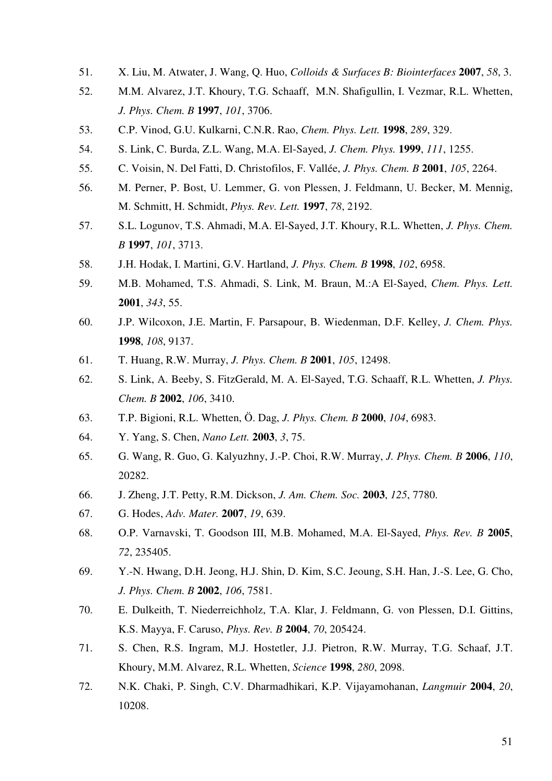- 51. X. Liu, M. Atwater, J. Wang, Q. Huo, *Colloids & Surfaces B: Biointerfaces* **2007**, *58*, 3.
- 52. M.M. Alvarez, J.T. Khoury, T.G. Schaaff, M.N. Shafigullin, I. Vezmar, R.L. Whetten, *J. Phys. Chem. B* **1997**, *101*, 3706.
- 53. C.P. Vinod, G.U. Kulkarni, C.N.R. Rao, *Chem. Phys. Lett.* **1998**, *289*, 329.
- 54. S. Link, C. Burda, Z.L. Wang, M.A. El-Sayed, *J. Chem. Phys.* **1999**, *111*, 1255.
- 55. C. Voisin, N. Del Fatti, D. Christofilos, F. Vallée, *J. Phys. Chem. B* **2001**, *105*, 2264.
- 56. M. Perner, P. Bost, U. Lemmer, G. von Plessen, J. Feldmann, U. Becker, M. Mennig, M. Schmitt, H. Schmidt, *Phys. Rev. Lett.* **1997**, *78*, 2192.
- 57. S.L. Logunov, T.S. Ahmadi, M.A. El-Sayed, J.T. Khoury, R.L. Whetten, *J. Phys. Chem. B* **1997**, *101*, 3713.
- 58. J.H. Hodak, I. Martini, G.V. Hartland, *J. Phys. Chem. B* **1998**, *102*, 6958.
- 59. M.B. Mohamed, T.S. Ahmadi, S. Link, M. Braun, M.:A El-Sayed, *Chem. Phys. Lett.* **2001**, *343*, 55.
- 60. J.P. Wilcoxon, J.E. Martin, F. Parsapour, B. Wiedenman, D.F. Kelley, *J. Chem. Phys.* **1998**, *108*, 9137.
- 61. T. Huang, R.W. Murray, *J. Phys. Chem. B* **2001**, *105*, 12498.
- 62. S. Link, A. Beeby, S. FitzGerald, M. A. El-Sayed, T.G. Schaaff, R.L. Whetten, *J. Phys. Chem. B* **2002**, *106*, 3410.
- 63. T.P. Bigioni, R.L. Whetten, Ö. Dag, *J. Phys. Chem. B* **2000**, *104*, 6983.
- 64. Y. Yang, S. Chen, *Nano Lett.* **2003**, *3*, 75.
- 65. G. Wang, R. Guo, G. Kalyuzhny, J.-P. Choi, R.W. Murray, *J. Phys. Chem. B* **2006**, *110*, 20282.
- 66. J. Zheng, J.T. Petty, R.M. Dickson, *J. Am. Chem. Soc.* **2003**, *125*, 7780.
- 67. G. Hodes, *Adv. Mater.* **2007**, *19*, 639.
- 68. O.P. Varnavski, T. Goodson III, M.B. Mohamed, M.A. El-Sayed, *Phys. Rev. B* **2005**, *72*, 235405.
- 69. Y.-N. Hwang, D.H. Jeong, H.J. Shin, D. Kim, S.C. Jeoung, S.H. Han, J.-S. Lee, G. Cho, *J. Phys. Chem. B* **2002**, *106*, 7581.
- 70. E. Dulkeith, T. Niederreichholz, T.A. Klar, J. Feldmann, G. von Plessen, D.I. Gittins, K.S. Mayya, F. Caruso, *Phys. Rev. B* **2004**, *70*, 205424.
- 71. S. Chen, R.S. Ingram, M.J. Hostetler, J.J. Pietron, R.W. Murray, T.G. Schaaf, J.T. Khoury, M.M. Alvarez, R.L. Whetten, *Science* **1998**, *280*, 2098.
- 72. N.K. Chaki, P. Singh, C.V. Dharmadhikari, K.P. Vijayamohanan, *Langmuir* **2004**, *20*, 10208.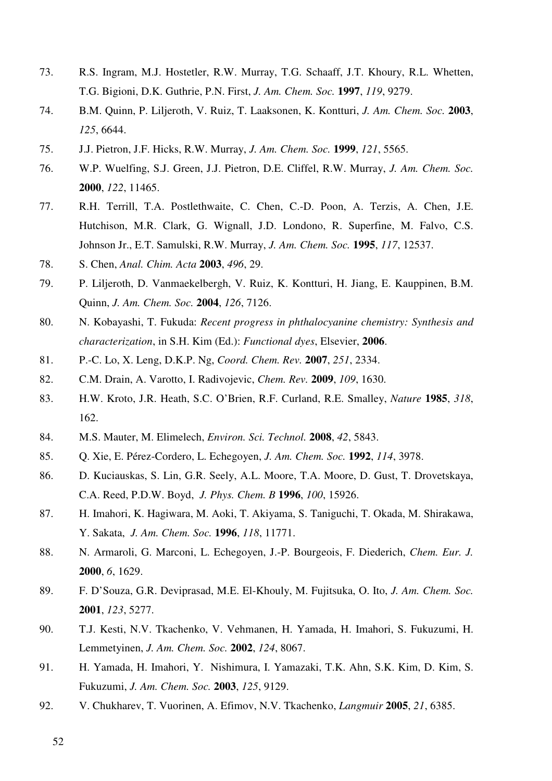- 73. R.S. Ingram, M.J. Hostetler, R.W. Murray, T.G. Schaaff, J.T. Khoury, R.L. Whetten, T.G. Bigioni, D.K. Guthrie, P.N. First, *J. Am. Chem. Soc.* **1997**, *119*, 9279.
- 74. B.M. Quinn, P. Liljeroth, V. Ruiz, T. Laaksonen, K. Kontturi, *J. Am. Chem. Soc.* **2003**, *125*, 6644.
- 75. J.J. Pietron, J.F. Hicks, R.W. Murray, *J. Am. Chem. Soc.* **1999**, *121*, 5565.
- 76. W.P. Wuelfing, S.J. Green, J.J. Pietron, D.E. Cliffel, R.W. Murray, *J. Am. Chem. Soc.* **2000**, *122*, 11465.
- 77. R.H. Terrill, T.A. Postlethwaite, C. Chen, C.-D. Poon, A. Terzis, A. Chen, J.E. Hutchison, M.R. Clark, G. Wignall, J.D. Londono, R. Superfine, M. Falvo, C.S. Johnson Jr., E.T. Samulski, R.W. Murray, *J. Am. Chem. Soc.* **1995**, *117*, 12537.
- 78. S. Chen, *Anal. Chim. Acta* **2003**, *496*, 29.
- 79. P. Liljeroth, D. Vanmaekelbergh, V. Ruiz, K. Kontturi, H. Jiang, E. Kauppinen, B.M. Quinn, *J. Am. Chem. Soc.* **2004**, *126*, 7126.
- 80. N. Kobayashi, T. Fukuda: *Recent progress in phthalocyanine chemistry: Synthesis and characterization*, in S.H. Kim (Ed.): *Functional dyes*, Elsevier, **2006**.
- 81. P.-C. Lo, X. Leng, D.K.P. Ng, *Coord. Chem. Rev.* **2007**, *251*, 2334.
- 82. C.M. Drain, A. Varotto, I. Radivojevic, *Chem. Rev.* **2009**, *109*, 1630.
- 83. H.W. Kroto, J.R. Heath, S.C. O'Brien, R.F. Curland, R.E. Smalley, *Nature* **1985**, *318*, 162.
- 84. M.S. Mauter, M. Elimelech, *Environ. Sci. Technol.* **2008**, *42*, 5843.
- 85. Q. Xie, E. Pérez-Cordero, L. Echegoyen, *J. Am. Chem. Soc.* **1992**, *114*, 3978.
- 86. D. Kuciauskas, S. Lin, G.R. Seely, A.L. Moore, T.A. Moore, D. Gust, T. Drovetskaya, C.A. Reed, P.D.W. Boyd, *J. Phys. Chem. B* **1996**, *100*, 15926.
- 87. H. Imahori, K. Hagiwara, M. Aoki, T. Akiyama, S. Taniguchi, T. Okada, M. Shirakawa, Y. Sakata, *J. Am. Chem. Soc.* **1996**, *118*, 11771.
- 88. N. Armaroli, G. Marconi, L. Echegoyen, J.-P. Bourgeois, F. Diederich, *Chem. Eur. J.* **2000**, *6*, 1629.
- 89. F. D'Souza, G.R. Deviprasad, M.E. El-Khouly, M. Fujitsuka, O. Ito, *J. Am. Chem. Soc.* **2001**, *123*, 5277.
- 90. T.J. Kesti, N.V. Tkachenko, V. Vehmanen, H. Yamada, H. Imahori, S. Fukuzumi, H. Lemmetyinen, *J. Am. Chem. Soc.* **2002**, *124*, 8067.
- 91. H. Yamada, H. Imahori, Y. Nishimura, I. Yamazaki, T.K. Ahn, S.K. Kim, D. Kim, S. Fukuzumi, *J. Am. Chem. Soc.* **2003**, *125*, 9129.
- 92. V. Chukharev, T. Vuorinen, A. Efimov, N.V. Tkachenko, *Langmuir* **2005**, *21*, 6385.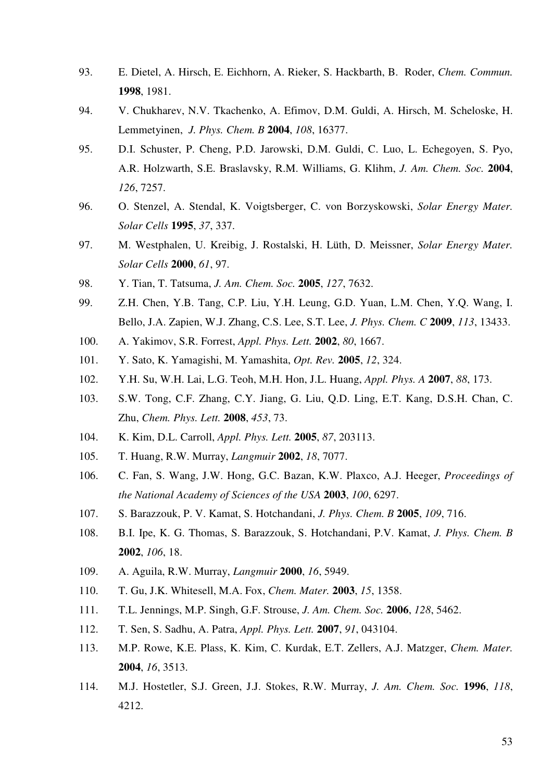- 93. E. Dietel, A. Hirsch, E. Eichhorn, A. Rieker, S. Hackbarth, B. Roder, *Chem. Commun.* **1998**, 1981.
- 94. V. Chukharev, N.V. Tkachenko, A. Efimov, D.M. Guldi, A. Hirsch, M. Scheloske, H. Lemmetyinen, *J. Phys. Chem. B* **2004**, *108*, 16377.
- 95. D.I. Schuster, P. Cheng, P.D. Jarowski, D.M. Guldi, C. Luo, L. Echegoyen, S. Pyo, A.R. Holzwarth, S.E. Braslavsky, R.M. Williams, G. Klihm, *J. Am. Chem. Soc.* **2004**, *126*, 7257.
- 96. O. Stenzel, A. Stendal, K. Voigtsberger, C. von Borzyskowski, *Solar Energy Mater. Solar Cells* **1995**, *37*, 337.
- 97. M. Westphalen, U. Kreibig, J. Rostalski, H. Lüth, D. Meissner, *Solar Energy Mater. Solar Cells* **2000**, *61*, 97.
- 98. Y. Tian, T. Tatsuma, *J. Am. Chem. Soc.* **2005**, *127*, 7632.
- 99. Z.H. Chen, Y.B. Tang, C.P. Liu, Y.H. Leung, G.D. Yuan, L.M. Chen, Y.Q. Wang, I. Bello, J.A. Zapien, W.J. Zhang, C.S. Lee, S.T. Lee, *J. Phys. Chem. C* **2009**, *113*, 13433.
- 100. A. Yakimov, S.R. Forrest, *Appl. Phys. Lett.* **2002**, *80*, 1667.
- 101. Y. Sato, K. Yamagishi, M. Yamashita, *Opt. Rev.* **2005**, *12*, 324.
- 102. Y.H. Su, W.H. Lai, L.G. Teoh, M.H. Hon, J.L. Huang, *Appl. Phys. A* **2007**, *88*, 173.
- 103. S.W. Tong, C.F. Zhang, C.Y. Jiang, G. Liu, Q.D. Ling, E.T. Kang, D.S.H. Chan, C. Zhu, *Chem. Phys. Lett.* **2008**, *453*, 73.
- 104. K. Kim, D.L. Carroll, *Appl. Phys. Lett.* **2005**, *87*, 203113.
- 105. T. Huang, R.W. Murray, *Langmuir* **2002**, *18*, 7077.
- 106. C. Fan, S. Wang, J.W. Hong, G.C. Bazan, K.W. Plaxco, A.J. Heeger, *Proceedings of the National Academy of Sciences of the USA* **2003**, *100*, 6297.
- 107. S. Barazzouk, P. V. Kamat, S. Hotchandani, *J. Phys. Chem. B* **2005**, *109*, 716.
- 108. B.I. Ipe, K. G. Thomas, S. Barazzouk, S. Hotchandani, P.V. Kamat, *J. Phys. Chem. B* **2002**, *106*, 18.
- 109. A. Aguila, R.W. Murray, *Langmuir* **2000**, *16*, 5949.
- 110. T. Gu, J.K. Whitesell, M.A. Fox, *Chem. Mater.* **2003**, *15*, 1358.
- 111. T.L. Jennings, M.P. Singh, G.F. Strouse, *J. Am. Chem. Soc.* **2006**, *128*, 5462.
- 112. T. Sen, S. Sadhu, A. Patra, *Appl. Phys. Lett.* **2007**, *91*, 043104.
- 113. M.P. Rowe, K.E. Plass, K. Kim, C. Kurdak, E.T. Zellers, A.J. Matzger, *Chem. Mater.* **2004**, *16*, 3513.
- 114. M.J. Hostetler, S.J. Green, J.J. Stokes, R.W. Murray, *J. Am. Chem. Soc.* **1996**, *118*, 4212.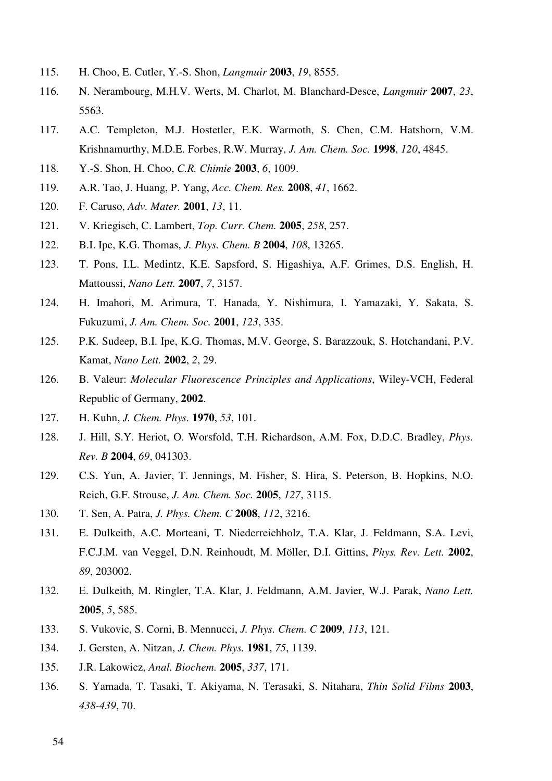- 115. H. Choo, E. Cutler, Y.-S. Shon, *Langmuir* **2003**, *19*, 8555.
- 116. N. Nerambourg, M.H.V. Werts, M. Charlot, M. Blanchard-Desce, *Langmuir* **2007**, *23*, 5563.
- 117. A.C. Templeton, M.J. Hostetler, E.K. Warmoth, S. Chen, C.M. Hatshorn, V.M. Krishnamurthy, M.D.E. Forbes, R.W. Murray, *J. Am. Chem. Soc.* **1998**, *120*, 4845.
- 118. Y.-S. Shon, H. Choo, *C.R. Chimie* **2003**, *6*, 1009.
- 119. A.R. Tao, J. Huang, P. Yang, *Acc. Chem. Res.* **2008**, *41*, 1662.
- 120. F. Caruso, *Adv. Mater.* **2001**, *13*, 11.
- 121. V. Kriegisch, C. Lambert, *Top. Curr. Chem.* **2005**, *258*, 257.
- 122. B.I. Ipe, K.G. Thomas, *J. Phys. Chem. B* **2004**, *108*, 13265.
- 123. T. Pons, I.L. Medintz, K.E. Sapsford, S. Higashiya, A.F. Grimes, D.S. English, H. Mattoussi, *Nano Lett.* **2007**, *7*, 3157.
- 124. H. Imahori, M. Arimura, T. Hanada, Y. Nishimura, I. Yamazaki, Y. Sakata, S. Fukuzumi, *J. Am. Chem. Soc.* **2001**, *123*, 335.
- 125. P.K. Sudeep, B.I. Ipe, K.G. Thomas, M.V. George, S. Barazzouk, S. Hotchandani, P.V. Kamat, *Nano Lett.* **2002**, *2*, 29.
- 126. B. Valeur: *Molecular Fluorescence Principles and Applications*, Wiley-VCH, Federal Republic of Germany, **2002**.
- 127. H. Kuhn, *J. Chem. Phys.* **1970**, *53*, 101.
- 128. J. Hill, S.Y. Heriot, O. Worsfold, T.H. Richardson, A.M. Fox, D.D.C. Bradley, *Phys. Rev. B* **2004**, *69*, 041303.
- 129. C.S. Yun, A. Javier, T. Jennings, M. Fisher, S. Hira, S. Peterson, B. Hopkins, N.O. Reich, G.F. Strouse, *J. Am. Chem. Soc.* **2005**, *127*, 3115.
- 130. T. Sen, A. Patra, *J. Phys. Chem. C* **2008**, *112*, 3216.
- 131. E. Dulkeith, A.C. Morteani, T. Niederreichholz, T.A. Klar, J. Feldmann, S.A. Levi, F.C.J.M. van Veggel, D.N. Reinhoudt, M. Möller, D.I. Gittins, *Phys. Rev. Lett.* **2002**, *89*, 203002.
- 132. E. Dulkeith, M. Ringler, T.A. Klar, J. Feldmann, A.M. Javier, W.J. Parak, *Nano Lett.* **2005**, *5*, 585.
- 133. S. Vukovic, S. Corni, B. Mennucci, *J. Phys. Chem. C* **2009**, *113*, 121.
- 134. J. Gersten, A. Nitzan, *J. Chem. Phys.* **1981**, *75*, 1139.
- 135. J.R. Lakowicz, *Anal. Biochem.* **2005**, *337*, 171.
- 136. S. Yamada, T. Tasaki, T. Akiyama, N. Terasaki, S. Nitahara, *Thin Solid Films* **2003**, *438-439*, 70.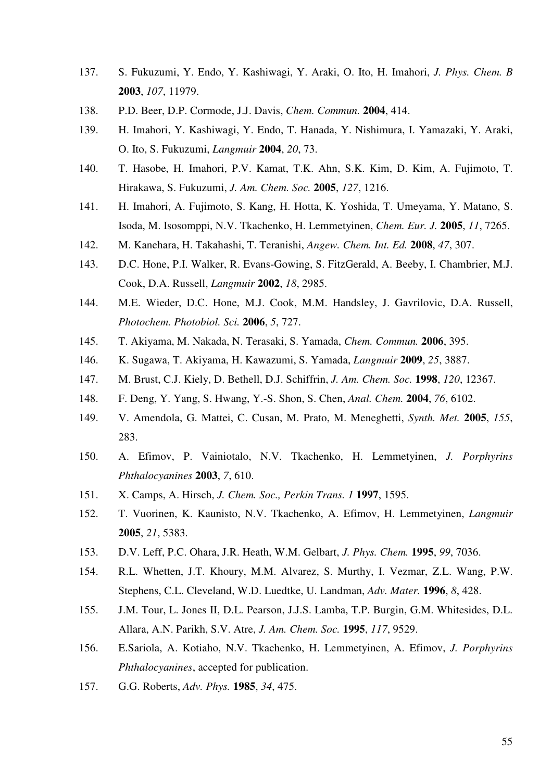- 137. S. Fukuzumi, Y. Endo, Y. Kashiwagi, Y. Araki, O. Ito, H. Imahori, *J. Phys. Chem. B* **2003**, *107*, 11979.
- 138. P.D. Beer, D.P. Cormode, J.J. Davis, *Chem. Commun.* **2004**, 414.
- 139. H. Imahori, Y. Kashiwagi, Y. Endo, T. Hanada, Y. Nishimura, I. Yamazaki, Y. Araki, O. Ito, S. Fukuzumi, *Langmuir* **2004**, *20*, 73.
- 140. T. Hasobe, H. Imahori, P.V. Kamat, T.K. Ahn, S.K. Kim, D. Kim, A. Fujimoto, T. Hirakawa, S. Fukuzumi, *J. Am. Chem. Soc.* **2005**, *127*, 1216.
- 141. H. Imahori, A. Fujimoto, S. Kang, H. Hotta, K. Yoshida, T. Umeyama, Y. Matano, S. Isoda, M. Isosomppi, N.V. Tkachenko, H. Lemmetyinen, *Chem. Eur. J.* **2005**, *11*, 7265.
- 142. M. Kanehara, H. Takahashi, T. Teranishi, *Angew. Chem. Int. Ed.* **2008**, *47*, 307.
- 143. D.C. Hone, P.I. Walker, R. Evans-Gowing, S. FitzGerald, A. Beeby, I. Chambrier, M.J. Cook, D.A. Russell, *Langmuir* **2002**, *18*, 2985.
- 144. M.E. Wieder, D.C. Hone, M.J. Cook, M.M. Handsley, J. Gavrilovic, D.A. Russell, *Photochem. Photobiol. Sci.* **2006**, *5*, 727.
- 145. T. Akiyama, M. Nakada, N. Terasaki, S. Yamada, *Chem. Commun.* **2006**, 395.
- 146. K. Sugawa, T. Akiyama, H. Kawazumi, S. Yamada, *Langmuir* **2009**, *25*, 3887.
- 147. M. Brust, C.J. Kiely, D. Bethell, D.J. Schiffrin, *J. Am. Chem. Soc.* **1998**, *120*, 12367.
- 148. F. Deng, Y. Yang, S. Hwang, Y.-S. Shon, S. Chen, *Anal. Chem.* **2004**, *76*, 6102.
- 149. V. Amendola, G. Mattei, C. Cusan, M. Prato, M. Meneghetti, *Synth. Met.* **2005**, *155*, 283.
- 150. A. Efimov, P. Vainiotalo, N.V. Tkachenko, H. Lemmetyinen, *J. Porphyrins Phthalocyanines* **2003**, *7*, 610.
- 151. X. Camps, A. Hirsch, *J. Chem. Soc., Perkin Trans. 1* **1997**, 1595.
- 152. T. Vuorinen, K. Kaunisto, N.V. Tkachenko, A. Efimov, H. Lemmetyinen, *Langmuir* **2005**, *21*, 5383.
- 153. D.V. Leff, P.C. Ohara, J.R. Heath, W.M. Gelbart, *J. Phys. Chem.* **1995**, *99*, 7036.
- 154. R.L. Whetten, J.T. Khoury, M.M. Alvarez, S. Murthy, I. Vezmar, Z.L. Wang, P.W. Stephens, C.L. Cleveland, W.D. Luedtke, U. Landman, *Adv. Mater.* **1996**, *8*, 428.
- 155. J.M. Tour, L. Jones II, D.L. Pearson, J.J.S. Lamba, T.P. Burgin, G.M. Whitesides, D.L. Allara, A.N. Parikh, S.V. Atre, *J. Am. Chem. Soc.* **1995**, *117*, 9529.
- 156. E.Sariola, A. Kotiaho, N.V. Tkachenko, H. Lemmetyinen, A. Efimov, *J. Porphyrins Phthalocyanines*, accepted for publication.
- 157. G.G. Roberts, *Adv. Phys.* **1985**, *34*, 475.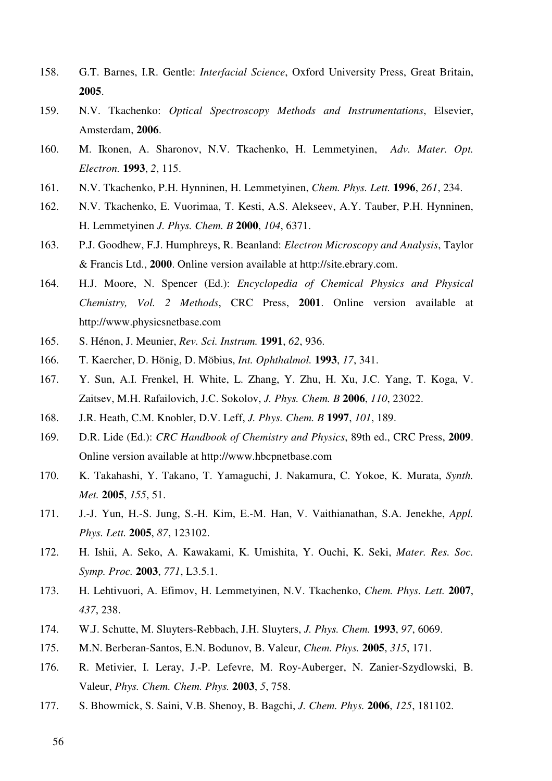- 158. G.T. Barnes, I.R. Gentle: *Interfacial Science*, Oxford University Press, Great Britain, **2005**.
- 159. N.V. Tkachenko: *Optical Spectroscopy Methods and Instrumentations*, Elsevier, Amsterdam, **2006**.
- 160. M. Ikonen, A. Sharonov, N.V. Tkachenko, H. Lemmetyinen, *Adv. Mater. Opt. Electron.* **1993**, *2*, 115.
- 161. N.V. Tkachenko, P.H. Hynninen, H. Lemmetyinen, *Chem. Phys. Lett.* **1996**, *261*, 234.
- 162. N.V. Tkachenko, E. Vuorimaa, T. Kesti, A.S. Alekseev, A.Y. Tauber, P.H. Hynninen, H. Lemmetyinen *J. Phys. Chem. B* **2000**, *104*, 6371.
- 163. P.J. Goodhew, F.J. Humphreys, R. Beanland: *Electron Microscopy and Analysis*, Taylor & Francis Ltd., **2000**. Online version available at http://site.ebrary.com.
- 164. H.J. Moore, N. Spencer (Ed.): *Encyclopedia of Chemical Physics and Physical Chemistry, Vol. 2 Methods*, CRC Press, **2001**. Online version available at http://www.physicsnetbase.com
- 165. S. Hénon, J. Meunier, *Rev. Sci. Instrum.* **1991**, *62*, 936.
- 166. T. Kaercher, D. Hönig, D. Möbius, *Int. Ophthalmol.* **1993**, *17*, 341.
- 167. Y. Sun, A.I. Frenkel, H. White, L. Zhang, Y. Zhu, H. Xu, J.C. Yang, T. Koga, V. Zaitsev, M.H. Rafailovich, J.C. Sokolov, *J. Phys. Chem. B* **2006**, *110*, 23022.
- 168. J.R. Heath, C.M. Knobler, D.V. Leff, *J. Phys. Chem. B* **1997**, *101*, 189.
- 169. D.R. Lide (Ed.): *CRC Handbook of Chemistry and Physics*, 89th ed., CRC Press, **2009**. Online version available at http://www.hbcpnetbase.com
- 170. K. Takahashi, Y. Takano, T. Yamaguchi, J. Nakamura, C. Yokoe, K. Murata, *Synth. Met.* **2005**, *155*, 51.
- 171. J.-J. Yun, H.-S. Jung, S.-H. Kim, E.-M. Han, V. Vaithianathan, S.A. Jenekhe, *Appl. Phys. Lett.* **2005**, *87*, 123102.
- 172. H. Ishii, A. Seko, A. Kawakami, K. Umishita, Y. Ouchi, K. Seki, *Mater. Res. Soc. Symp. Proc.* **2003**, *771*, L3.5.1.
- 173. H. Lehtivuori, A. Efimov, H. Lemmetyinen, N.V. Tkachenko, *Chem. Phys. Lett.* **2007**, *437*, 238.
- 174. W.J. Schutte, M. Sluyters-Rebbach, J.H. Sluyters, *J. Phys. Chem.* **1993**, *97*, 6069.
- 175. M.N. Berberan-Santos, E.N. Bodunov, B. Valeur, *Chem. Phys.* **2005**, *315*, 171.
- 176. R. Metivier, I. Leray, J.-P. Lefevre, M. Roy-Auberger, N. Zanier-Szydlowski, B. Valeur, *Phys. Chem. Chem. Phys.* **2003**, *5*, 758.
- 177. S. Bhowmick, S. Saini, V.B. Shenoy, B. Bagchi, *J. Chem. Phys.* **2006**, *125*, 181102.